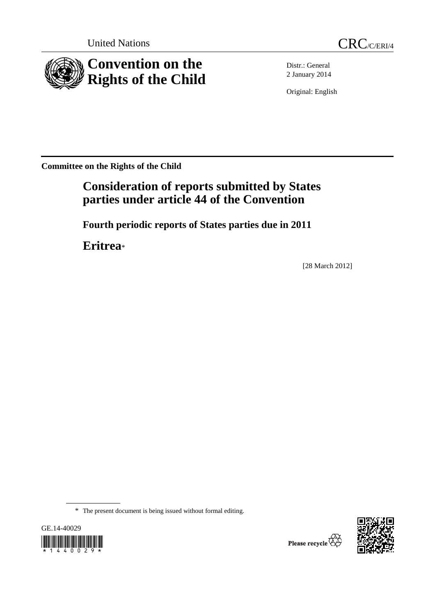United Nations CRC/C/ERI/4





Distr.: General 2 January 2014

Original: English

**Committee on the Rights of the Child** 

# **Consideration of reports submitted by States parties under article 44 of the Convention**

 **Fourth periodic reports of States parties due in 2011** 

 **Eritrea**\*

[28 March 2012]

\* The present document is being issued without formal editing.



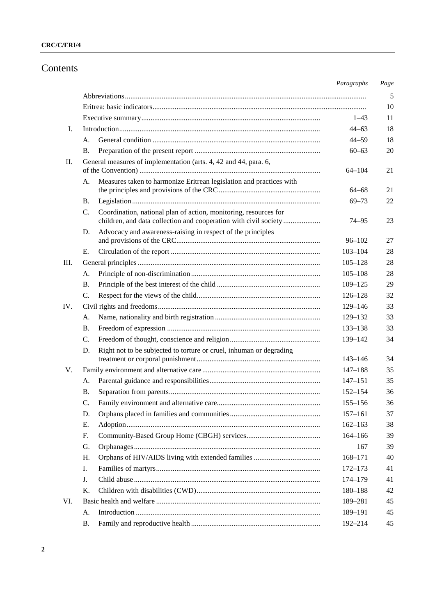# Contents

|     |                                                                                                                                                     | Paragraphs  | Page |
|-----|-----------------------------------------------------------------------------------------------------------------------------------------------------|-------------|------|
|     |                                                                                                                                                     |             | 5    |
|     |                                                                                                                                                     |             | 10   |
|     |                                                                                                                                                     | $1 - 43$    | 11   |
| I.  |                                                                                                                                                     | 44–63       | 18   |
|     | А.                                                                                                                                                  | $44 - 59$   | 18   |
|     | В.                                                                                                                                                  | $60 - 63$   | 20   |
| П.  | General measures of implementation (arts. 4, 42 and 44, para. 6,                                                                                    | $64 - 104$  | 21   |
|     | Measures taken to harmonize Eritrean legislation and practices with<br>А.                                                                           | 64–68       | 21   |
|     | Β.                                                                                                                                                  | $69 - 73$   | 22   |
|     | Coordination, national plan of action, monitoring, resources for<br>$C_{\cdot}$<br>children, and data collection and cooperation with civil society | 74–95       | 23   |
|     | Advocacy and awareness-raising in respect of the principles<br>D.                                                                                   | $96 - 102$  | 27   |
|     | Е.                                                                                                                                                  | $103 - 104$ | 28   |
| Ш.  |                                                                                                                                                     | $105 - 128$ | 28   |
|     | А.                                                                                                                                                  | $105 - 108$ | 28   |
|     | В.                                                                                                                                                  | $109 - 125$ | 29   |
|     | C.                                                                                                                                                  | $126 - 128$ | 32   |
| IV. |                                                                                                                                                     | 129–146     | 33   |
|     | А.                                                                                                                                                  | 129-132     | 33   |
|     | В.                                                                                                                                                  | 133-138     | 33   |
|     | C.                                                                                                                                                  | 139–142     | 34   |
|     | Right not to be subjected to torture or cruel, inhuman or degrading<br>D.                                                                           | 143–146     | 34   |
| V.  |                                                                                                                                                     | $147 - 188$ | 35   |
|     | A.                                                                                                                                                  | $147 - 151$ | 35   |
|     | В.                                                                                                                                                  | $152 - 154$ | 36   |
|     | C.                                                                                                                                                  | $155 - 156$ | 36   |
|     | D.                                                                                                                                                  | $157 - 161$ | 37   |
|     | Е.                                                                                                                                                  | $162 - 163$ | 38   |
|     | F.                                                                                                                                                  | $164 - 166$ | 39   |
|     | G.                                                                                                                                                  | 167         | 39   |
|     | Η.                                                                                                                                                  | $168 - 171$ | 40   |
|     | Ι.                                                                                                                                                  | $172 - 173$ | 41   |
|     | J.                                                                                                                                                  | 174–179     | 41   |
|     | Κ.                                                                                                                                                  | 180-188     | 42   |
| VI. |                                                                                                                                                     | 189-281     | 45   |
|     | А.                                                                                                                                                  | 189-191     | 45   |
|     | Β.                                                                                                                                                  | 192-214     | 45   |
|     |                                                                                                                                                     |             |      |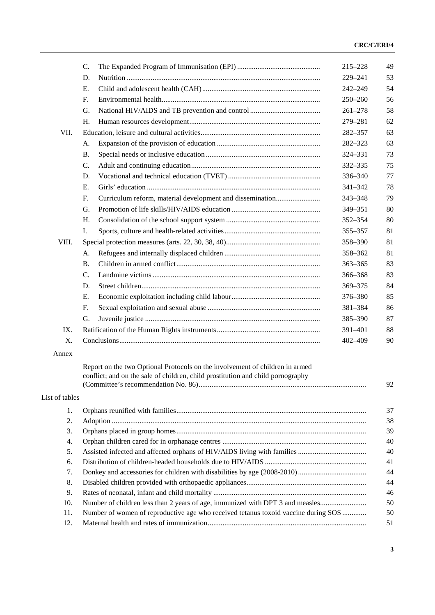|                | C.                                                                                 | 215-228     | 49 |
|----------------|------------------------------------------------------------------------------------|-------------|----|
|                | D.                                                                                 | 229-241     | 53 |
|                | Ε.                                                                                 | 242-249     | 54 |
|                | F.                                                                                 | $250 - 260$ | 56 |
|                | G.                                                                                 | $261 - 278$ | 58 |
|                | H.                                                                                 | 279-281     | 62 |
| VII.           |                                                                                    | 282-357     | 63 |
|                | А.                                                                                 | 282-323     | 63 |
|                | <b>B.</b>                                                                          | 324-331     | 73 |
|                | C.                                                                                 | 332-335     | 75 |
|                | D.                                                                                 | 336-340     | 77 |
|                | $E_{\cdot}$                                                                        | 341-342     | 78 |
|                | Curriculum reform, material development and dissemination<br>F.                    | 343-348     | 79 |
|                | G.                                                                                 | 349-351     | 80 |
|                | H.                                                                                 | 352-354     | 80 |
|                | I.                                                                                 | 355-357     | 81 |
| VIII.          |                                                                                    | 358-390     | 81 |
|                | А.                                                                                 | 358-362     | 81 |
|                | <b>B.</b>                                                                          | $363 - 365$ | 83 |
|                | C.                                                                                 | 366–368     | 83 |
|                | D.                                                                                 | 369-375     | 84 |
|                | E.                                                                                 | 376–380     | 85 |
|                | F.                                                                                 | 381-384     | 86 |
|                | G.                                                                                 | 385-390     | 87 |
| IX.            |                                                                                    | 391-401     | 88 |
| Χ.             |                                                                                    | 402-409     | 90 |
| Annex          |                                                                                    |             |    |
|                | Report on the two Optional Protocols on the involvement of children in armed       |             |    |
|                | conflict; and on the sale of children, child prostitution and child pornography    |             |    |
|                |                                                                                    |             | 92 |
| List of tables |                                                                                    |             |    |
| 1.             |                                                                                    |             | 37 |
| 2.             |                                                                                    |             | 38 |
| 3.             |                                                                                    |             | 39 |
| 4.             |                                                                                    |             | 40 |
| 5.             |                                                                                    |             | 40 |
| 6.             |                                                                                    |             | 41 |
| 7.             |                                                                                    |             | 44 |
| 8.             |                                                                                    |             | 44 |
| 9.             |                                                                                    |             | 46 |
| 10.            | Number of children less than 2 years of age, immunized with DPT 3 and measles      |             | 50 |
| 11.            | Number of women of reproductive age who received tetanus toxoid vaccine during SOS |             | 50 |
| 12.            |                                                                                    |             | 51 |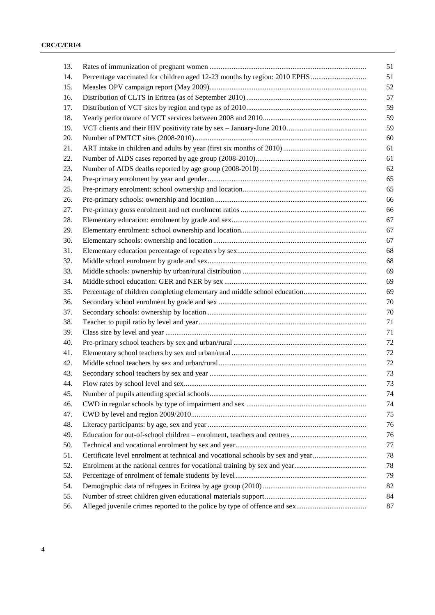| 13. |                                                                                 | 51 |
|-----|---------------------------------------------------------------------------------|----|
| 14. | Percentage vaccinated for children aged 12-23 months by region: 2010 EPHS       | 51 |
| 15. |                                                                                 | 52 |
| 16. |                                                                                 | 57 |
| 17. |                                                                                 | 59 |
| 18. |                                                                                 | 59 |
| 19. |                                                                                 | 59 |
| 20. |                                                                                 | 60 |
| 21. |                                                                                 | 61 |
| 22. |                                                                                 | 61 |
| 23. |                                                                                 | 62 |
| 24. |                                                                                 | 65 |
| 25. |                                                                                 | 65 |
| 26. |                                                                                 | 66 |
| 27. |                                                                                 | 66 |
| 28. |                                                                                 | 67 |
| 29. |                                                                                 | 67 |
| 30. |                                                                                 | 67 |
| 31. |                                                                                 | 68 |
| 32. |                                                                                 | 68 |
| 33. |                                                                                 | 69 |
| 34. |                                                                                 | 69 |
| 35. |                                                                                 | 69 |
| 36. |                                                                                 | 70 |
| 37. |                                                                                 | 70 |
| 38. |                                                                                 | 71 |
| 39. |                                                                                 | 71 |
| 40. |                                                                                 | 72 |
| 41. |                                                                                 | 72 |
| 42. |                                                                                 | 72 |
| 43. |                                                                                 | 73 |
| 44. |                                                                                 | 73 |
| 45. |                                                                                 | 74 |
| 46. |                                                                                 | 74 |
| 47. |                                                                                 | 75 |
| 48. |                                                                                 | 76 |
| 49. |                                                                                 | 76 |
| 50. |                                                                                 | 77 |
| 51. | Certificate level enrolment at technical and vocational schools by sex and year | 78 |
| 52. |                                                                                 | 78 |
| 53. |                                                                                 | 79 |
| 54. |                                                                                 | 82 |
| 55. |                                                                                 | 84 |
| 56. |                                                                                 | 87 |
|     |                                                                                 |    |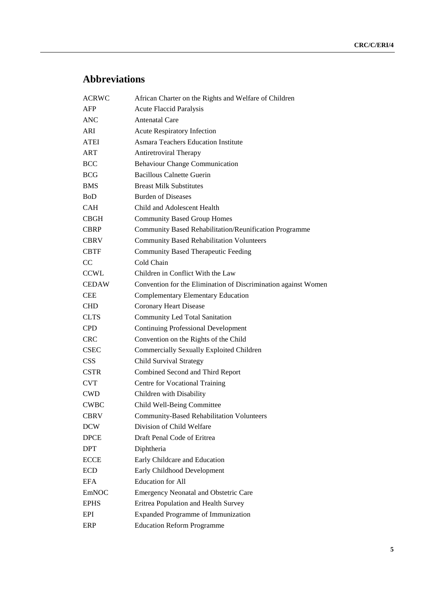# **Abbreviations**

| <b>ACRWC</b> | African Charter on the Rights and Welfare of Children          |
|--------------|----------------------------------------------------------------|
| AFP          | <b>Acute Flaccid Paralysis</b>                                 |
| ANC          | <b>Antenatal Care</b>                                          |
| ARI          | <b>Acute Respiratory Infection</b>                             |
| ATEI         | <b>Asmara Teachers Education Institute</b>                     |
| ART          | <b>Antiretroviral Therapy</b>                                  |
| <b>BCC</b>   | <b>Behaviour Change Communication</b>                          |
| <b>BCG</b>   | <b>Bacillous Calnette Guerin</b>                               |
| <b>BMS</b>   | <b>Breast Milk Substitutes</b>                                 |
| <b>BoD</b>   | <b>Burden of Diseases</b>                                      |
| <b>CAH</b>   | Child and Adolescent Health                                    |
| CBGH         | <b>Community Based Group Homes</b>                             |
| <b>CBRP</b>  | Community Based Rehabilitation/Reunification Programme         |
| <b>CBRV</b>  | <b>Community Based Rehabilitation Volunteers</b>               |
| <b>CBTF</b>  | <b>Community Based Therapeutic Feeding</b>                     |
| CC           | Cold Chain                                                     |
| <b>CCWL</b>  | Children in Conflict With the Law                              |
| <b>CEDAW</b> | Convention for the Elimination of Discrimination against Women |
| <b>CEE</b>   | <b>Complementary Elementary Education</b>                      |
| <b>CHD</b>   | <b>Coronary Heart Disease</b>                                  |
| <b>CLTS</b>  | <b>Community Led Total Sanitation</b>                          |
| <b>CPD</b>   | <b>Continuing Professional Development</b>                     |
| <b>CRC</b>   | Convention on the Rights of the Child                          |
| <b>CSEC</b>  | Commercially Sexually Exploited Children                       |
| <b>CSS</b>   | Child Survival Strategy                                        |
| <b>CSTR</b>  | Combined Second and Third Report                               |
| <b>CVT</b>   | Centre for Vocational Training                                 |
| <b>CWD</b>   | Children with Disability                                       |
| CWBC         | Child Well-Being Committee                                     |
| <b>CBRV</b>  | <b>Community-Based Rehabilitation Volunteers</b>               |
| <b>DCW</b>   | Division of Child Welfare                                      |
| DPCE         | Draft Penal Code of Eritrea                                    |
| <b>DPT</b>   | Diphtheria                                                     |
| <b>ECCE</b>  | Early Childcare and Education                                  |
| <b>ECD</b>   | Early Childhood Development                                    |
| <b>EFA</b>   | <b>Education</b> for All                                       |
| EmNOC        | <b>Emergency Neonatal and Obstetric Care</b>                   |
| <b>EPHS</b>  | Eritrea Population and Health Survey                           |
| EPI          | <b>Expanded Programme of Immunization</b>                      |
| ERP          | <b>Education Reform Programme</b>                              |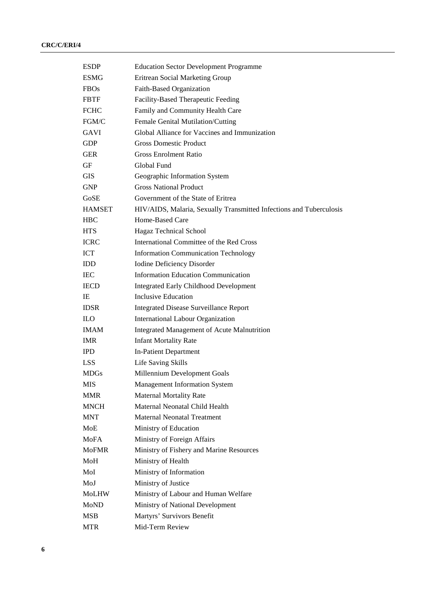| <b>ESDP</b>   | <b>Education Sector Development Programme</b>                       |
|---------------|---------------------------------------------------------------------|
| <b>ESMG</b>   | Eritrean Social Marketing Group                                     |
| <b>FBOs</b>   | Faith-Based Organization                                            |
| <b>FBTF</b>   | Facility-Based Therapeutic Feeding                                  |
| <b>FCHC</b>   | Family and Community Health Care                                    |
| FGM/C         | Female Genital Mutilation/Cutting                                   |
| <b>GAVI</b>   | Global Alliance for Vaccines and Immunization                       |
| <b>GDP</b>    | <b>Gross Domestic Product</b>                                       |
| GER           | <b>Gross Enrolment Ratio</b>                                        |
| GF            | Global Fund                                                         |
| <b>GIS</b>    | Geographic Information System                                       |
| <b>GNP</b>    | <b>Gross National Product</b>                                       |
| GoSE          | Government of the State of Eritrea                                  |
| <b>HAMSET</b> | HIV/AIDS, Malaria, Sexually Transmitted Infections and Tuberculosis |
| <b>HBC</b>    | Home-Based Care                                                     |
| <b>HTS</b>    | Hagaz Technical School                                              |
| ICRC          | International Committee of the Red Cross                            |
| <b>ICT</b>    | <b>Information Communication Technology</b>                         |
| <b>IDD</b>    | <b>Iodine Deficiency Disorder</b>                                   |
| <b>IEC</b>    | <b>Information Education Communication</b>                          |
| <b>IECD</b>   | <b>Integrated Early Childhood Development</b>                       |
| IE            | Inclusive Education                                                 |
| <b>IDSR</b>   | <b>Integrated Disease Surveillance Report</b>                       |
| <b>ILO</b>    | International Labour Organization                                   |
| <b>IMAM</b>   | Integrated Management of Acute Malnutrition                         |
| <b>IMR</b>    | <b>Infant Mortality Rate</b>                                        |
| <b>IPD</b>    | <b>In-Patient Department</b>                                        |
| <b>LSS</b>    | Life Saving Skills                                                  |
| <b>MDGs</b>   | Millennium Development Goals                                        |
| <b>MIS</b>    | <b>Management Information System</b>                                |
| <b>MMR</b>    | <b>Maternal Mortality Rate</b>                                      |
| <b>MNCH</b>   | Maternal Neonatal Child Health                                      |
| <b>MNT</b>    | <b>Maternal Neonatal Treatment</b>                                  |
| MoE           | Ministry of Education                                               |
| <b>MoFA</b>   | Ministry of Foreign Affairs                                         |
| <b>MoFMR</b>  | Ministry of Fishery and Marine Resources                            |
| MoH           | Ministry of Health                                                  |
| MoI           | Ministry of Information                                             |
| MoJ           | Ministry of Justice                                                 |
| MoLHW         | Ministry of Labour and Human Welfare                                |
| <b>MoND</b>   | Ministry of National Development                                    |
| <b>MSB</b>    | Martyrs' Survivors Benefit                                          |
| MTR           | Mid-Term Review                                                     |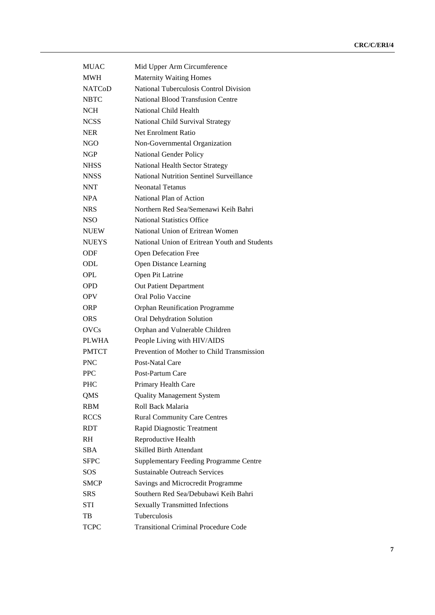| <b>MUAC</b>   | Mid Upper Arm Circumference                   |
|---------------|-----------------------------------------------|
| <b>MWH</b>    | <b>Maternity Waiting Homes</b>                |
| <b>NATCoD</b> | National Tuberculosis Control Division        |
| <b>NBTC</b>   | National Blood Transfusion Centre             |
| <b>NCH</b>    | National Child Health                         |
| NCSS          | National Child Survival Strategy              |
| <b>NER</b>    | Net Enrolment Ratio                           |
| NGO           | Non-Governmental Organization                 |
| NGP           | <b>National Gender Policy</b>                 |
| NHSS.         | <b>National Health Sector Strategy</b>        |
| <b>NNSS</b>   | National Nutrition Sentinel Surveillance      |
| <b>NNT</b>    | <b>Neonatal Tetanus</b>                       |
| <b>NPA</b>    | National Plan of Action                       |
| <b>NRS</b>    | Northern Red Sea/Semenawi Keih Bahri          |
| <b>NSO</b>    | <b>National Statistics Office</b>             |
| <b>NUEW</b>   | National Union of Eritrean Women              |
| <b>NUEYS</b>  | National Union of Eritrean Youth and Students |
| <b>ODF</b>    | <b>Open Defecation Free</b>                   |
| ODL           | <b>Open Distance Learning</b>                 |
| OPL           | Open Pit Latrine                              |
| <b>OPD</b>    | Out Patient Department                        |
| <b>OPV</b>    | Oral Polio Vaccine                            |
| ORP           | Orphan Reunification Programme                |
| <b>ORS</b>    | Oral Dehydration Solution                     |
| <b>OVCs</b>   | Orphan and Vulnerable Children                |
| <b>PLWHA</b>  | People Living with HIV/AIDS                   |
| <b>PMTCT</b>  | Prevention of Mother to Child Transmission    |
| <b>PNC</b>    | Post-Natal Care                               |
| <b>PPC</b>    | Post-Partum Care                              |
| <b>PHC</b>    | Primary Health Care                           |
| QMS           | <b>Quality Management System</b>              |
| <b>RBM</b>    | Roll Back Malaria                             |
| <b>RCCS</b>   | <b>Rural Community Care Centres</b>           |
| <b>RDT</b>    | Rapid Diagnostic Treatment                    |
| RH.           | Reproductive Health                           |
| <b>SBA</b>    | <b>Skilled Birth Attendant</b>                |
| <b>SFPC</b>   | <b>Supplementary Feeding Programme Centre</b> |
| SOS           | <b>Sustainable Outreach Services</b>          |
| <b>SMCP</b>   | Savings and Microcredit Programme             |
| <b>SRS</b>    | Southern Red Sea/Debubawi Keih Bahri          |
| <b>STI</b>    | <b>Sexually Transmitted Infections</b>        |
| TB            | Tuberculosis                                  |
| <b>TCPC</b>   | <b>Transitional Criminal Procedure Code</b>   |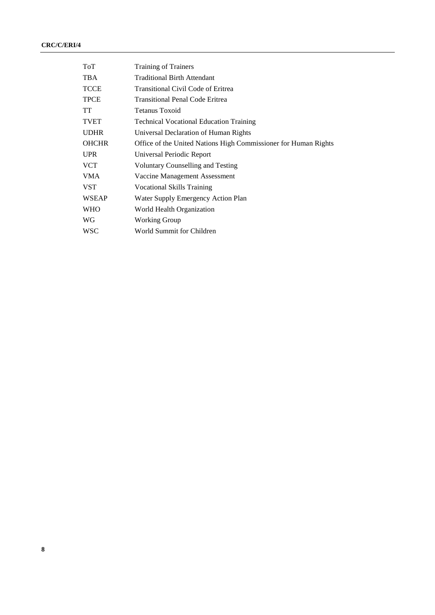| <b>ToT</b>   | <b>Training of Trainers</b>                                     |
|--------------|-----------------------------------------------------------------|
| TBA          | <b>Traditional Birth Attendant</b>                              |
| <b>TCCE</b>  | Transitional Civil Code of Eritrea                              |
| <b>TPCE</b>  | <b>Transitional Penal Code Eritrea</b>                          |
| TT.          | Tetanus Toxoid                                                  |
| <b>TVET</b>  | <b>Technical Vocational Education Training</b>                  |
| <b>UDHR</b>  | Universal Declaration of Human Rights                           |
| <b>OHCHR</b> | Office of the United Nations High Commissioner for Human Rights |
| <b>UPR</b>   | Universal Periodic Report                                       |
| <b>VCT</b>   | Voluntary Counselling and Testing                               |
| VMA          | Vaccine Management Assessment                                   |
| VST          | <b>Vocational Skills Training</b>                               |
| <b>WSEAP</b> | Water Supply Emergency Action Plan                              |
| <b>WHO</b>   | World Health Organization                                       |
| WG           | Working Group                                                   |
| <b>WSC</b>   | World Summit for Children                                       |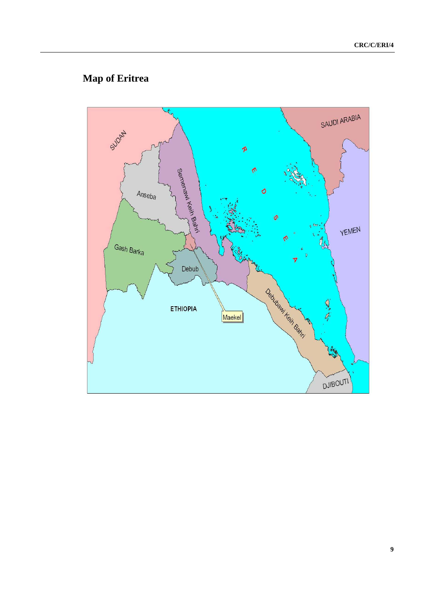# **Map of Eritrea**

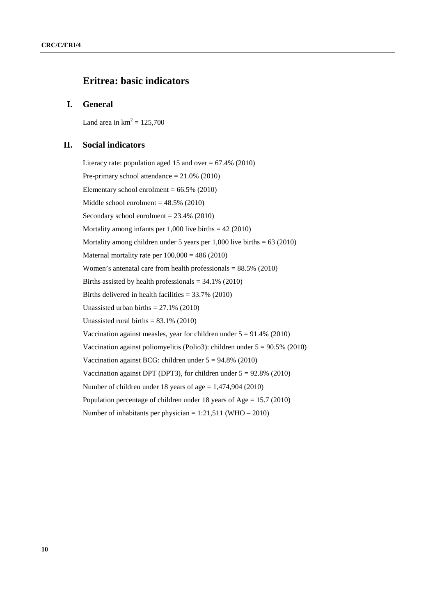# **Eritrea: basic indicators**

# **I. General**

Land area in  $km^2 = 125,700$ 

# **II. Social indicators**

Literacy rate: population aged 15 and over  $= 67.4\%$  (2010) Pre-primary school attendance  $= 21.0\%$  (2010) Elementary school enrolment  $= 66.5\%$  (2010) Middle school enrolment  $= 48.5\%$  (2010) Secondary school enrolment  $= 23.4\%$  (2010) Mortality among infants per  $1,000$  live births  $= 42 (2010)$ Mortality among children under 5 years per 1,000 live births  $= 63$  (2010) Maternal mortality rate per  $100,000 = 486 (2010)$ Women's antenatal care from health professionals  $= 88.5\%$  (2010) Births assisted by health professionals  $= 34.1\%$  (2010) Births delivered in health facilities  $= 33.7\%$  (2010) Unassisted urban births  $= 27.1\%$  (2010) Unassisted rural births  $= 83.1\%$  (2010) Vaccination against measles, year for children under  $5 = 91.4\%$  (2010) Vaccination against poliomyelitis (Polio3): children under  $5 = 90.5\%$  (2010) Vaccination against BCG: children under  $5 = 94.8\%$  (2010) Vaccination against DPT (DPT3), for children under  $5 = 92.8\%$  (2010) Number of children under 18 years of age = 1,474,904 (2010) Population percentage of children under 18 years of Age = 15.7 (2010) Number of inhabitants per physician = 1:21,511 (WHO – 2010)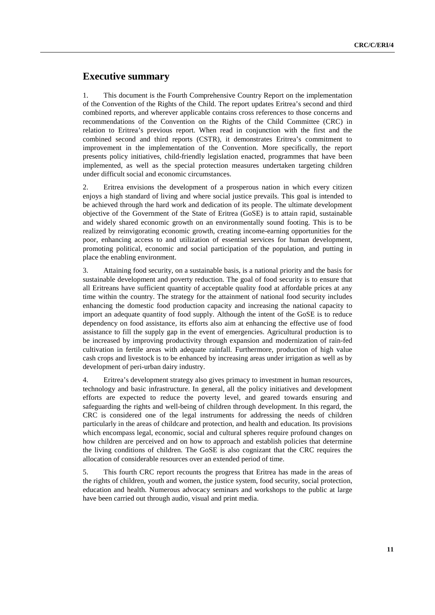# **Executive summary**

1. This document is the Fourth Comprehensive Country Report on the implementation of the Convention of the Rights of the Child. The report updates Eritrea's second and third combined reports, and wherever applicable contains cross references to those concerns and recommendations of the Convention on the Rights of the Child Committee (CRC) in relation to Eritrea's previous report. When read in conjunction with the first and the combined second and third reports (CSTR), it demonstrates Eritrea's commitment to improvement in the implementation of the Convention. More specifically, the report presents policy initiatives, child-friendly legislation enacted, programmes that have been implemented, as well as the special protection measures undertaken targeting children under difficult social and economic circumstances.

2. Eritrea envisions the development of a prosperous nation in which every citizen enjoys a high standard of living and where social justice prevails. This goal is intended to be achieved through the hard work and dedication of its people. The ultimate development objective of the Government of the State of Eritrea (GoSE) is to attain rapid, sustainable and widely shared economic growth on an environmentally sound footing. This is to be realized by reinvigorating economic growth, creating income-earning opportunities for the poor, enhancing access to and utilization of essential services for human development, promoting political, economic and social participation of the population, and putting in place the enabling environment.

3. Attaining food security, on a sustainable basis, is a national priority and the basis for sustainable development and poverty reduction. The goal of food security is to ensure that all Eritreans have sufficient quantity of acceptable quality food at affordable prices at any time within the country. The strategy for the attainment of national food security includes enhancing the domestic food production capacity and increasing the national capacity to import an adequate quantity of food supply. Although the intent of the GoSE is to reduce dependency on food assistance, its efforts also aim at enhancing the effective use of food assistance to fill the supply gap in the event of emergencies. Agricultural production is to be increased by improving productivity through expansion and modernization of rain-fed cultivation in fertile areas with adequate rainfall. Furthermore, production of high value cash crops and livestock is to be enhanced by increasing areas under irrigation as well as by development of peri-urban dairy industry.

4. Eritrea's development strategy also gives primacy to investment in human resources, technology and basic infrastructure. In general, all the policy initiatives and development efforts are expected to reduce the poverty level, and geared towards ensuring and safeguarding the rights and well-being of children through development. In this regard, the CRC is considered one of the legal instruments for addressing the needs of children particularly in the areas of childcare and protection, and health and education. Its provisions which encompass legal, economic, social and cultural spheres require profound changes on how children are perceived and on how to approach and establish policies that determine the living conditions of children. The GoSE is also cognizant that the CRC requires the allocation of considerable resources over an extended period of time.

5. This fourth CRC report recounts the progress that Eritrea has made in the areas of the rights of children, youth and women, the justice system, food security, social protection, education and health. Numerous advocacy seminars and workshops to the public at large have been carried out through audio, visual and print media.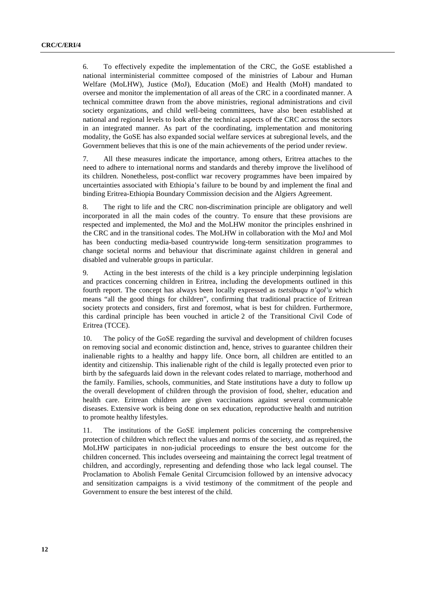6. To effectively expedite the implementation of the CRC, the GoSE established a national interministerial committee composed of the ministries of Labour and Human Welfare (MoLHW), Justice (MoJ), Education (MoE) and Health (MoH) mandated to oversee and monitor the implementation of all areas of the CRC in a coordinated manner. A technical committee drawn from the above ministries, regional administrations and civil society organizations, and child well-being committees, have also been established at national and regional levels to look after the technical aspects of the CRC across the sectors in an integrated manner. As part of the coordinating, implementation and monitoring modality, the GoSE has also expanded social welfare services at subregional levels, and the Government believes that this is one of the main achievements of the period under review.

7. All these measures indicate the importance, among others, Eritrea attaches to the need to adhere to international norms and standards and thereby improve the livelihood of its children. Nonetheless, post-conflict war recovery programmes have been impaired by uncertainties associated with Ethiopia's failure to be bound by and implement the final and binding Eritrea-Ethiopia Boundary Commission decision and the Algiers Agreement.

8. The right to life and the CRC non-discrimination principle are obligatory and well incorporated in all the main codes of the country. To ensure that these provisions are respected and implemented, the MoJ and the MoLHW monitor the principles enshrined in the CRC and in the transitional codes. The MoLHW in collaboration with the MoJ and MoI has been conducting media-based countrywide long-term sensitization programmes to change societal norms and behaviour that discriminate against children in general and disabled and vulnerable groups in particular.

9. Acting in the best interests of the child is a key principle underpinning legislation and practices concerning children in Eritrea, including the developments outlined in this fourth report. The concept has always been locally expressed as *tsetsibuqu n'qol'u* which means "all the good things for children", confirming that traditional practice of Eritrean society protects and considers, first and foremost, what is best for children. Furthermore, this cardinal principle has been vouched in article 2 of the Transitional Civil Code of Eritrea (TCCE).

10. The policy of the GoSE regarding the survival and development of children focuses on removing social and economic distinction and, hence, strives to guarantee children their inalienable rights to a healthy and happy life. Once born, all children are entitled to an identity and citizenship. This inalienable right of the child is legally protected even prior to birth by the safeguards laid down in the relevant codes related to marriage, motherhood and the family. Families, schools, communities, and State institutions have a duty to follow up the overall development of children through the provision of food, shelter, education and health care. Eritrean children are given vaccinations against several communicable diseases. Extensive work is being done on sex education, reproductive health and nutrition to promote healthy lifestyles.

11. The institutions of the GoSE implement policies concerning the comprehensive protection of children which reflect the values and norms of the society, and as required, the MoLHW participates in non-judicial proceedings to ensure the best outcome for the children concerned. This includes overseeing and maintaining the correct legal treatment of children, and accordingly, representing and defending those who lack legal counsel. The Proclamation to Abolish Female Genital Circumcision followed by an intensive advocacy and sensitization campaigns is a vivid testimony of the commitment of the people and Government to ensure the best interest of the child.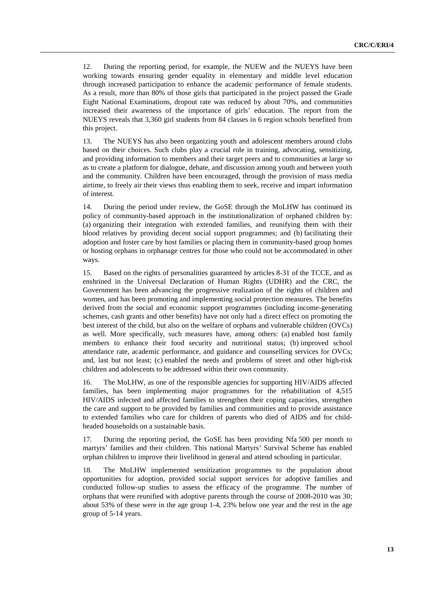12. During the reporting period, for example, the NUEW and the NUEYS have been working towards ensuring gender equality in elementary and middle level education through increased participation to enhance the academic performance of female students. As a result, more than 80% of those girls that participated in the project passed the Grade Eight National Examinations, dropout rate was reduced by about 70%, and communities increased their awareness of the importance of girls' education. The report from the NUEYS reveals that 3,360 girl students from 84 classes in 6 region schools benefited from this project.

13. The NUEYS has also been organizing youth and adolescent members around clubs based on their choices. Such clubs play a crucial role in training, advocating, sensitizing, and providing information to members and their target peers and to communities at large so as to create a platform for dialogue, debate, and discussion among youth and between youth and the community. Children have been encouraged, through the provision of mass media airtime, to freely air their views thus enabling them to seek, receive and impart information of interest.

14. During the period under review, the GoSE through the MoLHW has continued its policy of community-based approach in the institutionalization of orphaned children by: (a) organizing their integration with extended families, and reunifying them with their blood relatives by providing decent social support programmes; and (b) facilitating their adoption and foster care by host families or placing them in community-based group homes or hosting orphans in orphanage centres for those who could not be accommodated in other ways.

15. Based on the rights of personalities guaranteed by articles 8-31 of the TCCE, and as enshrined in the Universal Declaration of Human Rights (UDHR) and the CRC, the Government has been advancing the progressive realization of the rights of children and women, and has been promoting and implementing social protection measures. The benefits derived from the social and economic support programmes (including income-generating schemes, cash grants and other benefits) have not only had a direct effect on promoting the best interest of the child, but also on the welfare of orphans and vulnerable children (OVCs) as well. More specifically, such measures have, among others: (a) enabled host family members to enhance their food security and nutritional status; (b) improved school attendance rate, academic performance, and guidance and counselling services for OVCs; and, last but not least; (c) enabled the needs and problems of street and other high-risk children and adolescents to be addressed within their own community.

16. The MoLHW, as one of the responsible agencies for supporting HIV/AIDS affected families, has been implementing major programmes for the rehabilitation of 4,515 HIV/AIDS infected and affected families to strengthen their coping capacities, strengthen the care and support to be provided by families and communities and to provide assistance to extended families who care for children of parents who died of AIDS and for childheaded households on a sustainable basis.

17. During the reporting period, the GoSE has been providing Nfa 500 per month to martyrs' families and their children. This national Martyrs' Survival Scheme has enabled orphan children to improve their livelihood in general and attend schooling in particular.

18. The MoLHW implemented sensitization programmes to the population about opportunities for adoption, provided social support services for adoptive families and conducted follow-up studies to assess the efficacy of the programme. The number of orphans that were reunified with adoptive parents through the course of 2008-2010 was 30; about 53% of these were in the age group 1-4, 23% below one year and the rest in the age group of 5-14 years.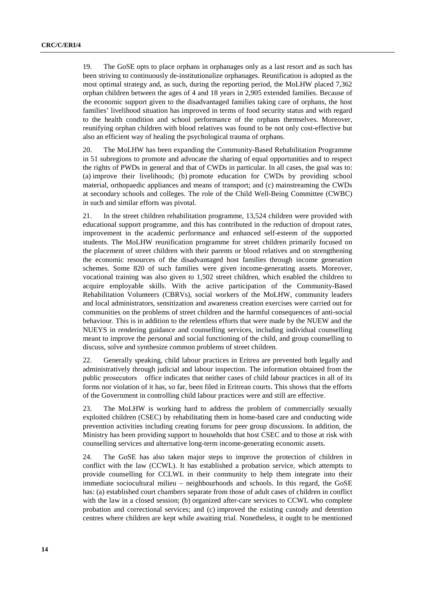19. The GoSE opts to place orphans in orphanages only as a last resort and as such has been striving to continuously de-institutionalize orphanages. Reunification is adopted as the most optimal strategy and, as such, during the reporting period, the MoLHW placed 7,362 orphan children between the ages of 4 and 18 years in 2,905 extended families. Because of the economic support given to the disadvantaged families taking care of orphans, the host families' livelihood situation has improved in terms of food security status and with regard to the health condition and school performance of the orphans themselves. Moreover, reunifying orphan children with blood relatives was found to be not only cost-effective but also an efficient way of healing the psychological trauma of orphans.

20. The MoLHW has been expanding the Community-Based Rehabilitation Programme in 51 subregions to promote and advocate the sharing of equal opportunities and to respect the rights of PWDs in general and that of CWDs in particular. In all cases, the goal was to: (a) improve their livelihoods; (b) promote education for CWDs by providing school material, orthopaedic appliances and means of transport; and (c) mainstreaming the CWDs at secondary schools and colleges. The role of the Child Well-Being Committee (CWBC) in such and similar efforts was pivotal.

21. In the street children rehabilitation programme, 13,524 children were provided with educational support programme, and this has contributed in the reduction of dropout rates, improvement in the academic performance and enhanced self-esteem of the supported students. The MoLHW reunification programme for street children primarily focused on the placement of street children with their parents or blood relatives and on strengthening the economic resources of the disadvantaged host families through income generation schemes. Some 820 of such families were given income-generating assets. Moreover, vocational training was also given to 1,502 street children, which enabled the children to acquire employable skills. With the active participation of the Community-Based Rehabilitation Volunteers (CBRVs), social workers of the MoLHW, community leaders and local administrators, sensitization and awareness creation exercises were carried out for communities on the problems of street children and the harmful consequences of anti-social behaviour. This is in addition to the relentless efforts that were made by the NUEW and the NUEYS in rendering guidance and counselling services, including individual counselling meant to improve the personal and social functioning of the child, and group counselling to discuss, solve and synthesize common problems of street children.

22. Generally speaking, child labour practices in Eritrea are prevented both legally and administratively through judicial and labour inspection. The information obtained from the public prosecutors office indicates that neither cases of child labour practices in all of its forms nor violation of it has, so far, been filed in Eritrean courts. This shows that the efforts of the Government in controlling child labour practices were and still are effective.

23. The MoLHW is working hard to address the problem of commercially sexually exploited children (CSEC) by rehabilitating them in home-based care and conducting wide prevention activities including creating forums for peer group discussions. In addition, the Ministry has been providing support to households that host CSEC and to those at risk with counselling services and alternative long-term income-generating economic assets.

24. The GoSE has also taken major steps to improve the protection of children in conflict with the law (CCWL). It has established a probation service, which attempts to provide counselling for CCLWL in their community to help them integrate into their immediate sociocultural milieu – neighbourhoods and schools. In this regard, the GoSE has: (a) established court chambers separate from those of adult cases of children in conflict with the law in a closed session; (b) organized after-care services to CCWL who complete probation and correctional services; and (c) improved the existing custody and detention centres where children are kept while awaiting trial. Nonetheless, it ought to be mentioned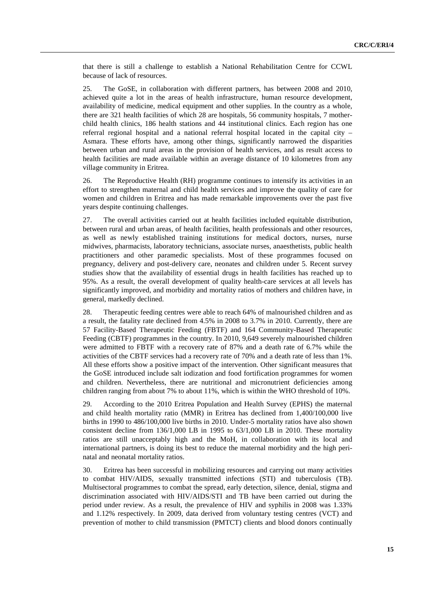that there is still a challenge to establish a National Rehabilitation Centre for CCWL because of lack of resources.

25. The GoSE, in collaboration with different partners, has between 2008 and 2010, achieved quite a lot in the areas of health infrastructure, human resource development, availability of medicine, medical equipment and other supplies. In the country as a whole, there are 321 health facilities of which 28 are hospitals, 56 community hospitals, 7 motherchild health clinics, 186 health stations and 44 institutional clinics. Each region has one referral regional hospital and a national referral hospital located in the capital city – Asmara. These efforts have, among other things, significantly narrowed the disparities between urban and rural areas in the provision of health services, and as result access to health facilities are made available within an average distance of 10 kilometres from any village community in Eritrea.

26. The Reproductive Health (RH) programme continues to intensify its activities in an effort to strengthen maternal and child health services and improve the quality of care for women and children in Eritrea and has made remarkable improvements over the past five years despite continuing challenges.

27. The overall activities carried out at health facilities included equitable distribution, between rural and urban areas, of health facilities, health professionals and other resources, as well as newly established training institutions for medical doctors, nurses, nurse midwives, pharmacists, laboratory technicians, associate nurses, anaesthetists, public health practitioners and other paramedic specialists. Most of these programmes focused on pregnancy, delivery and post-delivery care, neonates and children under 5. Recent survey studies show that the availability of essential drugs in health facilities has reached up to 95%. As a result, the overall development of quality health-care services at all levels has significantly improved, and morbidity and mortality ratios of mothers and children have, in general, markedly declined.

28. Therapeutic feeding centres were able to reach 64% of malnourished children and as a result, the fatality rate declined from 4.5% in 2008 to 3.7% in 2010. Currently, there are 57 Facility-Based Therapeutic Feeding (FBTF) and 164 Community-Based Therapeutic Feeding (CBTF) programmes in the country. In 2010, 9,649 severely malnourished children were admitted to FBTF with a recovery rate of 87% and a death rate of 6.7% while the activities of the CBTF services had a recovery rate of 70% and a death rate of less than 1%. All these efforts show a positive impact of the intervention. Other significant measures that the GoSE introduced include salt iodization and food fortification programmes for women and children. Nevertheless, there are nutritional and micronutrient deficiencies among children ranging from about 7% to about 11%, which is within the WHO threshold of 10%.

29. According to the 2010 Eritrea Population and Health Survey (EPHS) the maternal and child health mortality ratio (MMR) in Eritrea has declined from 1,400/100,000 live births in 1990 to 486/100,000 live births in 2010. Under-5 mortality ratios have also shown consistent decline from 136/1,000 LB in 1995 to 63/1,000 LB in 2010. These mortality ratios are still unacceptably high and the MoH, in collaboration with its local and international partners, is doing its best to reduce the maternal morbidity and the high perinatal and neonatal mortality ratios.

30. Eritrea has been successful in mobilizing resources and carrying out many activities to combat HIV/AIDS, sexually transmitted infections (STI) and tuberculosis (TB). Multisectoral programmes to combat the spread, early detection, silence, denial, stigma and discrimination associated with HIV/AIDS/STI and TB have been carried out during the period under review. As a result, the prevalence of HIV and syphilis in 2008 was 1.33% and 1.12% respectively. In 2009, data derived from voluntary testing centres (VCT) and prevention of mother to child transmission (PMTCT) clients and blood donors continually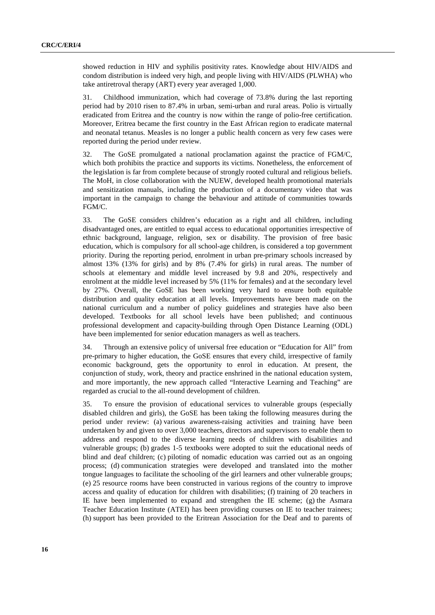showed reduction in HIV and syphilis positivity rates. Knowledge about HIV/AIDS and condom distribution is indeed very high, and people living with HIV/AIDS (PLWHA) who take antiretroval therapy (ART) every year averaged 1,000.

31. Childhood immunization, which had coverage of 73.8% during the last reporting period had by 2010 risen to 87.4% in urban, semi-urban and rural areas. Polio is virtually eradicated from Eritrea and the country is now within the range of polio-free certification. Moreover, Eritrea became the first country in the East African region to eradicate maternal and neonatal tetanus. Measles is no longer a public health concern as very few cases were reported during the period under review.

32. The GoSE promulgated a national proclamation against the practice of FGM/C, which both prohibits the practice and supports its victims. Nonetheless, the enforcement of the legislation is far from complete because of strongly rooted cultural and religious beliefs. The MoH, in close collaboration with the NUEW, developed health promotional materials and sensitization manuals, including the production of a documentary video that was important in the campaign to change the behaviour and attitude of communities towards FGM/C.

33. The GoSE considers children's education as a right and all children, including disadvantaged ones, are entitled to equal access to educational opportunities irrespective of ethnic background, language, religion, sex or disability. The provision of free basic education, which is compulsory for all school-age children, is considered a top government priority. During the reporting period, enrolment in urban pre-primary schools increased by almost 13% (13% for girls) and by 8% (7.4% for girls) in rural areas. The number of schools at elementary and middle level increased by 9.8 and 20%, respectively and enrolment at the middle level increased by 5% (11% for females) and at the secondary level by 27%. Overall, the GoSE has been working very hard to ensure both equitable distribution and quality education at all levels. Improvements have been made on the national curriculum and a number of policy guidelines and strategies have also been developed. Textbooks for all school levels have been published; and continuous professional development and capacity-building through Open Distance Learning (ODL) have been implemented for senior education managers as well as teachers.

34. Through an extensive policy of universal free education or "Education for All" from pre-primary to higher education, the GoSE ensures that every child, irrespective of family economic background, gets the opportunity to enrol in education. At present, the conjunction of study, work, theory and practice enshrined in the national education system, and more importantly, the new approach called "Interactive Learning and Teaching" are regarded as crucial to the all-round development of children.

35. To ensure the provision of educational services to vulnerable groups (especially disabled children and girls), the GoSE has been taking the following measures during the period under review: (a) various awareness-raising activities and training have been undertaken by and given to over 3,000 teachers, directors and supervisors to enable them to address and respond to the diverse learning needs of children with disabilities and vulnerable groups; (b) grades 1-5 textbooks were adopted to suit the educational needs of blind and deaf children; (c) piloting of nomadic education was carried out as an ongoing process; (d) communication strategies were developed and translated into the mother tongue languages to facilitate the schooling of the girl learners and other vulnerable groups; (e) 25 resource rooms have been constructed in various regions of the country to improve access and quality of education for children with disabilities; (f) training of 20 teachers in IE have been implemented to expand and strengthen the IE scheme; (g) the Asmara Teacher Education Institute (ATEI) has been providing courses on IE to teacher trainees; (h) support has been provided to the Eritrean Association for the Deaf and to parents of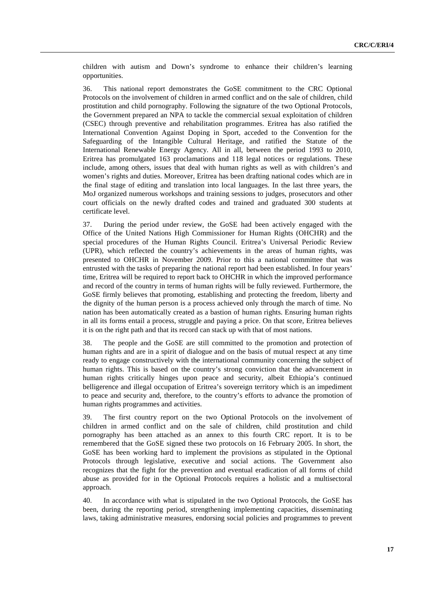children with autism and Down's syndrome to enhance their children's learning opportunities.

36. This national report demonstrates the GoSE commitment to the CRC Optional Protocols on the involvement of children in armed conflict and on the sale of children, child prostitution and child pornography. Following the signature of the two Optional Protocols, the Government prepared an NPA to tackle the commercial sexual exploitation of children (CSEC) through preventive and rehabilitation programmes. Eritrea has also ratified the International Convention Against Doping in Sport, acceded to the Convention for the Safeguarding of the Intangible Cultural Heritage, and ratified the Statute of the International Renewable Energy Agency. All in all, between the period 1993 to 2010, Eritrea has promulgated 163 proclamations and 118 legal notices or regulations. These include, among others, issues that deal with human rights as well as with children's and women's rights and duties. Moreover, Eritrea has been drafting national codes which are in the final stage of editing and translation into local languages. In the last three years, the MoJ organized numerous workshops and training sessions to judges, prosecutors and other court officials on the newly drafted codes and trained and graduated 300 students at certificate level.

37. During the period under review, the GoSE had been actively engaged with the Office of the United Nations High Commissioner for Human Rights (OHCHR) and the special procedures of the Human Rights Council. Eritrea's Universal Periodic Review (UPR), which reflected the country's achievements in the areas of human rights, was presented to OHCHR in November 2009. Prior to this a national committee that was entrusted with the tasks of preparing the national report had been established. In four years' time, Eritrea will be required to report back to OHCHR in which the improved performance and record of the country in terms of human rights will be fully reviewed. Furthermore, the GoSE firmly believes that promoting, establishing and protecting the freedom, liberty and the dignity of the human person is a process achieved only through the march of time. No nation has been automatically created as a bastion of human rights. Ensuring human rights in all its forms entail a process, struggle and paying a price. On that score, Eritrea believes it is on the right path and that its record can stack up with that of most nations.

38. The people and the GoSE are still committed to the promotion and protection of human rights and are in a spirit of dialogue and on the basis of mutual respect at any time ready to engage constructively with the international community concerning the subject of human rights. This is based on the country's strong conviction that the advancement in human rights critically hinges upon peace and security, albeit Ethiopia's continued belligerence and illegal occupation of Eritrea's sovereign territory which is an impediment to peace and security and, therefore, to the country's efforts to advance the promotion of human rights programmes and activities.

39. The first country report on the two Optional Protocols on the involvement of children in armed conflict and on the sale of children, child prostitution and child pornography has been attached as an annex to this fourth CRC report. It is to be remembered that the GoSE signed these two protocols on 16 February 2005. In short, the GoSE has been working hard to implement the provisions as stipulated in the Optional Protocols through legislative, executive and social actions. The Government also recognizes that the fight for the prevention and eventual eradication of all forms of child abuse as provided for in the Optional Protocols requires a holistic and a multisectoral approach.

40. In accordance with what is stipulated in the two Optional Protocols, the GoSE has been, during the reporting period, strengthening implementing capacities, disseminating laws, taking administrative measures, endorsing social policies and programmes to prevent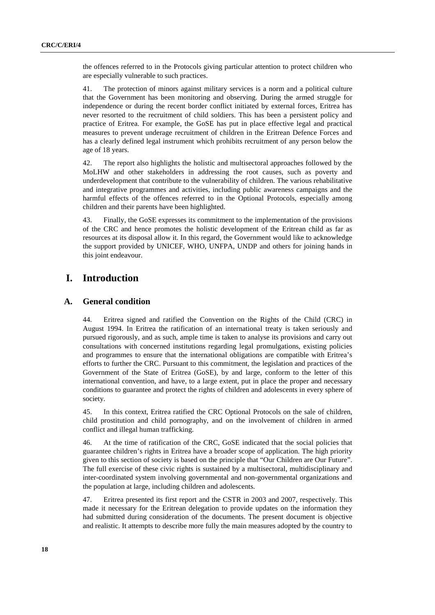the offences referred to in the Protocols giving particular attention to protect children who are especially vulnerable to such practices.

41. The protection of minors against military services is a norm and a political culture that the Government has been monitoring and observing. During the armed struggle for independence or during the recent border conflict initiated by external forces, Eritrea has never resorted to the recruitment of child soldiers. This has been a persistent policy and practice of Eritrea. For example, the GoSE has put in place effective legal and practical measures to prevent underage recruitment of children in the Eritrean Defence Forces and has a clearly defined legal instrument which prohibits recruitment of any person below the age of 18 years.

42. The report also highlights the holistic and multisectoral approaches followed by the MoLHW and other stakeholders in addressing the root causes, such as poverty and underdevelopment that contribute to the vulnerability of children. The various rehabilitative and integrative programmes and activities, including public awareness campaigns and the harmful effects of the offences referred to in the Optional Protocols, especially among children and their parents have been highlighted.

43. Finally, the GoSE expresses its commitment to the implementation of the provisions of the CRC and hence promotes the holistic development of the Eritrean child as far as resources at its disposal allow it. In this regard, the Government would like to acknowledge the support provided by UNICEF, WHO, UNFPA, UNDP and others for joining hands in this joint endeavour.

# **I. Introduction**

### **A. General condition**

44. Eritrea signed and ratified the Convention on the Rights of the Child (CRC) in August 1994. In Eritrea the ratification of an international treaty is taken seriously and pursued rigorously, and as such, ample time is taken to analyse its provisions and carry out consultations with concerned institutions regarding legal promulgations, existing policies and programmes to ensure that the international obligations are compatible with Eritrea's efforts to further the CRC. Pursuant to this commitment, the legislation and practices of the Government of the State of Eritrea (GoSE), by and large, conform to the letter of this international convention, and have, to a large extent, put in place the proper and necessary conditions to guarantee and protect the rights of children and adolescents in every sphere of society.

45. In this context, Eritrea ratified the CRC Optional Protocols on the sale of children, child prostitution and child pornography, and on the involvement of children in armed conflict and illegal human trafficking.

46. At the time of ratification of the CRC, GoSE indicated that the social policies that guarantee children's rights in Eritrea have a broader scope of application. The high priority given to this section of society is based on the principle that "Our Children are Our Future". The full exercise of these civic rights is sustained by a multisectoral, multidisciplinary and inter-coordinated system involving governmental and non-governmental organizations and the population at large, including children and adolescents.

47. Eritrea presented its first report and the CSTR in 2003 and 2007, respectively. This made it necessary for the Eritrean delegation to provide updates on the information they had submitted during consideration of the documents. The present document is objective and realistic. It attempts to describe more fully the main measures adopted by the country to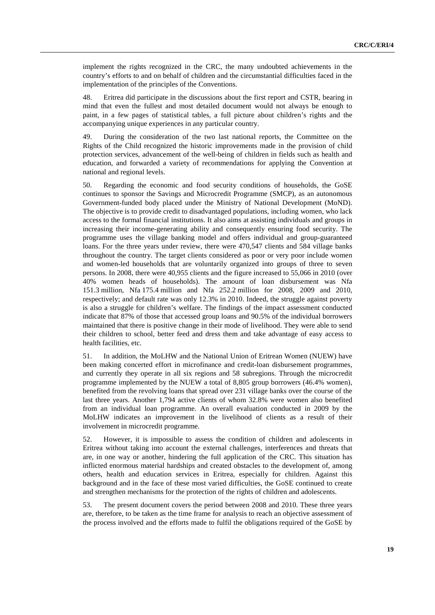implement the rights recognized in the CRC, the many undoubted achievements in the country's efforts to and on behalf of children and the circumstantial difficulties faced in the implementation of the principles of the Conventions.

48. Eritrea did participate in the discussions about the first report and CSTR, bearing in mind that even the fullest and most detailed document would not always be enough to paint, in a few pages of statistical tables, a full picture about children's rights and the accompanying unique experiences in any particular country.

49. During the consideration of the two last national reports, the Committee on the Rights of the Child recognized the historic improvements made in the provision of child protection services, advancement of the well-being of children in fields such as health and education, and forwarded a variety of recommendations for applying the Convention at national and regional levels.

50. Regarding the economic and food security conditions of households, the GoSE continues to sponsor the Savings and Microcredit Programme (SMCP), as an autonomous Government-funded body placed under the Ministry of National Development (MoND). The objective is to provide credit to disadvantaged populations, including women, who lack access to the formal financial institutions. It also aims at assisting individuals and groups in increasing their income-generating ability and consequently ensuring food security. The programme uses the village banking model and offers individual and group-guaranteed loans. For the three years under review, there were 470,547 clients and 584 village banks throughout the country. The target clients considered as poor or very poor include women and women-led households that are voluntarily organized into groups of three to seven persons. In 2008, there were 40,955 clients and the figure increased to 55,066 in 2010 (over 40% women heads of households). The amount of loan disbursement was Nfa 151.3 million, Nfa 175.4 million and Nfa 252.2 million for 2008, 2009 and 2010, respectively; and default rate was only 12.3% in 2010. Indeed, the struggle against poverty is also a struggle for children's welfare. The findings of the impact assessment conducted indicate that 87% of those that accessed group loans and 90.5% of the individual borrowers maintained that there is positive change in their mode of livelihood. They were able to send their children to school, better feed and dress them and take advantage of easy access to health facilities, etc.

51. In addition, the MoLHW and the National Union of Eritrean Women (NUEW) have been making concerted effort in microfinance and credit-loan disbursement programmes, and currently they operate in all six regions and 58 subregions. Through the microcredit programme implemented by the NUEW a total of 8,805 group borrowers (46.4% women), benefited from the revolving loans that spread over 231 village banks over the course of the last three years. Another 1,794 active clients of whom 32.8% were women also benefited from an individual loan programme. An overall evaluation conducted in 2009 by the MoLHW indicates an improvement in the livelihood of clients as a result of their involvement in microcredit programme.

52. However, it is impossible to assess the condition of children and adolescents in Eritrea without taking into account the external challenges, interferences and threats that are, in one way or another, hindering the full application of the CRC. This situation has inflicted enormous material hardships and created obstacles to the development of, among others, health and education services in Eritrea, especially for children. Against this background and in the face of these most varied difficulties, the GoSE continued to create and strengthen mechanisms for the protection of the rights of children and adolescents.

53. The present document covers the period between 2008 and 2010. These three years are, therefore, to be taken as the time frame for analysis to reach an objective assessment of the process involved and the efforts made to fulfil the obligations required of the GoSE by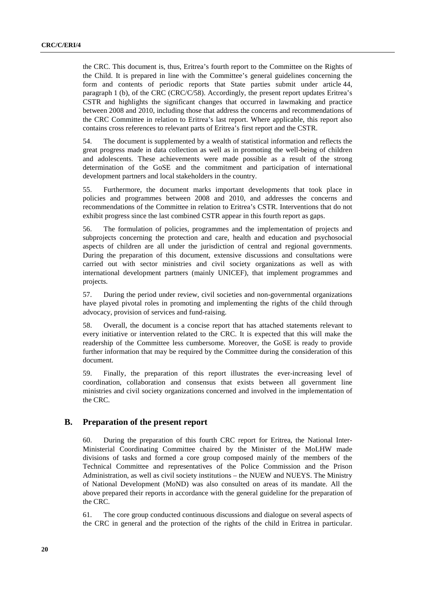the CRC. This document is, thus, Eritrea's fourth report to the Committee on the Rights of the Child. It is prepared in line with the Committee's general guidelines concerning the form and contents of periodic reports that State parties submit under article 44, paragraph 1 (b), of the CRC (CRC/C/58). Accordingly, the present report updates Eritrea's CSTR and highlights the significant changes that occurred in lawmaking and practice between 2008 and 2010, including those that address the concerns and recommendations of the CRC Committee in relation to Eritrea's last report. Where applicable, this report also contains cross references to relevant parts of Eritrea's first report and the CSTR.

54. The document is supplemented by a wealth of statistical information and reflects the great progress made in data collection as well as in promoting the well-being of children and adolescents. These achievements were made possible as a result of the strong determination of the GoSE and the commitment and participation of international development partners and local stakeholders in the country.

55. Furthermore, the document marks important developments that took place in policies and programmes between 2008 and 2010, and addresses the concerns and recommendations of the Committee in relation to Eritrea's CSTR. Interventions that do not exhibit progress since the last combined CSTR appear in this fourth report as gaps.

56. The formulation of policies, programmes and the implementation of projects and subprojects concerning the protection and care, health and education and psychosocial aspects of children are all under the jurisdiction of central and regional governments. During the preparation of this document, extensive discussions and consultations were carried out with sector ministries and civil society organizations as well as with international development partners (mainly UNICEF), that implement programmes and projects.

57. During the period under review, civil societies and non-governmental organizations have played pivotal roles in promoting and implementing the rights of the child through advocacy, provision of services and fund-raising.

58. Overall, the document is a concise report that has attached statements relevant to every initiative or intervention related to the CRC. It is expected that this will make the readership of the Committee less cumbersome. Moreover, the GoSE is ready to provide further information that may be required by the Committee during the consideration of this document.

59. Finally, the preparation of this report illustrates the ever-increasing level of coordination, collaboration and consensus that exists between all government line ministries and civil society organizations concerned and involved in the implementation of the CRC.

### **B. Preparation of the present report**

60. During the preparation of this fourth CRC report for Eritrea, the National Inter-Ministerial Coordinating Committee chaired by the Minister of the MoLHW made divisions of tasks and formed a core group composed mainly of the members of the Technical Committee and representatives of the Police Commission and the Prison Administration, as well as civil society institutions – the NUEW and NUEYS. The Ministry of National Development (MoND) was also consulted on areas of its mandate. All the above prepared their reports in accordance with the general guideline for the preparation of the CRC.

61. The core group conducted continuous discussions and dialogue on several aspects of the CRC in general and the protection of the rights of the child in Eritrea in particular.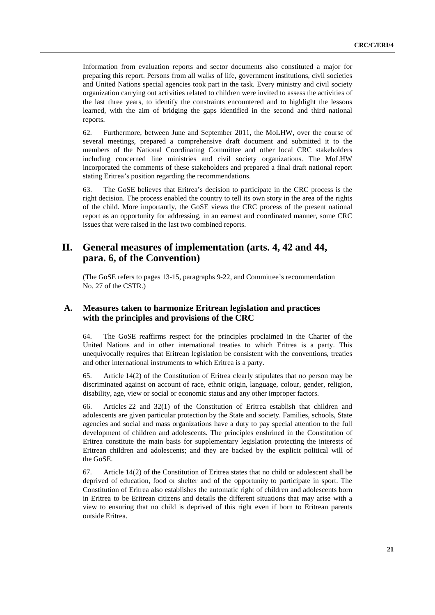Information from evaluation reports and sector documents also constituted a major for preparing this report. Persons from all walks of life, government institutions, civil societies and United Nations special agencies took part in the task. Every ministry and civil society organization carrying out activities related to children were invited to assess the activities of the last three years, to identify the constraints encountered and to highlight the lessons learned, with the aim of bridging the gaps identified in the second and third national reports.

62. Furthermore, between June and September 2011, the MoLHW, over the course of several meetings, prepared a comprehensive draft document and submitted it to the members of the National Coordinating Committee and other local CRC stakeholders including concerned line ministries and civil society organizations. The MoLHW incorporated the comments of these stakeholders and prepared a final draft national report stating Eritrea's position regarding the recommendations.

63. The GoSE believes that Eritrea's decision to participate in the CRC process is the right decision. The process enabled the country to tell its own story in the area of the rights of the child. More importantly, the GoSE views the CRC process of the present national report as an opportunity for addressing, in an earnest and coordinated manner, some CRC issues that were raised in the last two combined reports.

# **II. General measures of implementation (arts. 4, 42 and 44, para. 6, of the Convention)**

 (The GoSE refers to pages 13-15, paragraphs 9-22, and Committee's recommendation No. 27 of the CSTR.)

# **A. Measures taken to harmonize Eritrean legislation and practices with the principles and provisions of the CRC**

64. The GoSE reaffirms respect for the principles proclaimed in the Charter of the United Nations and in other international treaties to which Eritrea is a party. This unequivocally requires that Eritrean legislation be consistent with the conventions, treaties and other international instruments to which Eritrea is a party.

65. Article 14(2) of the Constitution of Eritrea clearly stipulates that no person may be discriminated against on account of race, ethnic origin, language, colour, gender, religion, disability, age, view or social or economic status and any other improper factors.

66. Articles 22 and 32(1) of the Constitution of Eritrea establish that children and adolescents are given particular protection by the State and society. Families, schools, State agencies and social and mass organizations have a duty to pay special attention to the full development of children and adolescents. The principles enshrined in the Constitution of Eritrea constitute the main basis for supplementary legislation protecting the interests of Eritrean children and adolescents; and they are backed by the explicit political will of the GoSE.

67. Article 14(2) of the Constitution of Eritrea states that no child or adolescent shall be deprived of education, food or shelter and of the opportunity to participate in sport. The Constitution of Eritrea also establishes the automatic right of children and adolescents born in Eritrea to be Eritrean citizens and details the different situations that may arise with a view to ensuring that no child is deprived of this right even if born to Eritrean parents outside Eritrea.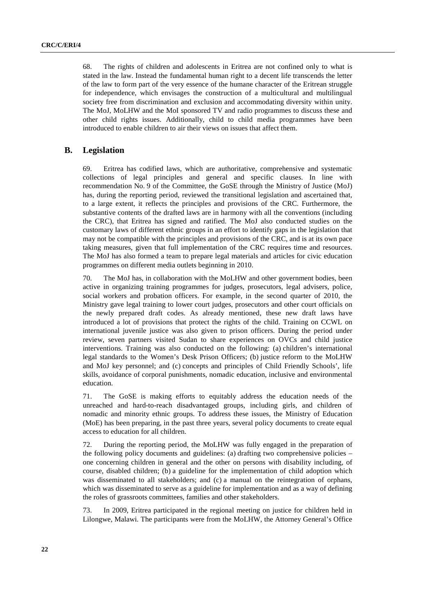68. The rights of children and adolescents in Eritrea are not confined only to what is stated in the law. Instead the fundamental human right to a decent life transcends the letter of the law to form part of the very essence of the humane character of the Eritrean struggle for independence, which envisages the construction of a multicultural and multilingual society free from discrimination and exclusion and accommodating diversity within unity. The MoJ, MoLHW and the MoI sponsored TV and radio programmes to discuss these and other child rights issues. Additionally, child to child media programmes have been introduced to enable children to air their views on issues that affect them.

# **B. Legislation**

69. Eritrea has codified laws, which are authoritative, comprehensive and systematic collections of legal principles and general and specific clauses. In line with recommendation No. 9 of the Committee, the GoSE through the Ministry of Justice (MoJ) has, during the reporting period, reviewed the transitional legislation and ascertained that, to a large extent, it reflects the principles and provisions of the CRC. Furthermore, the substantive contents of the drafted laws are in harmony with all the conventions (including the CRC), that Eritrea has signed and ratified. The MoJ also conducted studies on the customary laws of different ethnic groups in an effort to identify gaps in the legislation that may not be compatible with the principles and provisions of the CRC, and is at its own pace taking measures, given that full implementation of the CRC requires time and resources. The MoJ has also formed a team to prepare legal materials and articles for civic education programmes on different media outlets beginning in 2010.

70. The MoJ has, in collaboration with the MoLHW and other government bodies, been active in organizing training programmes for judges, prosecutors, legal advisers, police, social workers and probation officers. For example, in the second quarter of 2010, the Ministry gave legal training to lower court judges, prosecutors and other court officials on the newly prepared draft codes. As already mentioned, these new draft laws have introduced a lot of provisions that protect the rights of the child. Training on CCWL on international juvenile justice was also given to prison officers. During the period under review, seven partners visited Sudan to share experiences on OVCs and child justice interventions. Training was also conducted on the following: (a) children's international legal standards to the Women's Desk Prison Officers; (b) justice reform to the MoLHW and MoJ key personnel; and (c) concepts and principles of Child Friendly Schools', life skills, avoidance of corporal punishments, nomadic education, inclusive and environmental education.

71. The GoSE is making efforts to equitably address the education needs of the unreached and hard-to-reach disadvantaged groups, including girls, and children of nomadic and minority ethnic groups. To address these issues, the Ministry of Education (MoE) has been preparing, in the past three years, several policy documents to create equal access to education for all children.

72. During the reporting period, the MoLHW was fully engaged in the preparation of the following policy documents and guidelines: (a) drafting two comprehensive policies – one concerning children in general and the other on persons with disability including, of course, disabled children; (b) a guideline for the implementation of child adoption which was disseminated to all stakeholders; and (c) a manual on the reintegration of orphans, which was disseminated to serve as a guideline for implementation and as a way of defining the roles of grassroots committees, families and other stakeholders.

73. In 2009, Eritrea participated in the regional meeting on justice for children held in Lilongwe, Malawi. The participants were from the MoLHW, the Attorney General's Office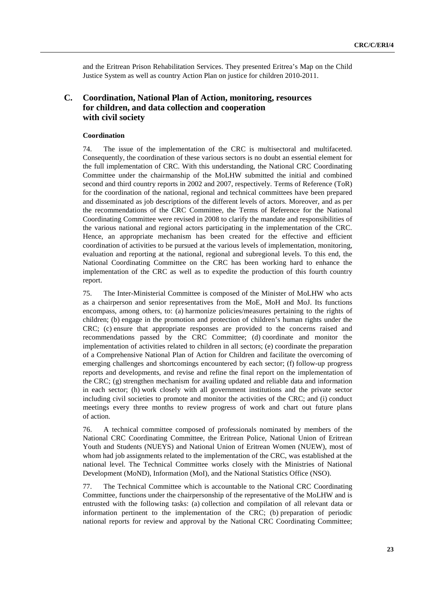and the Eritrean Prison Rehabilitation Services. They presented Eritrea's Map on the Child Justice System as well as country Action Plan on justice for children 2010-2011.

# **C. Coordination, National Plan of Action, monitoring, resources for children, and data collection and cooperation with civil society**

#### **Coordination**

74. The issue of the implementation of the CRC is multisectoral and multifaceted. Consequently, the coordination of these various sectors is no doubt an essential element for the full implementation of CRC. With this understanding, the National CRC Coordinating Committee under the chairmanship of the MoLHW submitted the initial and combined second and third country reports in 2002 and 2007, respectively. Terms of Reference (ToR) for the coordination of the national, regional and technical committees have been prepared and disseminated as job descriptions of the different levels of actors. Moreover, and as per the recommendations of the CRC Committee, the Terms of Reference for the National Coordinating Committee were revised in 2008 to clarify the mandate and responsibilities of the various national and regional actors participating in the implementation of the CRC. Hence, an appropriate mechanism has been created for the effective and efficient coordination of activities to be pursued at the various levels of implementation, monitoring, evaluation and reporting at the national, regional and subregional levels. To this end, the National Coordinating Committee on the CRC has been working hard to enhance the implementation of the CRC as well as to expedite the production of this fourth country report.

75. The Inter-Ministerial Committee is composed of the Minister of MoLHW who acts as a chairperson and senior representatives from the MoE, MoH and MoJ. Its functions encompass, among others, to: (a) harmonize policies/measures pertaining to the rights of children; (b) engage in the promotion and protection of children's human rights under the CRC; (c) ensure that appropriate responses are provided to the concerns raised and recommendations passed by the CRC Committee; (d) coordinate and monitor the implementation of activities related to children in all sectors; (e) coordinate the preparation of a Comprehensive National Plan of Action for Children and facilitate the overcoming of emerging challenges and shortcomings encountered by each sector; (f) follow-up progress reports and developments, and revise and refine the final report on the implementation of the CRC; (g) strengthen mechanism for availing updated and reliable data and information in each sector; (h) work closely with all government institutions and the private sector including civil societies to promote and monitor the activities of the CRC; and (i) conduct meetings every three months to review progress of work and chart out future plans of action.

76. A technical committee composed of professionals nominated by members of the National CRC Coordinating Committee, the Eritrean Police, National Union of Eritrean Youth and Students (NUEYS) and National Union of Eritrean Women (NUEW), most of whom had job assignments related to the implementation of the CRC, was established at the national level. The Technical Committee works closely with the Ministries of National Development (MoND), Information (MoI), and the National Statistics Office (NSO).

77. The Technical Committee which is accountable to the National CRC Coordinating Committee, functions under the chairpersonship of the representative of the MoLHW and is entrusted with the following tasks: (a) collection and compilation of all relevant data or information pertinent to the implementation of the CRC; (b) preparation of periodic national reports for review and approval by the National CRC Coordinating Committee;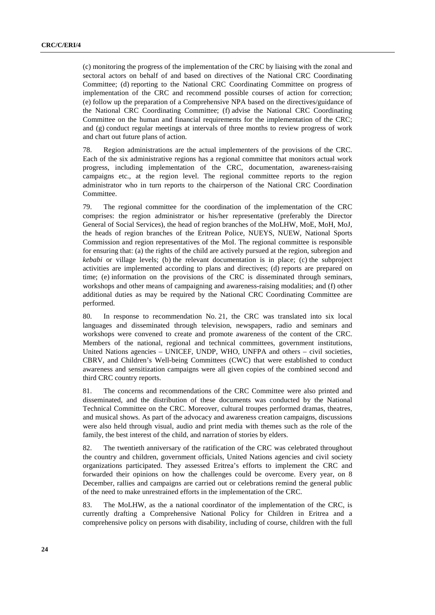(c) monitoring the progress of the implementation of the CRC by liaising with the zonal and sectoral actors on behalf of and based on directives of the National CRC Coordinating Committee; (d) reporting to the National CRC Coordinating Committee on progress of implementation of the CRC and recommend possible courses of action for correction; (e) follow up the preparation of a Comprehensive NPA based on the directives/guidance of the National CRC Coordinating Committee; (f) advise the National CRC Coordinating Committee on the human and financial requirements for the implementation of the CRC; and (g) conduct regular meetings at intervals of three months to review progress of work and chart out future plans of action.

78. Region administrations are the actual implementers of the provisions of the CRC. Each of the six administrative regions has a regional committee that monitors actual work progress, including implementation of the CRC, documentation, awareness-raising campaigns etc., at the region level. The regional committee reports to the region administrator who in turn reports to the chairperson of the National CRC Coordination Committee.

79. The regional committee for the coordination of the implementation of the CRC comprises: the region administrator or his/her representative (preferably the Director General of Social Services), the head of region branches of the MoLHW, MoE, MoH, MoJ, the heads of region branches of the Eritrean Police, NUEYS, NUEW, National Sports Commission and region representatives of the MoI. The regional committee is responsible for ensuring that: (a) the rights of the child are actively pursued at the region, subregion and *kebabi* or village levels; (b) the relevant documentation is in place; (c) the subproject activities are implemented according to plans and directives; (d) reports are prepared on time; (e) information on the provisions of the CRC is disseminated through seminars, workshops and other means of campaigning and awareness-raising modalities; and (f) other additional duties as may be required by the National CRC Coordinating Committee are performed.

80. In response to recommendation No. 21, the CRC was translated into six local languages and disseminated through television, newspapers, radio and seminars and workshops were convened to create and promote awareness of the content of the CRC. Members of the national, regional and technical committees, government institutions, United Nations agencies – UNICEF, UNDP, WHO, UNFPA and others – civil societies, CBRV, and Children's Well-being Committees (CWC) that were established to conduct awareness and sensitization campaigns were all given copies of the combined second and third CRC country reports.

81. The concerns and recommendations of the CRC Committee were also printed and disseminated, and the distribution of these documents was conducted by the National Technical Committee on the CRC. Moreover, cultural troupes performed dramas, theatres, and musical shows. As part of the advocacy and awareness creation campaigns, discussions were also held through visual, audio and print media with themes such as the role of the family, the best interest of the child, and narration of stories by elders.

82. The twentieth anniversary of the ratification of the CRC was celebrated throughout the country and children, government officials, United Nations agencies and civil society organizations participated. They assessed Eritrea's efforts to implement the CRC and forwarded their opinions on how the challenges could be overcome. Every year, on 8 December, rallies and campaigns are carried out or celebrations remind the general public of the need to make unrestrained efforts in the implementation of the CRC.

83. The MoLHW, as the a national coordinator of the implementation of the CRC, is currently drafting a Comprehensive National Policy for Children in Eritrea and a comprehensive policy on persons with disability, including of course, children with the full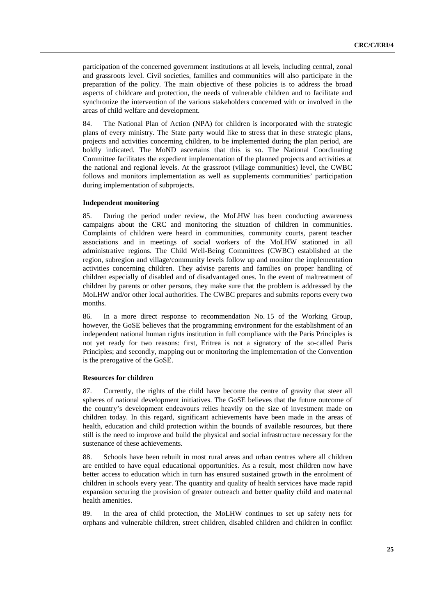participation of the concerned government institutions at all levels, including central, zonal and grassroots level. Civil societies, families and communities will also participate in the preparation of the policy. The main objective of these policies is to address the broad aspects of childcare and protection, the needs of vulnerable children and to facilitate and synchronize the intervention of the various stakeholders concerned with or involved in the areas of child welfare and development.

84. The National Plan of Action (NPA) for children is incorporated with the strategic plans of every ministry. The State party would like to stress that in these strategic plans, projects and activities concerning children, to be implemented during the plan period, are boldly indicated. The MoND ascertains that this is so. The National Coordinating Committee facilitates the expedient implementation of the planned projects and activities at the national and regional levels. At the grassroot (village communities) level, the CWBC follows and monitors implementation as well as supplements communities' participation during implementation of subprojects.

#### **Independent monitoring**

85. During the period under review, the MoLHW has been conducting awareness campaigns about the CRC and monitoring the situation of children in communities. Complaints of children were heard in communities, community courts, parent teacher associations and in meetings of social workers of the MoLHW stationed in all administrative regions. The Child Well-Being Committees (CWBC) established at the region, subregion and village/community levels follow up and monitor the implementation activities concerning children. They advise parents and families on proper handling of children especially of disabled and of disadvantaged ones. In the event of maltreatment of children by parents or other persons, they make sure that the problem is addressed by the MoLHW and/or other local authorities. The CWBC prepares and submits reports every two months.

86. In a more direct response to recommendation No. 15 of the Working Group, however, the GoSE believes that the programming environment for the establishment of an independent national human rights institution in full compliance with the Paris Principles is not yet ready for two reasons: first, Eritrea is not a signatory of the so-called Paris Principles; and secondly, mapping out or monitoring the implementation of the Convention is the prerogative of the GoSE.

#### **Resources for children**

87. Currently, the rights of the child have become the centre of gravity that steer all spheres of national development initiatives. The GoSE believes that the future outcome of the country's development endeavours relies heavily on the size of investment made on children today. In this regard, significant achievements have been made in the areas of health, education and child protection within the bounds of available resources, but there still is the need to improve and build the physical and social infrastructure necessary for the sustenance of these achievements.

88. Schools have been rebuilt in most rural areas and urban centres where all children are entitled to have equal educational opportunities. As a result, most children now have better access to education which in turn has ensured sustained growth in the enrolment of children in schools every year. The quantity and quality of health services have made rapid expansion securing the provision of greater outreach and better quality child and maternal health amenities.

89. In the area of child protection, the MoLHW continues to set up safety nets for orphans and vulnerable children, street children, disabled children and children in conflict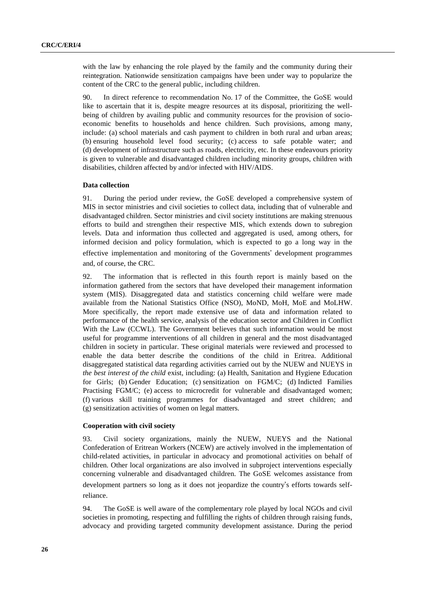with the law by enhancing the role played by the family and the community during their reintegration. Nationwide sensitization campaigns have been under way to popularize the content of the CRC to the general public, including children.

90. In direct reference to recommendation No. 17 of the Committee, the GoSE would like to ascertain that it is, despite meagre resources at its disposal, prioritizing the wellbeing of children by availing public and community resources for the provision of socioeconomic benefits to households and hence children. Such provisions, among many, include: (a) school materials and cash payment to children in both rural and urban areas; (b) ensuring household level food security; (c) access to safe potable water; and (d) development of infrastructure such as roads, electricity, etc. In these endeavours priority is given to vulnerable and disadvantaged children including minority groups, children with disabilities, children affected by and/or infected with HIV/AIDS.

#### **Data collection**

91. During the period under review, the GoSE developed a comprehensive system of MIS in sector ministries and civil societies to collect data, including that of vulnerable and disadvantaged children. Sector ministries and civil society institutions are making strenuous efforts to build and strengthen their respective MIS, which extends down to subregion levels. Data and information thus collected and aggregated is used, among others, for informed decision and policy formulation, which is expected to go a long way in the effective implementation and monitoring of the Governments' development programmes<br>and, of course, the CRC.<br>92. The information that is reflected in this fourth report is mainly based on the and, of course, the CRC.

92. The information that is reflected in this fourth report is mainly based on the information gathered from the sectors that have developed their management information system (MIS). Disaggregated data and statistics concerning child welfare were made available from the National Statistics Office (NSO), MoND, MoH, MoE and MoLHW. More specifically, the report made extensive use of data and information related to performance of the health service, analysis of the education sector and Children in Conflict With the Law (CCWL). The Government believes that such information would be most useful for programme interventions of all children in general and the most disadvantaged children in society in particular. These original materials were reviewed and processed to enable the data better describe the conditions of the child in Eritrea. Additional disaggregated statistical data regarding activities carried out by the NUEW and NUEYS in *the best interest of the child* exist, including: (a) Health, Sanitation and Hygiene Education for Girls; (b) Gender Education; (c) sensitization on FGM/C; (d) Indicted Families Practising FGM/C; (e) access to microcredit for vulnerable and disadvantaged women; (f) various skill training programmes for disadvantaged and street children; and (g) sensitization activities of women on legal matters.

#### **Cooperation with civil society**

93. Civil society organizations, mainly the NUEW, NUEYS and the National Confederation of Eritrean Workers (NCEW) are actively involved in the implementation of child-related activities, in particular in advocacy and promotional activities on behalf of children. Other local organizations are also involved in subproject interventions especially concerning vulnerable and disadvantaged children. The GoSE welcomes assistance from development partners so long as it does not jeopardize the country's efforts towards self-<br>reliance.<br>94. The GoSE is well aware of the complementary role played by local NGOs and civil reliance.

94. The GoSE is well aware of the complementary role played by local NGOs and civil societies in promoting, respecting and fulfilling the rights of children through raising funds, advocacy and providing targeted community development assistance. During the period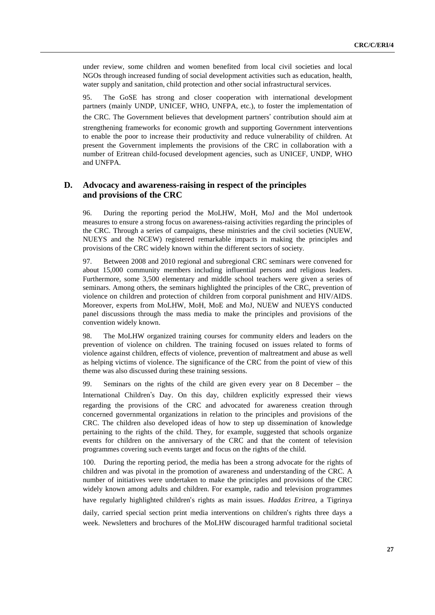under review, some children and women benefited from local civil societies and local NGOs through increased funding of social development activities such as education, health, water supply and sanitation, child protection and other social infrastructural services.

95. The GoSE has strong and closer cooperation with international development partners (mainly UNDP, UNICEF, WHO, UNFPA, etc.), to foster the implementation of

the CRC. The Government believes that development partners' contribution should aim at ' contribution should aim at strengthening frameworks for economic growth and supporting Government interventions to enable the poor to increase their productivity and reduce vulnerability of children. At present the Government implements the provisions of the CRC in collaboration with a number of Eritrean child-focused development agencies, such as UNICEF, UNDP, WHO and UNFPA.

# **D. Advocacy and awareness-raising in respect of the principles and provisions of the CRC**

96. During the reporting period the MoLHW, MoH, MoJ and the MoI undertook measures to ensure a strong focus on awareness-raising activities regarding the principles of the CRC. Through a series of campaigns, these ministries and the civil societies (NUEW, NUEYS and the NCEW) registered remarkable impacts in making the principles and provisions of the CRC widely known within the different sectors of society.

97. Between 2008 and 2010 regional and subregional CRC seminars were convened for about 15,000 community members including influential persons and religious leaders. Furthermore, some 3,500 elementary and middle school teachers were given a series of seminars. Among others, the seminars highlighted the principles of the CRC, prevention of violence on children and protection of children from corporal punishment and HIV/AIDS. Moreover, experts from MoLHW, MoH, MoE and MoJ, NUEW and NUEYS conducted panel discussions through the mass media to make the principles and provisions of the convention widely known.

98. The MoLHW organized training courses for community elders and leaders on the prevention of violence on children. The training focused on issues related to forms of violence against children, effects of violence, prevention of maltreatment and abuse as well as helping victims of violence. The significance of the CRC from the point of view of this theme was also discussed during these training sessions.

99. Seminars on the rights of the child are given every year on 8 December – the International Children's Day. On this day, children explicitly expressed their views 's Day. On this day, children explicitly expressed their views<br>ons of the CRC and advocated for awareness creation through<br>al organizations in relation to the principles and provisions of the regarding the provisions of the CRC and advocated for awareness creation through concerned governmental organizations in relation to the principles and provisions of the CRC. The children also developed ideas of how to step up dissemination of knowledge pertaining to the rights of the child. They, for example, suggested that schools organize events for children on the anniversary of the CRC and that the content of television programmes covering such events target and focus on the rights of the child.

100. During the reporting period, the media has been a strong advocate for the rights of children and was pivotal in the promotion of awareness and understanding of the CRC. A number of initiatives were undertaken to make the principles and provisions of the CRC widely known among adults and children. For example, radio and television programmes have regularly highlighted children's rights as main issues. *Haddas Eritrea*, a Tigrinya

's rights as main issues. *Haddas Eritrea*, a Tigrinya daily, carried special section print media interventions on children's rights three days a week. Newsletters and brochures of the MoLHW discouraged harmful traditional societal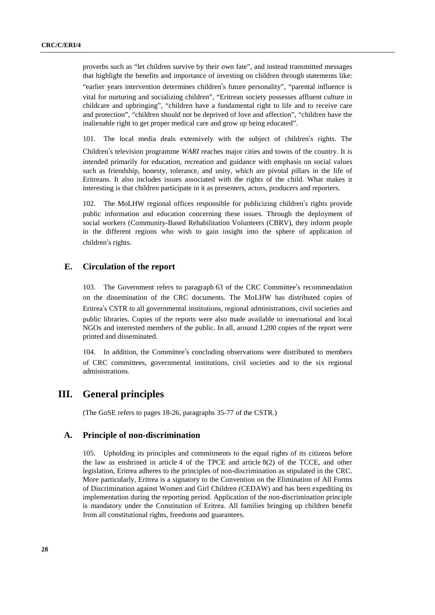proverbs such as "let children survive by their own fate", and instead transmitted messages that highlight the benefits and importance of investing on children through statements like:

"earlier years intervention determines children's future personality", "parental influence is 's future personality'', "parental influence is<br>Eritrean society possesses affluent culture in<br>undamental right to life and to receive care vital for nurturing and socializing children", "Eritrean society possesses affluent culture in childcare and upbringing", "children have a fundamental right to life and to receive care and protection", "children should not be deprived of love and affection", "children have the inalienable right to get proper medical care and grow up being educated".

101. The local media deals extensively with the subject of children's rights. The

s rights. The<br>e country. It is<br>a social values ChildrenChildren's television programme *WARI* reaches major cities and towns of the country. It is intended primarily for education, recreation and guidance with emphasis on social values such as friendship, honesty, tolerance, a intended primarily for education, recreation and guidance with emphasis on social values Eritreans. It also includes issues associated with the rights of the child. What makes it interesting is that children participate in it as presenters, actors, producers and reporters.

102. The MoLHW regional offices responsible for publicizing children's rights provide  $\alpha$ : s rights provide<br>  $\alpha$ : deployment of<br>
sy inform people public information and education concerning these issues. Through the deployment of social workers (Community-Based Rehabilitation Volunteers (CBRV), they inform people in the different regions who wish to gain insight into the sphere of application of children's rights.<br>Circulation of

### **E. Circulation of the report**

103. The Government refers to paragraph 63 of the CRC Committee's recommendation 's recommendation<br>stributed copies of<br>civil societies and on the dissemination of the CRC documents. The MoLHW has distributed copies of Eritrea's CSTR to all governmental institutions, regional administrations, civil societies and 's CSTR to all governmental institutions, regional administrations, civil societies and libraries. Copies of the reports were also made available to international and local and interested members of the public. In all, aro public libraries. Copies of the reports were also made available to international and local NGOs and interested members of the public. In all, around 1,200 copies of the report were printed and disseminated.

104. In addition, the Committee's concluding observations were distributed to members 's concluding observations were distributed to members<br>al institutions, civil societies and to the six regional of CRC committees, governmental institutions, civil societies and to the six regional administrations.

# **III. General principles**

(The GoSE refers to pages 18-26, paragraphs 35-77 of the CSTR.)

### **A. Principle of non-discrimination**

105. Upholding its principles and commitments to the equal rights of its citizens before the law as enshrined in article 4 of the TPCE and article 8(2) of the TCCE, and other legislation, Eritrea adheres to the principles of non-discrimination as stipulated in the CRC. More particularly, Eritrea is a signatory to the Convention on the Elimination of All Forms of Discrimination against Women and Girl Children (CEDAW) and has been expediting its implementation during the reporting period. Application of the non-discrimination principle is mandatory under the Constitution of Eritrea. All families bringing up children benefit from all constitutional rights, freedoms and guarantees.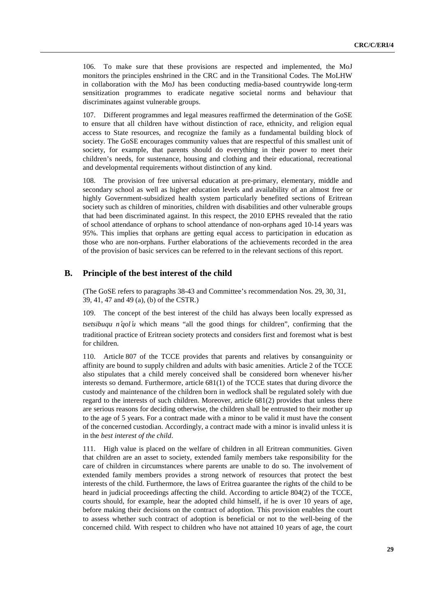106. To make sure that these provisions are respected and implemented, the MoJ monitors the principles enshrined in the CRC and in the Transitional Codes. The MoLHW in collaboration with the MoJ has been conducting media-based countrywide long-term sensitization programmes to eradicate negative societal norms and behaviour that discriminates against vulnerable groups.

107. Different programmes and legal measures reaffirmed the determination of the GoSE to ensure that all children have without distinction of race, ethnicity, and religion equal access to State resources, and recognize the family as a fundamental building block of society. The GoSE encourages community values that are respectful of this smallest unit of society, for example, that parents should do everything in their power to meet their children's needs, for sustenance, housing and clothing and their educational, recreational and developmental requirements without distinction of any kind.

108. The provision of free universal education at pre-primary, elementary, middle and secondary school as well as higher education levels and availability of an almost free or highly Government-subsidized health system particularly benefited sections of Eritrean society such as children of minorities, children with disabilities and other vulnerable groups that had been discriminated against. In this respect, the 2010 EPHS revealed that the ratio of school attendance of orphans to school attendance of non-orphans aged 10-14 years was 95%. This implies that orphans are getting equal access to participation in education as those who are non-orphans. Further elaborations of the achievements recorded in the area of the provision of basic services can be referred to in the relevant sections of this report.

### **B. Principle of the best interest of the child**

 (The GoSE refers to paragraphs 38-43 and Committee's recommendation Nos. 29, 30, 31, 39, 41, 47 and 49 (a), (b) of the CSTR.)

109. The concept of the best interest of the child has always been locally expressed as *tsetsibuqu n'qol'u* which means "all the good things for children", confirming that the '*qol'u* which means "all the good things for children", confirming that the ractice of Eritrean society protects and considers first and foremost what is best traditional practice of Eritrean society protects and considers first and foremost what is best for children.

110. Article 807 of the TCCE provides that parents and relatives by consanguinity or affinity are bound to supply children and adults with basic amenities. Article 2 of the TCCE also stipulates that a child merely conceived shall be considered born whenever his/her interests so demand. Furthermore, article 681(1) of the TCCE states that during divorce the custody and maintenance of the children born in wedlock shall be regulated solely with due regard to the interests of such children. Moreover, article 681(2) provides that unless there are serious reasons for deciding otherwise, the children shall be entrusted to their mother up to the age of 5 years. For a contract made with a minor to be valid it must have the consent of the concerned custodian. Accordingly, a contract made with a minor is invalid unless it is in the *best interest of the child*.

111. High value is placed on the welfare of children in all Eritrean communities. Given that children are an asset to society, extended family members take responsibility for the care of children in circumstances where parents are unable to do so. The involvement of extended family members provides a strong network of resources that protect the best interests of the child. Furthermore, the laws of Eritrea guarantee the rights of the child to be heard in judicial proceedings affecting the child. According to article 804(2) of the TCCE, courts should, for example, hear the adopted child himself, if he is over 10 years of age, before making their decisions on the contract of adoption. This provision enables the court to assess whether such contract of adoption is beneficial or not to the well-being of the concerned child. With respect to children who have not attained 10 years of age, the court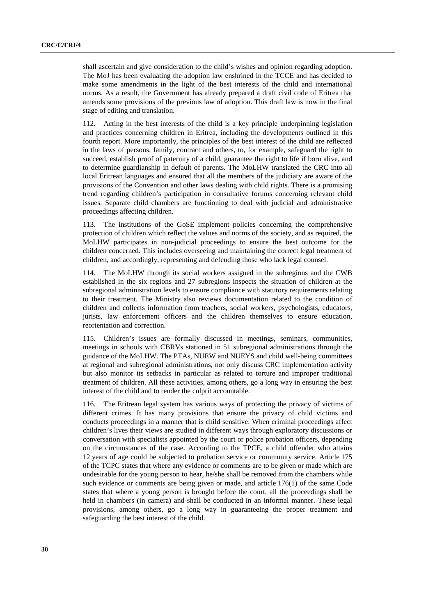shall ascertain and give consideration to the child's wishes and opinion regarding adoption. The MoJ has been evaluating the adoption law enshrined in the TCCE and has decided to make some amendments in the light of the best interests of the child and international norms. As a result, the Government has already prepared a draft civil code of Eritrea that amends some provisions of the previous law of adoption. This draft law is now in the final stage of editing and translation.

112. Acting in the best interests of the child is a key principle underpinning legislation and practices concerning children in Eritrea, including the developments outlined in this fourth report. More importantly, the principles of the best interest of the child are reflected in the laws of persons, family, contract and others, to, for example, safeguard the right to succeed, establish proof of paternity of a child, guarantee the right to life if born alive, and to determine guardianship in default of parents. The MoLHW translated the CRC into all local Eritrean languages and ensured that all the members of the judiciary are aware of the provisions of the Convention and other laws dealing with child rights. There is a promising trend regarding children's participation in consultative forums concerning relevant child issues. Separate child chambers are functioning to deal with judicial and administrative proceedings affecting children.

113. The institutions of the GoSE implement policies concerning the comprehensive protection of children which reflect the values and norms of the society, and as required, the MoLHW participates in non-judicial proceedings to ensure the best outcome for the children concerned. This includes overseeing and maintaining the correct legal treatment of children, and accordingly, representing and defending those who lack legal counsel.

114. The MoLHW through its social workers assigned in the subregions and the CWB established in the six regions and 27 subregions inspects the situation of children at the subregional administration levels to ensure compliance with statutory requirements relating to their treatment. The Ministry also reviews documentation related to the condition of children and collects information from teachers, social workers, psychologists, educators, jurists, law enforcement officers and the children themselves to ensure education, reorientation and correction.

115. Children's issues are formally discussed in meetings, seminars, communities, meetings in schools with CBRVs stationed in 51 subregional administrations through the guidance of the MoLHW. The PTAs, NUEW and NUEYS and child well-being committees at regional and subregional administrations, not only discuss CRC implementation activity but also monitor its setbacks in particular as related to torture and improper traditional treatment of children. All these activities, among others, go a long way in ensuring the best interest of the child and to render the culprit accountable.

116. The Eritrean legal system has various ways of protecting the privacy of victims of different crimes. It has many provisions that ensure the privacy of child victims and conducts proceedings in a manner that is child sensitive. When criminal proceedings affect children's lives their views are studied in different ways through exploratory discussions or conversation with specialists appointed by the court or police probation officers, depending on the circumstances of the case. According to the TPCE, a child offender who attains 12 years of age could be subjected to probation service or community service. Article 175 of the TCPC states that where any evidence or comments are to be given or made which are undesirable for the young person to hear, he/she shall be removed from the chambers while such evidence or comments are being given or made, and article 176(1) of the same Code states that where a young person is brought before the court, all the proceedings shall be held in chambers (in camera) and shall be conducted in an informal manner. These legal provisions, among others, go a long way in guaranteeing the proper treatment and safeguarding the best interest of the child.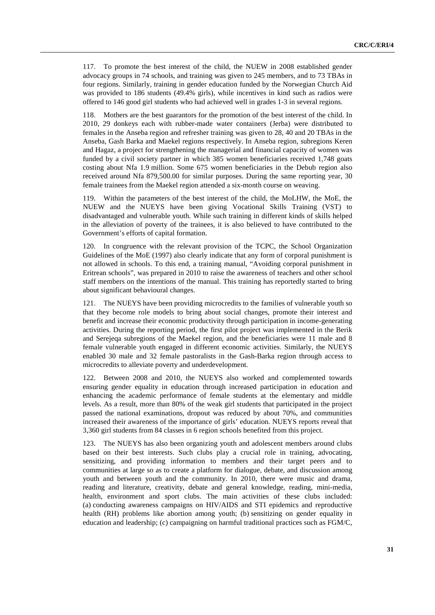117. To promote the best interest of the child, the NUEW in 2008 established gender advocacy groups in 74 schools, and training was given to 245 members, and to 73 TBAs in four regions. Similarly, training in gender education funded by the Norwegian Church Aid was provided to 186 students (49.4% girls), while incentives in kind such as radios were offered to 146 good girl students who had achieved well in grades 1-3 in several regions.

118. Mothers are the best guarantors for the promotion of the best interest of the child. In 2010, 29 donkeys each with rubber-made water containers (Jerba) were distributed to females in the Anseba region and refresher training was given to 28, 40 and 20 TBAs in the Anseba, Gash Barka and Maekel regions respectively. In Anseba region, subregions Keren and Hagaz, a project for strengthening the managerial and financial capacity of women was funded by a civil society partner in which 385 women beneficiaries received 1,748 goats costing about Nfa 1.9 million. Some 675 women beneficiaries in the Debub region also received around Nfa 879,500.00 for similar purposes. During the same reporting year, 30 female trainees from the Maekel region attended a six-month course on weaving.

119. Within the parameters of the best interest of the child, the MoLHW, the MoE, the NUEW and the NUEYS have been giving Vocational Skills Training (VST) to disadvantaged and vulnerable youth. While such training in different kinds of skills helped in the alleviation of poverty of the trainees, it is also believed to have contributed to the Government's efforts of capital formation.

120. In congruence with the relevant provision of the TCPC, the School Organization Guidelines of the MoE (1997) also clearly indicate that any form of corporal punishment is not allowed in schools. To this end, a training manual, "Avoiding corporal punishment in Eritrean schools", was prepared in 2010 to raise the awareness of teachers and other school staff members on the intentions of the manual. This training has reportedly started to bring about significant behavioural changes.

121. The NUEYS have been providing microcredits to the families of vulnerable youth so that they become role models to bring about social changes, promote their interest and benefit and increase their economic productivity through participation in income-generating activities. During the reporting period, the first pilot project was implemented in the Berik and Serejeqa subregions of the Maekel region, and the beneficiaries were 11 male and 8 female vulnerable youth engaged in different economic activities. Similarly, the NUEYS enabled 30 male and 32 female pastoralists in the Gash-Barka region through access to microcredits to alleviate poverty and underdevelopment.

122. Between 2008 and 2010, the NUEYS also worked and complemented towards ensuring gender equality in education through increased participation in education and enhancing the academic performance of female students at the elementary and middle levels. As a result, more than 80% of the weak girl students that participated in the project passed the national examinations, dropout was reduced by about 70%, and communities increased their awareness of the importance of girls' education. NUEYS reports reveal that 3,360 girl students from 84 classes in 6 region schools benefited from this project.

123. The NUEYS has also been organizing youth and adolescent members around clubs based on their best interests. Such clubs play a crucial role in training, advocating, sensitizing, and providing information to members and their target peers and to communities at large so as to create a platform for dialogue, debate, and discussion among youth and between youth and the community. In 2010, there were music and drama, reading and literature, creativity, debate and general knowledge, reading, mini-media, health, environment and sport clubs. The main activities of these clubs included: (a) conducting awareness campaigns on HIV/AIDS and STI epidemics and reproductive health (RH) problems like abortion among youth; (b) sensitizing on gender equality in education and leadership; (c) campaigning on harmful traditional practices such as FGM/C,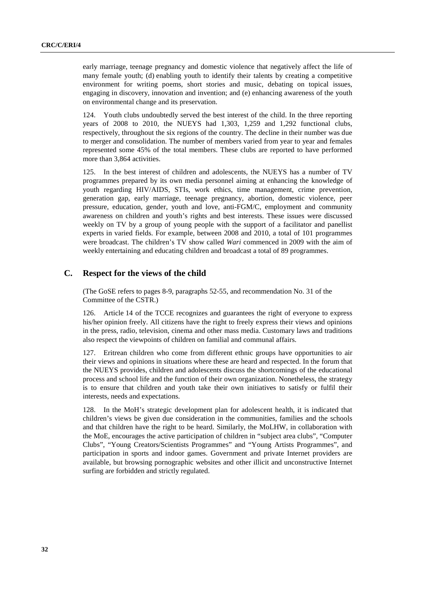early marriage, teenage pregnancy and domestic violence that negatively affect the life of many female youth; (d) enabling youth to identify their talents by creating a competitive environment for writing poems, short stories and music, debating on topical issues, engaging in discovery, innovation and invention; and (e) enhancing awareness of the youth on environmental change and its preservation.

124. Youth clubs undoubtedly served the best interest of the child. In the three reporting years of 2008 to 2010, the NUEYS had 1,303, 1,259 and 1,292 functional clubs, respectively, throughout the six regions of the country. The decline in their number was due to merger and consolidation. The number of members varied from year to year and females represented some 45% of the total members. These clubs are reported to have performed more than 3,864 activities.

125. In the best interest of children and adolescents, the NUEYS has a number of TV programmes prepared by its own media personnel aiming at enhancing the knowledge of youth regarding HIV/AIDS, STIs, work ethics, time management, crime prevention, generation gap, early marriage, teenage pregnancy, abortion, domestic violence, peer pressure, education, gender, youth and love, anti-FGM/C, employment and community awareness on children and youth's rights and best interests. These issues were discussed weekly on TV by a group of young people with the support of a facilitator and panellist experts in varied fields. For example, between 2008 and 2010, a total of 101 programmes were broadcast. The children's TV show called *Wari* commenced in 2009 with the aim of weekly entertaining and educating children and broadcast a total of 89 programmes.

# **C. Respect for the views of the child**

 (The GoSE refers to pages 8-9, paragraphs 52-55, and recommendation No. 31 of the Committee of the CSTR.)

126. Article 14 of the TCCE recognizes and guarantees the right of everyone to express his/her opinion freely. All citizens have the right to freely express their views and opinions in the press, radio, television, cinema and other mass media. Customary laws and traditions also respect the viewpoints of children on familial and communal affairs.

127. Eritrean children who come from different ethnic groups have opportunities to air their views and opinions in situations where these are heard and respected. In the forum that the NUEYS provides, children and adolescents discuss the shortcomings of the educational process and school life and the function of their own organization. Nonetheless, the strategy is to ensure that children and youth take their own initiatives to satisfy or fulfil their interests, needs and expectations.

In the MoH's strategic development plan for adolescent health, it is indicated that children's views be given due consideration in the communities, families and the schools and that children have the right to be heard. Similarly, the MoLHW, in collaboration with the MoE, encourages the active participation of children in "subject area clubs", "Computer Clubs", "Young Creators/Scientists Programmes" and "Young Artists Programmes", and participation in sports and indoor games. Government and private Internet providers are available, but browsing pornographic websites and other illicit and unconstructive Internet surfing are forbidden and strictly regulated.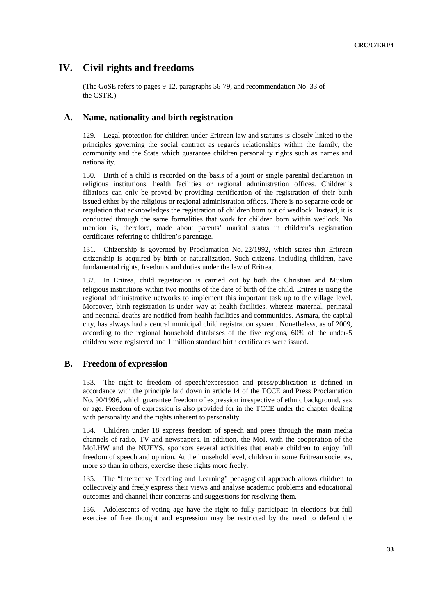# **IV. Civil rights and freedoms**

 (The GoSE refers to pages 9-12, paragraphs 56-79, and recommendation No. 33 of the CSTR.)

## **A. Name, nationality and birth registration**

129. Legal protection for children under Eritrean law and statutes is closely linked to the principles governing the social contract as regards relationships within the family, the community and the State which guarantee children personality rights such as names and nationality.

130. Birth of a child is recorded on the basis of a joint or single parental declaration in religious institutions, health facilities or regional administration offices. Children's filiations can only be proved by providing certification of the registration of their birth issued either by the religious or regional administration offices. There is no separate code or regulation that acknowledges the registration of children born out of wedlock. Instead, it is conducted through the same formalities that work for children born within wedlock. No mention is, therefore, made about parents' marital status in children's registration certificates referring to children's parentage.

131. Citizenship is governed by Proclamation No. 22/1992, which states that Eritrean citizenship is acquired by birth or naturalization. Such citizens, including children, have fundamental rights, freedoms and duties under the law of Eritrea.

132. In Eritrea, child registration is carried out by both the Christian and Muslim religious institutions within two months of the date of birth of the child. Eritrea is using the regional administrative networks to implement this important task up to the village level. Moreover, birth registration is under way at health facilities, whereas maternal, perinatal and neonatal deaths are notified from health facilities and communities. Asmara, the capital city, has always had a central municipal child registration system. Nonetheless, as of 2009, according to the regional household databases of the five regions, 60% of the under-5 children were registered and 1 million standard birth certificates were issued.

# **B. Freedom of expression**

133. The right to freedom of speech/expression and press/publication is defined in accordance with the principle laid down in article 14 of the TCCE and Press Proclamation No. 90/1996, which guarantee freedom of expression irrespective of ethnic background, sex or age. Freedom of expression is also provided for in the TCCE under the chapter dealing with personality and the rights inherent to personality.

134. Children under 18 express freedom of speech and press through the main media channels of radio, TV and newspapers. In addition, the MoI, with the cooperation of the MoLHW and the NUEYS, sponsors several activities that enable children to enjoy full freedom of speech and opinion. At the household level, children in some Eritrean societies, more so than in others, exercise these rights more freely.

135. The "Interactive Teaching and Learning" pedagogical approach allows children to collectively and freely express their views and analyse academic problems and educational outcomes and channel their concerns and suggestions for resolving them.

136. Adolescents of voting age have the right to fully participate in elections but full exercise of free thought and expression may be restricted by the need to defend the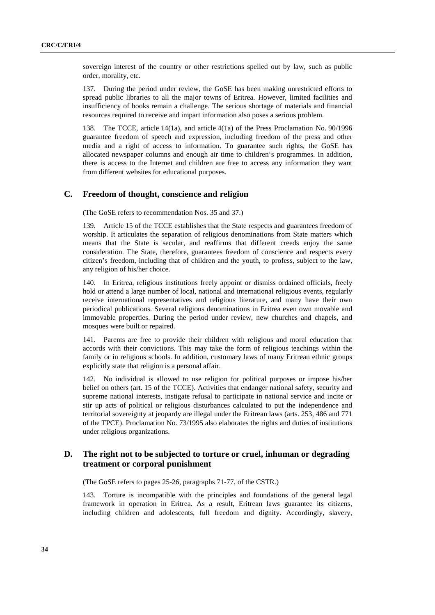sovereign interest of the country or other restrictions spelled out by law, such as public order, morality, etc.

137. During the period under review, the GoSE has been making unrestricted efforts to spread public libraries to all the major towns of Eritrea. However, limited facilities and insufficiency of books remain a challenge. The serious shortage of materials and financial resources required to receive and impart information also poses a serious problem.

138. The TCCE, article 14(1a), and article 4(1a) of the Press Proclamation No. 90/1996 guarantee freedom of speech and expression, including freedom of the press and other media and a right of access to information. To guarantee such rights, the GoSE has allocated newspaper columns and enough air time to children's programmes. In addition, there is access to the Internet and children are free to access any information they want from different websites for educational purposes.

### **C. Freedom of thought, conscience and religion**

(The GoSE refers to recommendation Nos. 35 and 37.)

139. Article 15 of the TCCE establishes that the State respects and guarantees freedom of worship. It articulates the separation of religious denominations from State matters which means that the State is secular, and reaffirms that different creeds enjoy the same consideration. The State, therefore, guarantees freedom of conscience and respects every citizen's freedom, including that of children and the youth, to profess, subject to the law, any religion of his/her choice.

140. In Eritrea, religious institutions freely appoint or dismiss ordained officials, freely hold or attend a large number of local, national and international religious events, regularly receive international representatives and religious literature, and many have their own periodical publications. Several religious denominations in Eritrea even own movable and immovable properties. During the period under review, new churches and chapels, and mosques were built or repaired.

141. Parents are free to provide their children with religious and moral education that accords with their convictions. This may take the form of religious teachings within the family or in religious schools. In addition, customary laws of many Eritrean ethnic groups explicitly state that religion is a personal affair.

142. No individual is allowed to use religion for political purposes or impose his/her belief on others (art. 15 of the TCCE). Activities that endanger national safety, security and supreme national interests, instigate refusal to participate in national service and incite or stir up acts of political or religious disturbances calculated to put the independence and territorial sovereignty at jeopardy are illegal under the Eritrean laws (arts. 253, 486 and 771 of the TPCE). Proclamation No. 73/1995 also elaborates the rights and duties of institutions under religious organizations.

# **D. The right not to be subjected to torture or cruel, inhuman or degrading treatment or corporal punishment**

(The GoSE refers to pages 25-26, paragraphs 71-77, of the CSTR.)

143. Torture is incompatible with the principles and foundations of the general legal framework in operation in Eritrea. As a result, Eritrean laws guarantee its citizens, including children and adolescents, full freedom and dignity. Accordingly, slavery,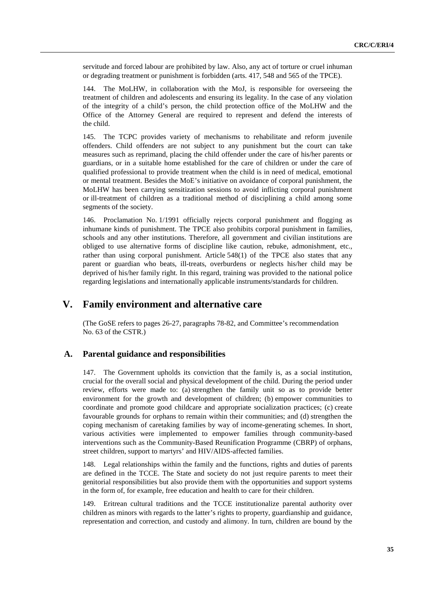servitude and forced labour are prohibited by law. Also, any act of torture or cruel inhuman or degrading treatment or punishment is forbidden (arts. 417, 548 and 565 of the TPCE).

144. The MoLHW, in collaboration with the MoJ, is responsible for overseeing the treatment of children and adolescents and ensuring its legality. In the case of any violation of the integrity of a child's person, the child protection office of the MoLHW and the Office of the Attorney General are required to represent and defend the interests of the child.

145. The TCPC provides variety of mechanisms to rehabilitate and reform juvenile offenders. Child offenders are not subject to any punishment but the court can take measures such as reprimand, placing the child offender under the care of his/her parents or guardians, or in a suitable home established for the care of children or under the care of qualified professional to provide treatment when the child is in need of medical, emotional or mental treatment. Besides the MoE's initiative on avoidance of corporal punishment, the MoLHW has been carrying sensitization sessions to avoid inflicting corporal punishment or ill-treatment of children as a traditional method of disciplining a child among some segments of the society.

146. Proclamation No. 1/1991 officially rejects corporal punishment and flogging as inhumane kinds of punishment. The TPCE also prohibits corporal punishment in families, schools and any other institutions. Therefore, all government and civilian institutions are obliged to use alternative forms of discipline like caution, rebuke, admonishment, etc., rather than using corporal punishment. Article 548(1) of the TPCE also states that any parent or guardian who beats, ill-treats, overburdens or neglects his/her child may be deprived of his/her family right. In this regard, training was provided to the national police regarding legislations and internationally applicable instruments/standards for children.

# **V. Family environment and alternative care**

 (The GoSE refers to pages 26-27, paragraphs 78-82, and Committee's recommendation No. 63 of the CSTR.)

# **A. Parental guidance and responsibilities**

147. The Government upholds its conviction that the family is, as a social institution, crucial for the overall social and physical development of the child. During the period under review, efforts were made to: (a) strengthen the family unit so as to provide better environment for the growth and development of children; (b) empower communities to coordinate and promote good childcare and appropriate socialization practices; (c) create favourable grounds for orphans to remain within their communities; and (d) strengthen the coping mechanism of caretaking families by way of income-generating schemes. In short, various activities were implemented to empower families through community-based interventions such as the Community-Based Reunification Programme (CBRP) of orphans, street children, support to martyrs' and HIV/AIDS-affected families.

148. Legal relationships within the family and the functions, rights and duties of parents are defined in the TCCE. The State and society do not just require parents to meet their genitorial responsibilities but also provide them with the opportunities and support systems in the form of, for example, free education and health to care for their children.

149. Eritrean cultural traditions and the TCCE institutionalize parental authority over children as minors with regards to the latter's rights to property, guardianship and guidance, representation and correction, and custody and alimony. In turn, children are bound by the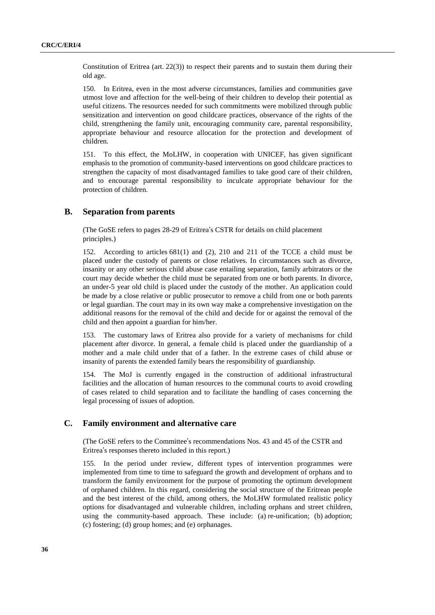Constitution of Eritrea (art. 22(3)) to respect their parents and to sustain them during their old age.

150. In Eritrea, even in the most adverse circumstances, families and communities gave utmost love and affection for the well-being of their children to develop their potential as useful citizens. The resources needed for such commitments were mobilized through public sensitization and intervention on good childcare practices, observance of the rights of the child, strengthening the family unit, encouraging community care, parental responsibility, appropriate behaviour and resource allocation for the protection and development of children.

151. To this effect, the MoLHW, in cooperation with UNICEF, has given significant emphasis to the promotion of community-based interventions on good childcare practices to strengthen the capacity of most disadvantaged families to take good care of their children, and to encourage parental responsibility to inculcate appropriate behaviour for the protection of children.

## **B. Separation from parents**

(The GoSE refers to pages 28-29 of Eritrea's CSTR for details on child placement (The GoSE refers to pages 28-29 of Eritrea's CSTR for details on child placement<br>principles.)<br>152. According to articles 681(1) and (2), 210 and 211 of the TCCE a child must be principles.)

placed under the custody of parents or close relatives. In circumstances such as divorce, insanity or any other serious child abuse case entailing separation, family arbitrators or the court may decide whether the child must be separated from one or both parents. In divorce, an under-5 year old child is placed under the custody of the mother. An application could be made by a close relative or public prosecutor to remove a child from one or both parents or legal guardian. The court may in its own way make a comprehensive investigation on the additional reasons for the removal of the child and decide for or against the removal of the child and then appoint a guardian for him/her.

153. The customary laws of Eritrea also provide for a variety of mechanisms for child placement after divorce. In general, a female child is placed under the guardianship of a mother and a male child under that of a father. In the extreme cases of child abuse or insanity of parents the extended family bears the responsibility of guardianship.

154. The MoJ is currently engaged in the construction of additional infrastructural facilities and the allocation of human resources to the communal courts to avoid crowding of cases related to child separation and to facilitate the handling of cases concerning the legal processing of issues of adoption.

### **C. Family environment and alternative care**

(The GoSE refers to the Committee's recommendations Nos. 43 and 45 of the CSTR and Eritrea's responses thereto included in this report.)<br>155. In the period under review, different types of intervention programmes we Eritrea's responses thereto included in this report.)

S responses thereto included in this report.)<br>In the period under review, different ty<br>nented from time to time to safeguard the gr 155. In the period under review, different types of intervention programmes were implemented from time to time to safeguard the growth and development of orphans and to transform the family environment for the purpose of promoting the optimum development of orphaned children. In this regard, considering the social structure of the Eritrean people and the best interest of the child, among others, the MoLHW formulated realistic policy options for disadvantaged and vulnerable children, including orphans and street children, using the community-based approach. These include: (a) re-unification; (b) adoption; (c) fostering; (d) group homes; and (e) orphanages.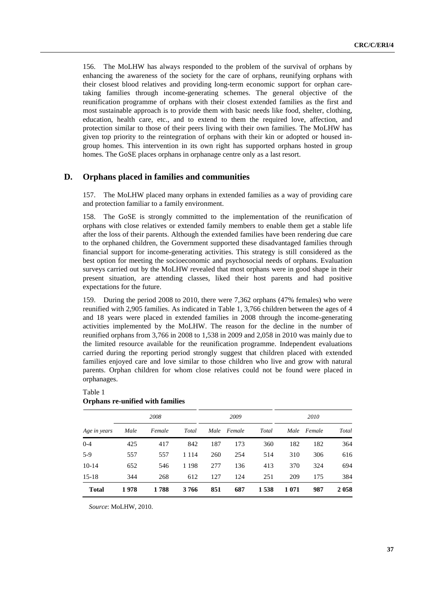156. The MoLHW has always responded to the problem of the survival of orphans by enhancing the awareness of the society for the care of orphans, reunifying orphans with their closest blood relatives and providing long-term economic support for orphan caretaking families through income-generating schemes. The general objective of the reunification programme of orphans with their closest extended families as the first and most sustainable approach is to provide them with basic needs like food, shelter, clothing, education, health care, etc., and to extend to them the required love, affection, and protection similar to those of their peers living with their own families. The MoLHW has given top priority to the reintegration of orphans with their kin or adopted or housed ingroup homes. This intervention in its own right has supported orphans hosted in group homes. The GoSE places orphans in orphanage centre only as a last resort.

# **D. Orphans placed in families and communities**

157. The MoLHW placed many orphans in extended families as a way of providing care and protection familiar to a family environment.

158. The GoSE is strongly committed to the implementation of the reunification of orphans with close relatives or extended family members to enable them get a stable life after the loss of their parents. Although the extended families have been rendering due care to the orphaned children, the Government supported these disadvantaged families through financial support for income-generating activities. This strategy is still considered as the best option for meeting the socioeconomic and psychosocial needs of orphans. Evaluation surveys carried out by the MoLHW revealed that most orphans were in good shape in their present situation, are attending classes, liked their host parents and had positive expectations for the future.

159. During the period 2008 to 2010, there were 7,362 orphans (47% females) who were reunified with 2,905 families. As indicated in Table 1, 3,766 children between the ages of 4 and 18 years were placed in extended families in 2008 through the income-generating activities implemented by the MoLHW. The reason for the decline in the number of reunified orphans from 3,766 in 2008 to 1,538 in 2009 and 2,058 in 2010 was mainly due to the limited resource available for the reunification programme. Independent evaluations carried during the reporting period strongly suggest that children placed with extended families enjoyed care and love similar to those children who live and grow with natural parents. Orphan children for whom close relatives could not be found were placed in orphanages.

Table 1

| Orphans re-unified with families |      |        |         |      |        |       |         |        |       |  |
|----------------------------------|------|--------|---------|------|--------|-------|---------|--------|-------|--|
| Age in years                     | 2008 |        |         | 2009 |        |       | 2010    |        |       |  |
|                                  | Male | Female | Total   | Male | Female | Total | Male    | Female | Total |  |
| $0 - 4$                          | 425  | 417    | 842     | 187  | 173    | 360   | 182     | 182    | 364   |  |
| $5-9$                            | 557  | 557    | 1 1 1 4 | 260  | 254    | 514   | 310     | 306    | 616   |  |
| $10-14$                          | 652  | 546    | 1 1 9 8 | 277  | 136    | 413   | 370     | 324    | 694   |  |
| $15-18$                          | 344  | 268    | 612     | 127  | 124    | 251   | 209     | 175    | 384   |  |
| <b>Total</b>                     | 1978 | 1788   | 3766    | 851  | 687    | 1538  | 1 0 7 1 | 987    | 2058  |  |

# **Orphans re-unified with families**

*Source*: MoLHW, 2010.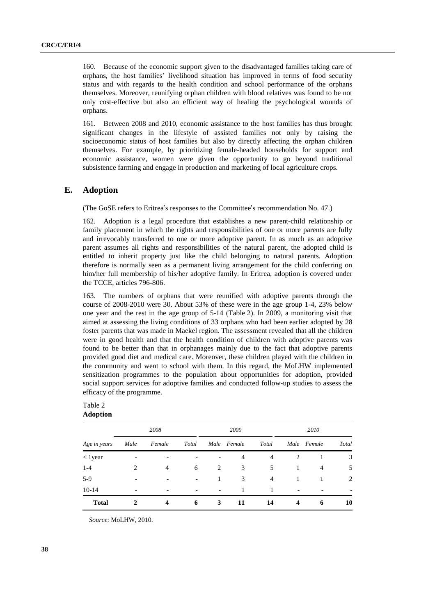160. Because of the economic support given to the disadvantaged families taking care of orphans, the host families' livelihood situation has improved in terms of food security status and with regards to the health condition and school performance of the orphans themselves. Moreover, reunifying orphan children with blood relatives was found to be not only cost-effective but also an efficient way of healing the psychological wounds of orphans.

161. Between 2008 and 2010, economic assistance to the host families has thus brought significant changes in the lifestyle of assisted families not only by raising the socioeconomic status of host families but also by directly affecting the orphan children themselves. For example, by prioritizing female-headed households for support and economic assistance, women were given the opportunity to go beyond traditional subsistence farming and engage in production and marketing of local agriculture crops.

# **E. Adoption**

(The GoSE refers to Eritrea's responses to the Committee's recommendation No. 47.)

The GoSE refers to Eritrea's responses to the Committee's recommendation No. 47.)<br>
162. Adoption is a legal procedure that establishes a new parent-child relationship or<br>
family placement in which the rights and responsibi 162. Adoption is a legal procedure that establishes a new parent-child relationship or and irrevocably transferred to one or more adoptive parent. In as much as an adoptive parent assumes all rights and responsibilities of the natural parent, the adopted child is entitled to inherit property just like the child belonging to natural parents. Adoption therefore is normally seen as a permanent living arrangement for the child conferring on him/her full membership of his/her adoptive family. In Eritrea, adoption is covered under the TCCE, articles 796-806.

163. The numbers of orphans that were reunified with adoptive parents through the course of 2008-2010 were 30. About 53% of these were in the age group 1-4, 23% below one year and the rest in the age group of 5-14 (Table 2). In 2009, a monitoring visit that aimed at assessing the living conditions of 33 orphans who had been earlier adopted by 28 foster parents that was made in Maekel region. The assessment revealed that all the children were in good health and that the health condition of children with adoptive parents was found to be better than that in orphanages mainly due to the fact that adoptive parents provided good diet and medical care. Moreover, these children played with the children in the community and went to school with them. In this regard, the MoLHW implemented sensitization programmes to the population about opportunities for adoption, provided social support services for adoptive families and conducted follow-up studies to assess the efficacy of the programme.

# Table 2 **Adoption**

| Age in years | 2008                     |                |       | 2009                     |                |       | 2010 |                          |                |
|--------------|--------------------------|----------------|-------|--------------------------|----------------|-------|------|--------------------------|----------------|
|              | Male                     | Female         | Total |                          | Male Female    | Total |      | Male Female              | Total          |
| $<$ 1 year   |                          |                |       |                          | $\overline{4}$ | 4     | 2    |                          | 3              |
| $1 - 4$      | 2                        | $\overline{4}$ | 6     | 2                        | 3              | 5     |      | 4                        | 5              |
| $5-9$        |                          |                | -     | 1                        | 3              | 4     |      |                          | $\overline{2}$ |
| $10-14$      | $\overline{\phantom{0}}$ | -              |       | $\overline{\phantom{a}}$ |                |       | -    | $\overline{\phantom{0}}$ | -              |
| <b>Total</b> | 2                        | 4              | 6     | 3                        | 11             | 14    | 4    | 6                        | 10             |

*Source*: MoLHW, 2010.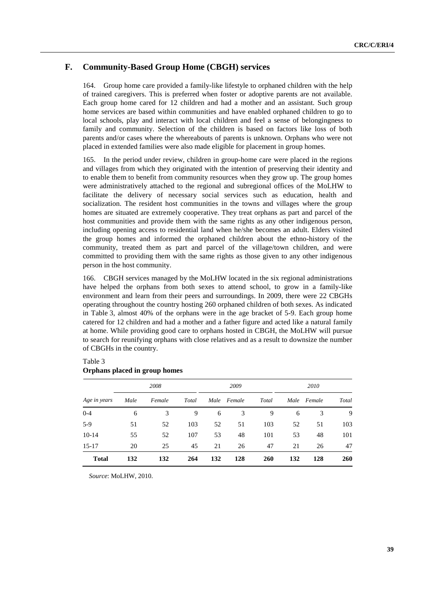# **F. Community-Based Group Home (CBGH) services**

164. Group home care provided a family-like lifestyle to orphaned children with the help of trained caregivers. This is preferred when foster or adoptive parents are not available. Each group home cared for 12 children and had a mother and an assistant. Such group home services are based within communities and have enabled orphaned children to go to local schools, play and interact with local children and feel a sense of belongingness to family and community. Selection of the children is based on factors like loss of both parents and/or cases where the whereabouts of parents is unknown. Orphans who were not placed in extended families were also made eligible for placement in group homes.

165. In the period under review, children in group-home care were placed in the regions and villages from which they originated with the intention of preserving their identity and to enable them to benefit from community resources when they grow up. The group homes were administratively attached to the regional and subregional offices of the MoLHW to facilitate the delivery of necessary social services such as education, health and socialization. The resident host communities in the towns and villages where the group homes are situated are extremely cooperative. They treat orphans as part and parcel of the host communities and provide them with the same rights as any other indigenous person, including opening access to residential land when he/she becomes an adult. Elders visited the group homes and informed the orphaned children about the ethno-history of the community, treated them as part and parcel of the village/town children, and were committed to providing them with the same rights as those given to any other indigenous person in the host community.

166. CBGH services managed by the MoLHW located in the six regional administrations have helped the orphans from both sexes to attend school, to grow in a family-like environment and learn from their peers and surroundings. In 2009, there were 22 CBGHs operating throughout the country hosting 260 orphaned children of both sexes. As indicated in Table 3, almost 40% of the orphans were in the age bracket of 5-9. Each group home catered for 12 children and had a mother and a father figure and acted like a natural family at home. While providing good care to orphans hosted in CBGH, the MoLHW will pursue to search for reunifying orphans with close relatives and as a result to downsize the number of CBGHs in the country.

|              | 2008 |        |       | 2009 |             |       | 2010 |             |       |
|--------------|------|--------|-------|------|-------------|-------|------|-------------|-------|
| Age in years | Male | Female | Total |      | Male Female | Total |      | Male Female | Total |
| $0 - 4$      | 6    | 3      | 9     | 6    | 3           | 9     | 6    | 3           | 9     |
| $5-9$        | 51   | 52     | 103   | 52   | 51          | 103   | 52   | 51          | 103   |
| $10-14$      | 55   | 52     | 107   | 53   | 48          | 101   | 53   | 48          | 101   |
| $15 - 17$    | 20   | 25     | 45    | 21   | 26          | 47    | 21   | 26          | 47    |
| <b>Total</b> | 132  | 132    | 264   | 132  | 128         | 260   | 132  | 128         | 260   |

### Table 3 **Orphans placed in group homes**

*Source*: MoLHW, 2010.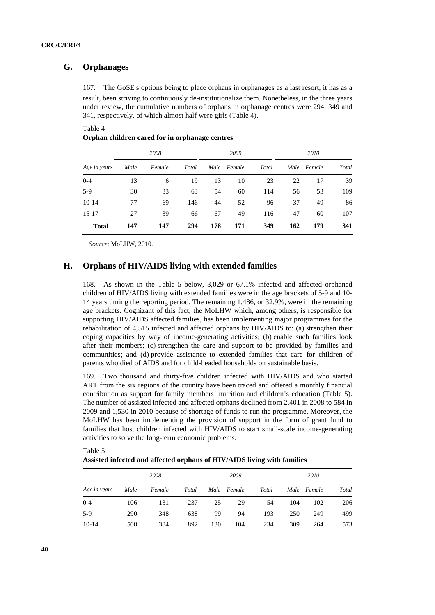# **G. Orphanages**

167. The GoSE's options being to place orphans in orphanages as a last resort, it has as a 's options being to place orphans in orphanages as a last resort, it has as a hag to continuously de-institutionalize them. Nonetheless, in the three years cumulative numbers of orphans in orphanage centres were 294, 349 a result, been striving to continuously de-institutionalize them. Nonetheless, in the three years under review, the cumulative numbers of orphans in orphanage centres were 294, 349 and 341, respectively, of which almost half were girls (Table 4).

### Table 4

**Orphan children cared for in orphanage centres** 

| Age in years | 2008 |        |       | 2009 |             |       | 2010 |             |       |
|--------------|------|--------|-------|------|-------------|-------|------|-------------|-------|
|              | Male | Female | Total |      | Male Female | Total |      | Male Female | Total |
| $0 - 4$      | 13   | 6      | 19    | 13   | 10          | 23    | 22   | 17          | 39    |
| $5-9$        | 30   | 33     | 63    | 54   | 60          | 114   | 56   | 53          | 109   |
| $10-14$      | 77   | 69     | 146   | 44   | 52          | 96    | 37   | 49          | 86    |
| $15 - 17$    | 27   | 39     | 66    | 67   | 49          | 116   | 47   | 60          | 107   |
| <b>Total</b> | 147  | 147    | 294   | 178  | 171         | 349   | 162  | 179         | 341   |

*Source*: MoLHW, 2010.

# **H. Orphans of HIV/AIDS living with extended families**

168. As shown in the Table 5 below, 3,029 or 67.1% infected and affected orphaned children of HIV/AIDS living with extended families were in the age brackets of 5-9 and 10- 14 years during the reporting period. The remaining 1,486, or 32.9%, were in the remaining age brackets. Cognizant of this fact, the MoLHW which, among others, is responsible for supporting HIV/AIDS affected families, has been implementing major programmes for the rehabilitation of 4,515 infected and affected orphans by HIV/AIDS to: (a) strengthen their coping capacities by way of income-generating activities; (b) enable such families look after their members; (c) strengthen the care and support to be provided by families and communities; and (d) provide assistance to extended families that care for children of parents who died of AIDS and for child-headed households on sustainable basis.

169. Two thousand and thirty-five children infected with HIV/AIDS and who started ART from the six regions of the country have been traced and offered a monthly financial contribution as support for family members' nutrition and children's education (Table 5). The number of assisted infected and affected orphans declined from 2,401 in 2008 to 584 in 2009 and 1,530 in 2010 because of shortage of funds to run the programme. Moreover, the MoLHW has been implementing the provision of support in the form of grant fund to families that host children infected with HIV/AIDS to start small-scale income-generating activities to solve the long-term economic problems.

| Age in years | 2008 |        |       | 2009 |             |       | 2010 |             |       |
|--------------|------|--------|-------|------|-------------|-------|------|-------------|-------|
|              | Male | Female | Total |      | Male Female | Total |      | Male Female | Total |
| $0 - 4$      | 106  | 131    | 237   | 25   | 29          | 54    | 104  | 102         | 206   |
| $5-9$        | 290  | 348    | 638   | 99   | 94          | 193   | 250  | 249         | 499   |
| $10-14$      | 508  | 384    | 892   | 130  | 104         | 234   | 309  | 264         | 573   |

Table 5 **Assisted infected and affected orphans of HIV/AIDS living with families**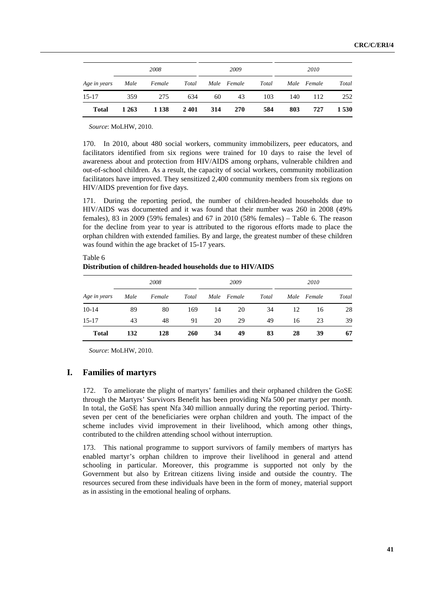| Age in years Male Female Total | 2008  |         |      | 2009 |             |       | 2010 |             |         |
|--------------------------------|-------|---------|------|------|-------------|-------|------|-------------|---------|
|                                |       |         |      |      | Male Female | Total |      | Male Female | Total   |
| $15-17$                        | 359   | 275     | 634  | 60   | 43          | 103   | 140  | 112         | 252     |
| <b>Total</b>                   | 1 263 | 1 1 3 8 | 2401 | 314  | <b>270</b>  | 584   | 803  | 727         | 1 5 3 0 |

*Source*: MoLHW, 2010.

170. In 2010, about 480 social workers, community immobilizers, peer educators, and facilitators identified from six regions were trained for 10 days to raise the level of awareness about and protection from HIV/AIDS among orphans, vulnerable children and out-of-school children. As a result, the capacity of social workers, community mobilization facilitators have improved. They sensitized 2,400 community members from six regions on HIV/AIDS prevention for five days.

171. During the reporting period, the number of children-headed households due to HIV/AIDS was documented and it was found that their number was 260 in 2008 (49% females), 83 in 2009 (59% females) and 67 in 2010 (58% females) – Table 6. The reason for the decline from year to year is attributed to the rigorous efforts made to place the orphan children with extended families. By and large, the greatest number of these children was found within the age bracket of 15-17 years.

| Table 6                                                    |  |
|------------------------------------------------------------|--|
| Distribution of children-headed households due to HIV/AIDS |  |

| Age in years | 2008 |        |       | 2009 |             |       | 2010 |             |       |
|--------------|------|--------|-------|------|-------------|-------|------|-------------|-------|
|              | Male | Female | Total |      | Male Female | Total |      | Male Female | Total |
| $10-14$      | 89   | 80     | 169   | 14   | 20          | 34    | 12   | 16          | 28    |
| $15 - 17$    | 43   | 48     | 91    | 20   | 29          | 49    | 16   | 23          | 39    |
| <b>Total</b> | 132  | 128    | 260   | 34   | 49          | 83    | 28   | 39          | 67    |

*Source*: MoLHW, 2010.

# **I. Families of martyrs**

172. To ameliorate the plight of martyrs' families and their orphaned children the GoSE through the Martyrs' Survivors Benefit has been providing Nfa 500 per martyr per month. In total, the GoSE has spent Nfa 340 million annually during the reporting period. Thirtyseven per cent of the beneficiaries were orphan children and youth. The impact of the scheme includes vivid improvement in their livelihood, which among other things, contributed to the children attending school without interruption.

173. This national programme to support survivors of family members of martyrs has enabled martyr's orphan children to improve their livelihood in general and attend schooling in particular. Moreover, this programme is supported not only by the Government but also by Eritrean citizens living inside and outside the country. The resources secured from these individuals have been in the form of money, material support as in assisting in the emotional healing of orphans.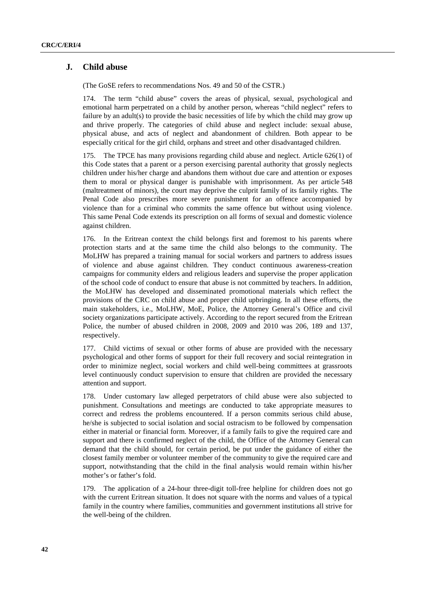# **J. Child abuse**

(The GoSE refers to recommendations Nos. 49 and 50 of the CSTR.)

The term "child abuse" covers the areas of physical, sexual, psychological and emotional harm perpetrated on a child by another person, whereas "child neglect" refers to failure by an adult(s) to provide the basic necessities of life by which the child may grow up and thrive properly. The categories of child abuse and neglect include: sexual abuse, physical abuse, and acts of neglect and abandonment of children. Both appear to be especially critical for the girl child, orphans and street and other disadvantaged children.

The TPCE has many provisions regarding child abuse and neglect. Article  $626(1)$  of this Code states that a parent or a person exercising parental authority that grossly neglects children under his/her charge and abandons them without due care and attention or exposes them to moral or physical danger is punishable with imprisonment. As per article 548 (maltreatment of minors), the court may deprive the culprit family of its family rights. The Penal Code also prescribes more severe punishment for an offence accompanied by violence than for a criminal who commits the same offence but without using violence. This same Penal Code extends its prescription on all forms of sexual and domestic violence against children.

176. In the Eritrean context the child belongs first and foremost to his parents where protection starts and at the same time the child also belongs to the community. The MoLHW has prepared a training manual for social workers and partners to address issues of violence and abuse against children. They conduct continuous awareness-creation campaigns for community elders and religious leaders and supervise the proper application of the school code of conduct to ensure that abuse is not committed by teachers. In addition, the MoLHW has developed and disseminated promotional materials which reflect the provisions of the CRC on child abuse and proper child upbringing. In all these efforts, the main stakeholders, i.e., MoLHW, MoE, Police, the Attorney General's Office and civil society organizations participate actively. According to the report secured from the Eritrean Police, the number of abused children in 2008, 2009 and 2010 was 206, 189 and 137, respectively.

177. Child victims of sexual or other forms of abuse are provided with the necessary psychological and other forms of support for their full recovery and social reintegration in order to minimize neglect, social workers and child well-being committees at grassroots level continuously conduct supervision to ensure that children are provided the necessary attention and support.

178. Under customary law alleged perpetrators of child abuse were also subjected to punishment. Consultations and meetings are conducted to take appropriate measures to correct and redress the problems encountered. If a person commits serious child abuse, he/she is subjected to social isolation and social ostracism to be followed by compensation either in material or financial form. Moreover, if a family fails to give the required care and support and there is confirmed neglect of the child, the Office of the Attorney General can demand that the child should, for certain period, be put under the guidance of either the closest family member or volunteer member of the community to give the required care and support, notwithstanding that the child in the final analysis would remain within his/her mother's or father's fold.

179. The application of a 24-hour three-digit toll-free helpline for children does not go with the current Eritrean situation. It does not square with the norms and values of a typical family in the country where families, communities and government institutions all strive for the well-being of the children.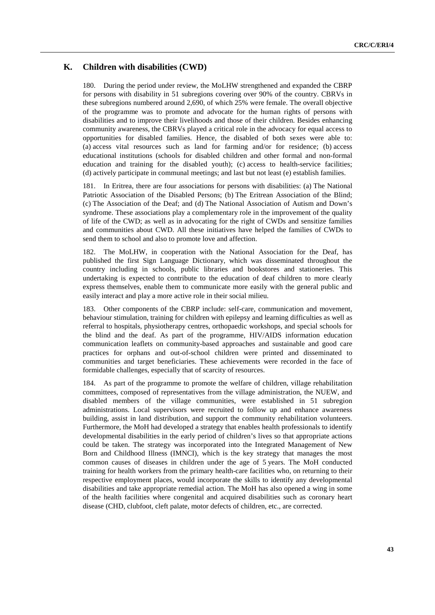# **K. Children with disabilities (CWD)**

180. During the period under review, the MoLHW strengthened and expanded the CBRP for persons with disability in 51 subregions covering over 90% of the country. CBRVs in these subregions numbered around 2,690, of which 25% were female. The overall objective of the programme was to promote and advocate for the human rights of persons with disabilities and to improve their livelihoods and those of their children. Besides enhancing community awareness, the CBRVs played a critical role in the advocacy for equal access to opportunities for disabled families. Hence, the disabled of both sexes were able to: (a) access vital resources such as land for farming and/or for residence; (b) access educational institutions (schools for disabled children and other formal and non-formal education and training for the disabled youth); (c) access to health-service facilities; (d) actively participate in communal meetings; and last but not least (e) establish families.

181. In Eritrea, there are four associations for persons with disabilities: (a) The National Patriotic Association of the Disabled Persons; (b) The Eritrean Association of the Blind; (c) The Association of the Deaf; and (d) The National Association of Autism and Down's syndrome. These associations play a complementary role in the improvement of the quality of life of the CWD; as well as in advocating for the right of CWDs and sensitize families and communities about CWD. All these initiatives have helped the families of CWDs to send them to school and also to promote love and affection.

182. The MoLHW, in cooperation with the National Association for the Deaf, has published the first Sign Language Dictionary, which was disseminated throughout the country including in schools, public libraries and bookstores and stationeries. This undertaking is expected to contribute to the education of deaf children to more clearly express themselves, enable them to communicate more easily with the general public and easily interact and play a more active role in their social milieu.

183. Other components of the CBRP include: self-care, communication and movement, behaviour stimulation, training for children with epilepsy and learning difficulties as well as referral to hospitals, physiotherapy centres, orthopaedic workshops, and special schools for the blind and the deaf. As part of the programme, HIV/AIDS information education communication leaflets on community-based approaches and sustainable and good care practices for orphans and out-of-school children were printed and disseminated to communities and target beneficiaries. These achievements were recorded in the face of formidable challenges, especially that of scarcity of resources.

184. As part of the programme to promote the welfare of children, village rehabilitation committees, composed of representatives from the village administration, the NUEW, and disabled members of the village communities, were established in 51 subregion administrations. Local supervisors were recruited to follow up and enhance awareness building, assist in land distribution, and support the community rehabilitation volunteers. Furthermore, the MoH had developed a strategy that enables health professionals to identify developmental disabilities in the early period of children's lives so that appropriate actions could be taken. The strategy was incorporated into the Integrated Management of New Born and Childhood Illness (IMNCI), which is the key strategy that manages the most common causes of diseases in children under the age of 5 years. The MoH conducted training for health workers from the primary health-care facilities who, on returning to their respective employment places, would incorporate the skills to identify any developmental disabilities and take appropriate remedial action. The MoH has also opened a wing in some of the health facilities where congenital and acquired disabilities such as coronary heart disease (CHD, clubfoot, cleft palate, motor defects of children, etc., are corrected.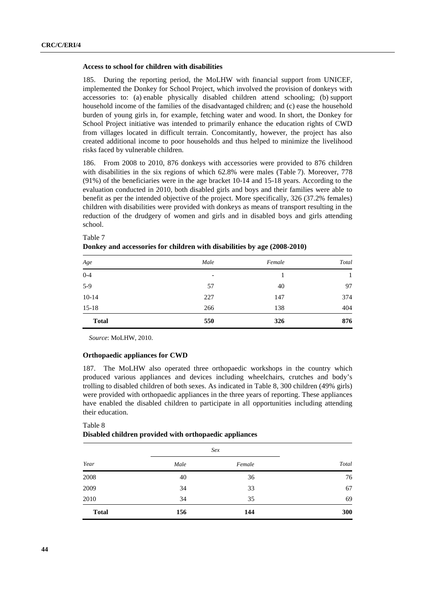#### **Access to school for children with disabilities**

185. During the reporting period, the MoLHW with financial support from UNICEF, implemented the Donkey for School Project, which involved the provision of donkeys with accessories to: (a) enable physically disabled children attend schooling; (b) support household income of the families of the disadvantaged children; and (c) ease the household burden of young girls in, for example, fetching water and wood. In short, the Donkey for School Project initiative was intended to primarily enhance the education rights of CWD from villages located in difficult terrain. Concomitantly, however, the project has also created additional income to poor households and thus helped to minimize the livelihood risks faced by vulnerable children.

186. From 2008 to 2010, 876 donkeys with accessories were provided to 876 children with disabilities in the six regions of which 62.8% were males (Table 7). Moreover, 778 (91%) of the beneficiaries were in the age bracket 10-14 and 15-18 years. According to the evaluation conducted in 2010, both disabled girls and boys and their families were able to benefit as per the intended objective of the project. More specifically, 326 (37.2% females) children with disabilities were provided with donkeys as means of transport resulting in the reduction of the drudgery of women and girls and in disabled boys and girls attending school.

| Age          | Male                     | Female | Total |
|--------------|--------------------------|--------|-------|
| $0 - 4$      | $\overline{\phantom{a}}$ |        |       |
| $5-9$        | 57                       | 40     | 97    |
| $10-14$      | 227                      | 147    | 374   |
| $15-18$      | 266                      | 138    | 404   |
| <b>Total</b> | 550                      | 326    | 876   |

#### Table 7

| Donkey and accessories for children with disabilities by age (2008-2010) |  |  |  |
|--------------------------------------------------------------------------|--|--|--|
|--------------------------------------------------------------------------|--|--|--|

*Source*: MoLHW, 2010.

### **Orthopaedic appliances for CWD**

187. The MoLHW also operated three orthopaedic workshops in the country which produced various appliances and devices including wheelchairs, crutches and body's trolling to disabled children of both sexes. As indicated in Table 8, 300 children (49% girls) were provided with orthopaedic appliances in the three years of reporting. These appliances have enabled the disabled children to participate in all opportunities including attending their education.

#### Table 8

### **Disabled children provided with orthopaedic appliances**

|              |      | Sex    |       |
|--------------|------|--------|-------|
| Year         | Male | Female | Total |
| 2008         | 40   | 36     | 76    |
| 2009         | 34   | 33     | 67    |
| 2010         | 34   | 35     | 69    |
| <b>Total</b> | 156  | 144    | 300   |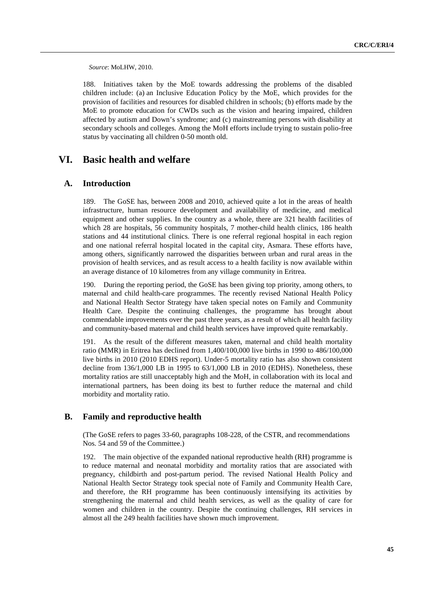*Source*: MoLHW, 2010.

188. Initiatives taken by the MoE towards addressing the problems of the disabled children include: (a) an Inclusive Education Policy by the MoE, which provides for the provision of facilities and resources for disabled children in schools; (b) efforts made by the MoE to promote education for CWDs such as the vision and hearing impaired, children affected by autism and Down's syndrome; and (c) mainstreaming persons with disability at secondary schools and colleges. Among the MoH efforts include trying to sustain polio-free status by vaccinating all children 0-50 month old.

# **VI. Basic health and welfare**

# **A. Introduction**

189. The GoSE has, between 2008 and 2010, achieved quite a lot in the areas of health infrastructure, human resource development and availability of medicine, and medical equipment and other supplies. In the country as a whole, there are 321 health facilities of which 28 are hospitals, 56 community hospitals, 7 mother-child health clinics, 186 health stations and 44 institutional clinics. There is one referral regional hospital in each region and one national referral hospital located in the capital city, Asmara. These efforts have, among others, significantly narrowed the disparities between urban and rural areas in the provision of health services, and as result access to a health facility is now available within an average distance of 10 kilometres from any village community in Eritrea.

190. During the reporting period, the GoSE has been giving top priority, among others, to maternal and child health-care programmes. The recently revised National Health Policy and National Health Sector Strategy have taken special notes on Family and Community Health Care. Despite the continuing challenges, the programme has brought about commendable improvements over the past three years, as a result of which all health facility and community-based maternal and child health services have improved quite remarkably.

191. As the result of the different measures taken, maternal and child health mortality ratio (MMR) in Eritrea has declined from 1,400/100,000 live births in 1990 to 486/100,000 live births in 2010 (2010 EDHS report). Under-5 mortality ratio has also shown consistent decline from 136/1,000 LB in 1995 to 63/1,000 LB in 2010 (EDHS). Nonetheless, these mortality ratios are still unacceptably high and the MoH, in collaboration with its local and international partners, has been doing its best to further reduce the maternal and child morbidity and mortality ratio.

# **B. Family and reproductive health**

 (The GoSE refers to pages 33-60, paragraphs 108-228, of the CSTR, and recommendations Nos. 54 and 59 of the Committee.)

192. The main objective of the expanded national reproductive health (RH) programme is to reduce maternal and neonatal morbidity and mortality ratios that are associated with pregnancy, childbirth and post-partum period. The revised National Health Policy and National Health Sector Strategy took special note of Family and Community Health Care, and therefore, the RH programme has been continuously intensifying its activities by strengthening the maternal and child health services, as well as the quality of care for women and children in the country. Despite the continuing challenges, RH services in almost all the 249 health facilities have shown much improvement.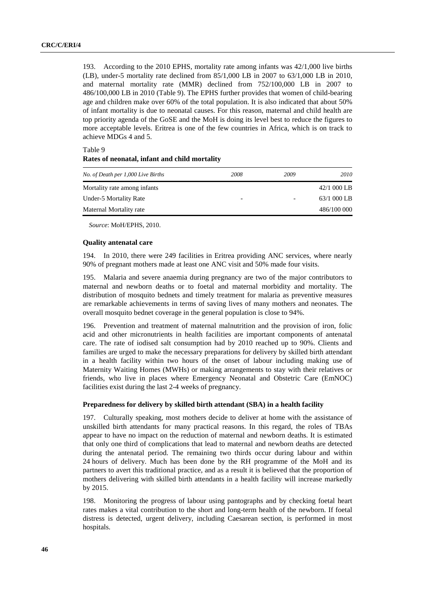193. According to the 2010 EPHS, mortality rate among infants was 42/1,000 live births (LB), under-5 mortality rate declined from 85/1,000 LB in 2007 to 63/1,000 LB in 2010, and maternal mortality rate (MMR) declined from 752/100,000 LB in 2007 to 486/100,000 LB in 2010 (Table 9). The EPHS further provides that women of child-bearing age and children make over 60% of the total population. It is also indicated that about 50% of infant mortality is due to neonatal causes. For this reason, maternal and child health are top priority agenda of the GoSE and the MoH is doing its level best to reduce the figures to more acceptable levels. Eritrea is one of the few countries in Africa, which is on track to achieve MDGs 4 and 5.

#### Table 9

#### **Rates of neonatal, infant and child mortality**

| No. of Death per 1,000 Live Births | 2008 | 2009 | 2010        |
|------------------------------------|------|------|-------------|
| Mortality rate among infants       |      |      | 42/1 000 LB |
| Under-5 Mortality Rate             |      | -    | 63/1 000 LB |
| Maternal Mortality rate            |      |      | 486/100 000 |

*Source*: MoH/EPHS, 2010.

# **Quality antenatal care**

194. In 2010, there were 249 facilities in Eritrea providing ANC services, where nearly 90% of pregnant mothers made at least one ANC visit and 50% made four visits.

195. Malaria and severe anaemia during pregnancy are two of the major contributors to maternal and newborn deaths or to foetal and maternal morbidity and mortality. The distribution of mosquito bednets and timely treatment for malaria as preventive measures are remarkable achievements in terms of saving lives of many mothers and neonates. The overall mosquito bednet coverage in the general population is close to 94%.

196. Prevention and treatment of maternal malnutrition and the provision of iron, folic acid and other micronutrients in health facilities are important components of antenatal care. The rate of iodised salt consumption had by 2010 reached up to 90%. Clients and families are urged to make the necessary preparations for delivery by skilled birth attendant in a health facility within two hours of the onset of labour including making use of Maternity Waiting Homes (MWHs) or making arrangements to stay with their relatives or friends, who live in places where Emergency Neonatal and Obstetric Care (EmNOC) facilities exist during the last 2-4 weeks of pregnancy.

### **Preparedness for delivery by skilled birth attendant (SBA) in a health facility**

197. Culturally speaking, most mothers decide to deliver at home with the assistance of unskilled birth attendants for many practical reasons. In this regard, the roles of TBAs appear to have no impact on the reduction of maternal and newborn deaths. It is estimated that only one third of complications that lead to maternal and newborn deaths are detected during the antenatal period. The remaining two thirds occur during labour and within 24 hours of delivery. Much has been done by the RH programme of the MoH and its partners to avert this traditional practice, and as a result it is believed that the proportion of mothers delivering with skilled birth attendants in a health facility will increase markedly by 2015.

198. Monitoring the progress of labour using pantographs and by checking foetal heart rates makes a vital contribution to the short and long-term health of the newborn. If foetal distress is detected, urgent delivery, including Caesarean section, is performed in most hospitals.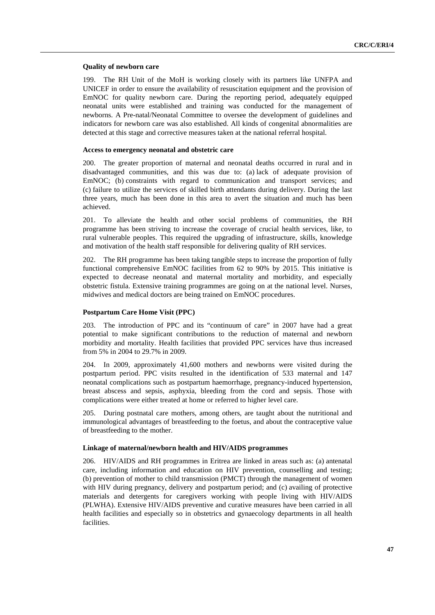#### **Quality of newborn care**

199. The RH Unit of the MoH is working closely with its partners like UNFPA and UNICEF in order to ensure the availability of resuscitation equipment and the provision of EmNOC for quality newborn care. During the reporting period, adequately equipped neonatal units were established and training was conducted for the management of newborns. A Pre-natal/Neonatal Committee to oversee the development of guidelines and indicators for newborn care was also established. All kinds of congenital abnormalities are detected at this stage and corrective measures taken at the national referral hospital.

### **Access to emergency neonatal and obstetric care**

200. The greater proportion of maternal and neonatal deaths occurred in rural and in disadvantaged communities, and this was due to: (a) lack of adequate provision of EmNOC; (b) constraints with regard to communication and transport services; and (c) failure to utilize the services of skilled birth attendants during delivery. During the last three years, much has been done in this area to avert the situation and much has been achieved.

201. To alleviate the health and other social problems of communities, the RH programme has been striving to increase the coverage of crucial health services, like, to rural vulnerable peoples. This required the upgrading of infrastructure, skills, knowledge and motivation of the health staff responsible for delivering quality of RH services.

202. The RH programme has been taking tangible steps to increase the proportion of fully functional comprehensive EmNOC facilities from 62 to 90% by 2015. This initiative is expected to decrease neonatal and maternal mortality and morbidity, and especially obstetric fistula. Extensive training programmes are going on at the national level. Nurses, midwives and medical doctors are being trained on EmNOC procedures.

### **Postpartum Care Home Visit (PPC)**

203. The introduction of PPC and its "continuum of care" in 2007 have had a great potential to make significant contributions to the reduction of maternal and newborn morbidity and mortality. Health facilities that provided PPC services have thus increased from 5% in 2004 to 29.7% in 2009.

204. In 2009, approximately 41,600 mothers and newborns were visited during the postpartum period. PPC visits resulted in the identification of 533 maternal and 147 neonatal complications such as postpartum haemorrhage, pregnancy-induced hypertension, breast abscess and sepsis, asphyxia, bleeding from the cord and sepsis. Those with complications were either treated at home or referred to higher level care.

205. During postnatal care mothers, among others, are taught about the nutritional and immunological advantages of breastfeeding to the foetus, and about the contraceptive value of breastfeeding to the mother.

### **Linkage of maternal/newborn health and HIV/AIDS programmes**

206. HIV/AIDS and RH programmes in Eritrea are linked in areas such as: (a) antenatal care, including information and education on HIV prevention, counselling and testing; (b) prevention of mother to child transmission (PMCT) through the management of women with HIV during pregnancy, delivery and postpartum period; and (c) availing of protective materials and detergents for caregivers working with people living with HIV/AIDS (PLWHA). Extensive HIV/AIDS preventive and curative measures have been carried in all health facilities and especially so in obstetrics and gynaecology departments in all health facilities.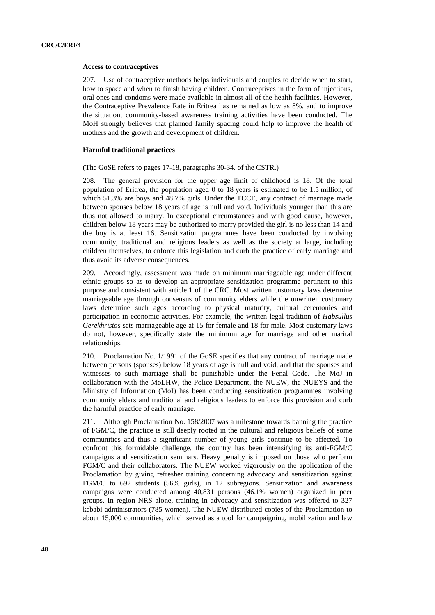#### **Access to contraceptives**

207. Use of contraceptive methods helps individuals and couples to decide when to start, how to space and when to finish having children. Contraceptives in the form of injections, oral ones and condoms were made available in almost all of the health facilities. However, the Contraceptive Prevalence Rate in Eritrea has remained as low as 8%, and to improve the situation, community-based awareness training activities have been conducted. The MoH strongly believes that planned family spacing could help to improve the health of mothers and the growth and development of children.

### **Harmful traditional practices**

(The GoSE refers to pages 17-18, paragraphs 30-34. of the CSTR.)

208. The general provision for the upper age limit of childhood is 18. Of the total population of Eritrea, the population aged 0 to 18 years is estimated to be 1.5 million, of which 51.3% are boys and 48.7% girls. Under the TCCE, any contract of marriage made between spouses below 18 years of age is null and void. Individuals younger than this are thus not allowed to marry. In exceptional circumstances and with good cause, however, children below 18 years may be authorized to marry provided the girl is no less than 14 and the boy is at least 16. Sensitization programmes have been conducted by involving community, traditional and religious leaders as well as the society at large, including children themselves, to enforce this legislation and curb the practice of early marriage and thus avoid its adverse consequences.

209. Accordingly, assessment was made on minimum marriageable age under different ethnic groups so as to develop an appropriate sensitization programme pertinent to this purpose and consistent with article 1 of the CRC. Most written customary laws determine marriageable age through consensus of community elders while the unwritten customary laws determine such ages according to physical maturity, cultural ceremonies and participation in economic activities. For example, the written legal tradition of *Habsullus Gerekhristos* sets marriageable age at 15 for female and 18 for male. Most customary laws do not, however, specifically state the minimum age for marriage and other marital relationships.

210. Proclamation No. 1/1991 of the GoSE specifies that any contract of marriage made between persons (spouses) below 18 years of age is null and void, and that the spouses and witnesses to such marriage shall be punishable under the Penal Code. The MoJ in collaboration with the MoLHW, the Police Department, the NUEW, the NUEYS and the Ministry of Information (MoI) has been conducting sensitization programmes involving community elders and traditional and religious leaders to enforce this provision and curb the harmful practice of early marriage.

211. Although Proclamation No. 158/2007 was a milestone towards banning the practice of FGM/C, the practice is still deeply rooted in the cultural and religious beliefs of some communities and thus a significant number of young girls continue to be affected. To confront this formidable challenge, the country has been intensifying its anti-FGM/C campaigns and sensitization seminars. Heavy penalty is imposed on those who perform FGM/C and their collaborators. The NUEW worked vigorously on the application of the Proclamation by giving refresher training concerning advocacy and sensitization against FGM/C to 692 students (56% girls), in 12 subregions. Sensitization and awareness campaigns were conducted among 40,831 persons (46.1% women) organized in peer groups. In region NRS alone, training in advocacy and sensitization was offered to 327 kebabi administrators (785 women). The NUEW distributed copies of the Proclamation to about 15,000 communities, which served as a tool for campaigning, mobilization and law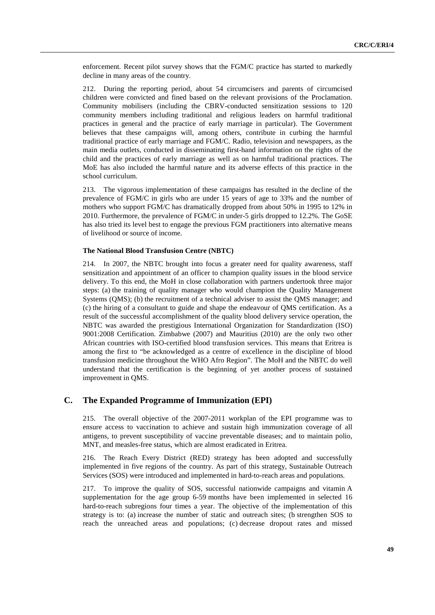enforcement. Recent pilot survey shows that the FGM/C practice has started to markedly decline in many areas of the country.

212. During the reporting period, about 54 circumcisers and parents of circumcised children were convicted and fined based on the relevant provisions of the Proclamation. Community mobilisers (including the CBRV-conducted sensitization sessions to 120 community members including traditional and religious leaders on harmful traditional practices in general and the practice of early marriage in particular). The Government believes that these campaigns will, among others, contribute in curbing the harmful traditional practice of early marriage and FGM/C. Radio, television and newspapers, as the main media outlets, conducted in disseminating first-hand information on the rights of the child and the practices of early marriage as well as on harmful traditional practices. The MoE has also included the harmful nature and its adverse effects of this practice in the school curriculum.

213. The vigorous implementation of these campaigns has resulted in the decline of the prevalence of FGM/C in girls who are under 15 years of age to 33% and the number of mothers who support FGM/C has dramatically dropped from about 50% in 1995 to 12% in 2010. Furthermore, the prevalence of FGM/C in under-5 girls dropped to 12.2%. The GoSE has also tried its level best to engage the previous FGM practitioners into alternative means of livelihood or source of income.

### **The National Blood Transfusion Centre (NBTC)**

214. In 2007, the NBTC brought into focus a greater need for quality awareness, staff sensitization and appointment of an officer to champion quality issues in the blood service delivery. To this end, the MoH in close collaboration with partners undertook three major steps: (a) the training of quality manager who would champion the Quality Management Systems (QMS); (b) the recruitment of a technical adviser to assist the QMS manager; and (c) the hiring of a consultant to guide and shape the endeavour of QMS certification. As a result of the successful accomplishment of the quality blood delivery service operation, the NBTC was awarded the prestigious International Organization for Standardization (ISO) 9001:2008 Certification. Zimbabwe (2007) and Mauritius (2010) are the only two other African countries with ISO-certified blood transfusion services. This means that Eritrea is among the first to "be acknowledged as a centre of excellence in the discipline of blood transfusion medicine throughout the WHO Afro Region". The MoH and the NBTC do well understand that the certification is the beginning of yet another process of sustained improvement in QMS.

# **C. The Expanded Programme of Immunization (EPI)**

215. The overall objective of the 2007-2011 workplan of the EPI programme was to ensure access to vaccination to achieve and sustain high immunization coverage of all antigens, to prevent susceptibility of vaccine preventable diseases; and to maintain polio, MNT, and measles-free status, which are almost eradicated in Eritrea.

216. The Reach Every District (RED) strategy has been adopted and successfully implemented in five regions of the country. As part of this strategy, Sustainable Outreach Services (SOS) were introduced and implemented in hard-to-reach areas and populations.

217. To improve the quality of SOS, successful nationwide campaigns and vitamin A supplementation for the age group 6-59 months have been implemented in selected 16 hard-to-reach subregions four times a year. The objective of the implementation of this strategy is to: (a) increase the number of static and outreach sites; (b strengthen SOS to reach the unreached areas and populations; (c) decrease dropout rates and missed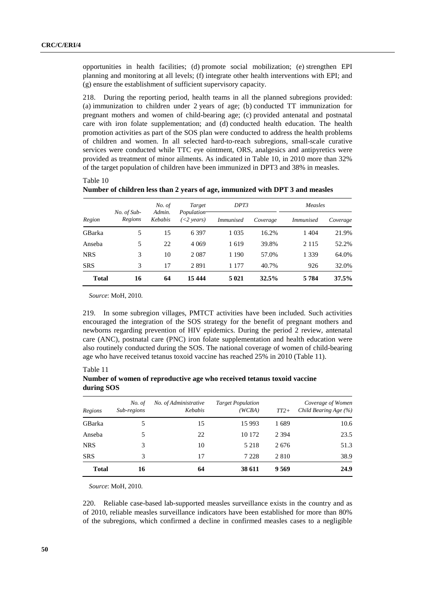opportunities in health facilities; (d) promote social mobilization; (e) strengthen EPI planning and monitoring at all levels; (f) integrate other health interventions with EPI; and (g) ensure the establishment of sufficient supervisory capacity.

218. During the reporting period, health teams in all the planned subregions provided: (a) immunization to children under 2 years of age; (b) conducted TT immunization for pregnant mothers and women of child-bearing age; (c) provided antenatal and postnatal care with iron folate supplementation; and (d) conducted health education. The health promotion activities as part of the SOS plan were conducted to address the health problems of children and women. In all selected hard-to-reach subregions, small-scale curative services were conducted while TTC eve ointment, ORS, analgesics and antipyretics were provided as treatment of minor ailments. As indicated in Table 10, in 2010 more than 32% of the target population of children have been immunized in DPT3 and 38% in measles.

|              |                        | No. of            | Target                      | DPT3             |          |                  | Measles  |  |
|--------------|------------------------|-------------------|-----------------------------|------------------|----------|------------------|----------|--|
| Region       | No. of Sub-<br>Regions | Admin.<br>Kebabis | Population<br>$(<$ 2 years) | <i>Immunised</i> | Coverage | <i>Immunised</i> | Coverage |  |
| GBarka       | 5                      | 15                | 6 3 9 7                     | 1 0 3 5          | 16.2%    | 1 4 0 4          | 21.9%    |  |
| Anseba       | 5                      | 22                | 4 0 6 9                     | 1619             | 39.8%    | 2 1 1 5          | 52.2%    |  |
| <b>NRS</b>   | 3                      | 10                | 2 0 8 7                     | 1 1 9 0          | 57.0%    | 1 3 3 9          | 64.0%    |  |
| <b>SRS</b>   | 3                      | 17                | 2891                        | 1 177            | 40.7%    | 926              | 32.0%    |  |
| <b>Total</b> | 16                     | 64                | 15 4 44                     | 5 0 21           | 32.5%    | 5 7 8 4          | 37.5%    |  |

**Number of children less than 2 years of age, immunized with DPT 3 and measles** 

*Source*: MoH, 2010.

219. In some subregion villages, PMTCT activities have been included. Such activities encouraged the integration of the SOS strategy for the benefit of pregnant mothers and newborns regarding prevention of HIV epidemics. During the period 2 review, antenatal care (ANC), postnatal care (PNC) iron folate supplementation and health education were also routinely conducted during the SOS. The national coverage of women of child-bearing age who have received tetanus toxoid vaccine has reached 25% in 2010 (Table 11).

Table 11

Table 10

**Number of women of reproductive age who received tetanus toxoid vaccine during SOS**

| Regions      | No. of<br>Sub-regions | No. of Administrative<br>Kebabis | <b>Target Population</b><br>(WCBA) | $TT2+$  | Coverage of Women<br>Child Bearing Age (%) |
|--------------|-----------------------|----------------------------------|------------------------------------|---------|--------------------------------------------|
| GBarka       | 5                     | 15                               | 15 9 93                            | 1689    | 10.6                                       |
| Anseba       | 5                     | 22                               | 10 172                             | 2 3 9 4 | 23.5                                       |
| <b>NRS</b>   | 3                     | 10                               | 5 2 1 8                            | 2676    | 51.3                                       |
| <b>SRS</b>   | 3                     | 17                               | 7 2 2 8                            | 2 8 1 0 | 38.9                                       |
| <b>Total</b> | 16                    | 64                               | 38 611                             | 9 5 6 9 | 24.9                                       |

*Source*: MoH, 2010.

220. Reliable case-based lab-supported measles surveillance exists in the country and as of 2010, reliable measles surveillance indicators have been established for more than 80% of the subregions, which confirmed a decline in confirmed measles cases to a negligible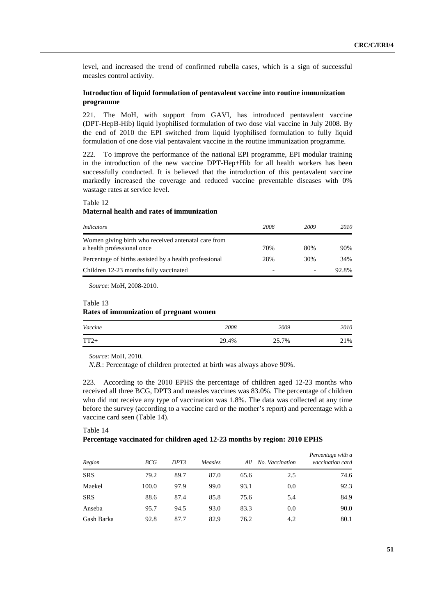level, and increased the trend of confirmed rubella cases, which is a sign of successful measles control activity.

# **Introduction of liquid formulation of pentavalent vaccine into routine immunization programme**

221. The MoH, with support from GAVI, has introduced pentavalent vaccine (DPT-HepB-Hib) liquid lyophilised formulation of two dose vial vaccine in July 2008. By the end of 2010 the EPI switched from liquid lyophilised formulation to fully liquid formulation of one dose vial pentavalent vaccine in the routine immunization programme.

222. To improve the performance of the national EPI programme, EPI modular training in the introduction of the new vaccine DPT-Hep+Hib for all health workers has been successfully conducted. It is believed that the introduction of this pentavalent vaccine markedly increased the coverage and reduced vaccine preventable diseases with 0% wastage rates at service level.

### Table 12

### **Maternal health and rates of immunization**

| Indicators                                                                        | 2008 | 2009 | 2010  |
|-----------------------------------------------------------------------------------|------|------|-------|
| Women giving birth who received antenatal care from<br>a health professional once | 70%  | 80%  | 90%   |
| Percentage of births assisted by a health professional                            | 28%  | 30%  | 34%   |
| Children 12-23 months fully vaccinated                                            |      |      | 92.8% |

*Source*: MoH, 2008-2010.

### Table 13

### **Rates of immunization of pregnant women**

| Vaccine | 2008  | 2009  | 2010 |
|---------|-------|-------|------|
| $TT2+$  | 29.4% | 25.7% | 21%  |

*Source*: MoH, 2010.

*N.B.*: Percentage of children protected at birth was always above 90%.

223. According to the 2010 EPHS the percentage of children aged 12-23 months who received all three BCG, DPT3 and measles vaccines was 83.0%. The percentage of children who did not receive any type of vaccination was 1.8%. The data was collected at any time before the survey (according to a vaccine card or the mother's report) and percentage with a vaccine card seen (Table 14).

# Table 14 **Percentage vaccinated for children aged 12-23 months by region: 2010 EPHS**

| Region     | <b>BCG</b> | DPT3 | Measles | All  | No. Vaccination | Percentage with a<br>vaccination card |
|------------|------------|------|---------|------|-----------------|---------------------------------------|
| <b>SRS</b> | 79.2       | 89.7 | 87.0    | 65.6 | 2.5             | 74.6                                  |
| Maekel     | 100.0      | 97.9 | 99.0    | 93.1 | 0.0             | 92.3                                  |
| <b>SRS</b> | 88.6       | 87.4 | 85.8    | 75.6 | 5.4             | 84.9                                  |
| Anseba     | 95.7       | 94.5 | 93.0    | 83.3 | 0.0             | 90.0                                  |
| Gash Barka | 92.8       | 87.7 | 82.9    | 76.2 | 4.2             | 80.1                                  |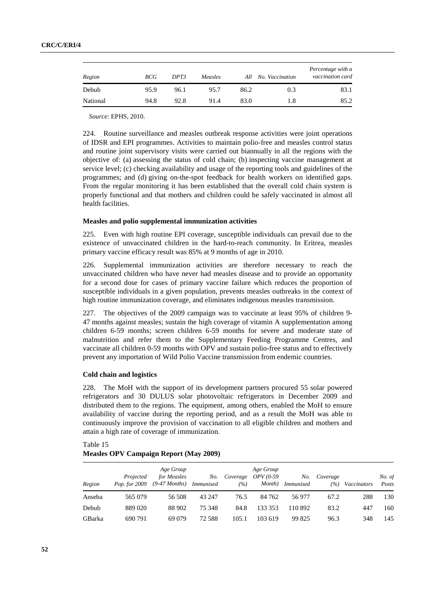| Region   | BCG  | DPT3 | Measles | All  | No. Vaccination | Percentage with a<br>vaccination card |
|----------|------|------|---------|------|-----------------|---------------------------------------|
| Debub    | 95.9 | 96.1 | 95.7    | 86.2 | 0.3             | 83.1                                  |
| National | 94.8 | 92.8 | 91.4    | 83.0 | 1.8             | 85.2                                  |

*Source*: EPHS, 2010.

224. Routine surveillance and measles outbreak response activities were joint operations of IDSR and EPI programmes. Activities to maintain polio-free and measles control status and routine joint supervisory visits were carried out biannually in all the regions with the objective of: (a) assessing the status of cold chain; (b) inspecting vaccine management at service level; (c) checking availability and usage of the reporting tools and guidelines of the programmes; and (d) giving on-the-spot feedback for health workers on identified gaps. From the regular monitoring it has been established that the overall cold chain system is properly functional and that mothers and children could be safely vaccinated in almost all health facilities.

### **Measles and polio supplemental immunization activities**

225. Even with high routine EPI coverage, susceptible individuals can prevail due to the existence of unvaccinated children in the hard-to-reach community. In Eritrea, measles primary vaccine efficacy result was 85% at 9 months of age in 2010.

226. Supplemental immunization activities are therefore necessary to reach the unvaccinated children who have never had measles disease and to provide an opportunity for a second dose for cases of primary vaccine failure which reduces the proportion of susceptible individuals in a given population, prevents measles outbreaks in the context of high routine immunization coverage, and eliminates indigenous measles transmission.

227. The objectives of the 2009 campaign was to vaccinate at least 95% of children 9- 47 months against measles; sustain the high coverage of vitamin A supplementation among children 6-59 months; screen children 6-59 months for severe and moderate state of malnutrition and refer them to the Supplementary Feeding Programme Centres, and vaccinate all children 0-59 months with OPV and sustain polio-free status and to effectively prevent any importation of Wild Polio Vaccine transmission from endemic countries.

### **Cold chain and logistics**

228. The MoH with the support of its development partners procured 55 solar powered refrigerators and 30 DULUS solar photovoltaic refrigerators in December 2009 and distributed them to the regions. The equipment, among others, enabled the MoH to ensure availability of vaccine during the reporting period, and as a result the MoH was able to continuously improve the provision of vaccination to all eligible children and mothers and attain a high rate of coverage of immunization.

# Table 15 **Measles OPV Campaign Report (May 2009)**

| Region | Projected<br><i>Pop.</i> for 2009 | Age Group<br>for Measles<br>$(9-47$ Months) | No.<br><i>Immunised</i> | Coverage<br>(%) | Age Group<br><i>OPV</i> (0-59<br>Month) | No.<br><i>Immunised</i> | Coverage<br>(%) | Vaccinators | No. of<br>Posts |
|--------|-----------------------------------|---------------------------------------------|-------------------------|-----------------|-----------------------------------------|-------------------------|-----------------|-------------|-----------------|
| Anseba | 565 079                           | 56.508                                      | 43 247                  | 76.5            | 84 762                                  | 56 977                  | 67.2            | 288         | 130             |
| Debub  | 889 020                           | 88 902                                      | 75 348                  | 84.8            | 133 353                                 | 110892                  | 83.2            | 447         | 160             |
| GBarka | 690 791                           | 69 0 79                                     | 72.588                  | 105.1           | 103 619                                 | 99 825                  | 96.3            | 348         | 145             |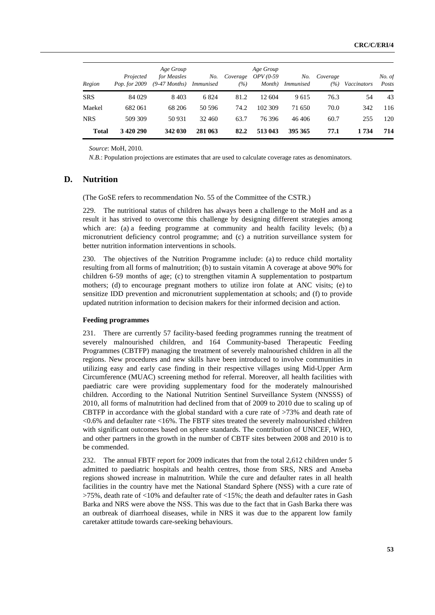| Region     | Projected<br>Pop. for 2009 | Age Group<br>for Measles<br>(9-47 Months) Immunised | No.     | Coverage<br>(%) | Age Group<br>$OPV$ (0-59<br>Month) | No.<br><i>Immunised</i> | Coverage<br>$( \% )$ | Vaccinators | No. of<br>Posts |
|------------|----------------------------|-----------------------------------------------------|---------|-----------------|------------------------------------|-------------------------|----------------------|-------------|-----------------|
| <b>SRS</b> | 84 029                     | 8403                                                | 6 8 2 4 | 81.2            | 12.604                             | 9615                    | 76.3                 | 54          | 43              |
| Maekel     | 682061                     | 68 206                                              | 50 596  | 74.2            | 102 309                            | 71 650                  | 70.0                 | 342         | 116             |
| <b>NRS</b> | 509 309                    | 50 931                                              | 32 460  | 63.7            | 76396                              | 46406                   | 60.7                 | 255         | 120             |
| Total      | 3 4 20 290                 | 342 030                                             | 281 063 | 82.2            | 513 043                            | 395 365                 | 77.1                 | 1 734       | 714             |

*Source*: MoH, 2010.

*N.B.*: Population projections are estimates that are used to calculate coverage rates as denominators.

# **D. Nutrition**

(The GoSE refers to recommendation No. 55 of the Committee of the CSTR.)

229. The nutritional status of children has always been a challenge to the MoH and as a result it has strived to overcome this challenge by designing different strategies among which are: (a) a feeding programme at community and health facility levels; (b) a micronutrient deficiency control programme; and (c) a nutrition surveillance system for better nutrition information interventions in schools.

230. The objectives of the Nutrition Programme include: (a) to reduce child mortality resulting from all forms of malnutrition; (b) to sustain vitamin A coverage at above 90% for children 6-59 months of age; (c) to strengthen vitamin A supplementation to postpartum mothers; (d) to encourage pregnant mothers to utilize iron folate at ANC visits; (e) to sensitize IDD prevention and micronutrient supplementation at schools; and (f) to provide updated nutrition information to decision makers for their informed decision and action.

#### **Feeding programmes**

231. There are currently 57 facility-based feeding programmes running the treatment of severely malnourished children, and 164 Community-based Therapeutic Feeding Programmes (CBTFP) managing the treatment of severely malnourished children in all the regions. New procedures and new skills have been introduced to involve communities in utilizing easy and early case finding in their respective villages using Mid-Upper Arm Circumference (MUAC) screening method for referral. Moreover, all health facilities with paediatric care were providing supplementary food for the moderately malnourished children. According to the National Nutrition Sentinel Surveillance System (NNSSS) of 2010, all forms of malnutrition had declined from that of 2009 to 2010 due to scaling up of CBTFP in accordance with the global standard with a cure rate of >73% and death rate of <0.6% and defaulter rate <16%. The FBTF sites treated the severely malnourished children with significant outcomes based on sphere standards. The contribution of UNICEF, WHO, and other partners in the growth in the number of CBTF sites between 2008 and 2010 is to be commended.

232. The annual FBTF report for 2009 indicates that from the total 2,612 children under 5 admitted to paediatric hospitals and health centres, those from SRS, NRS and Anseba regions showed increase in malnutrition. While the cure and defaulter rates in all health facilities in the country have met the National Standard Sphere (NSS) with a cure rate of  $>75\%$ , death rate of  $<10\%$  and defaulter rate of  $<15\%$ ; the death and defaulter rates in Gash Barka and NRS were above the NSS. This was due to the fact that in Gash Barka there was an outbreak of diarrhoeal diseases, while in NRS it was due to the apparent low family caretaker attitude towards care-seeking behaviours.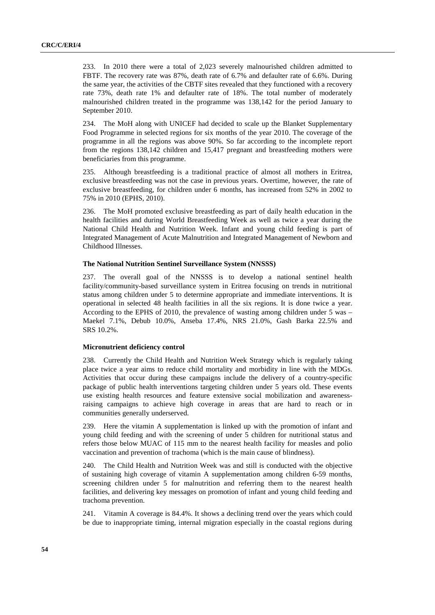233. In 2010 there were a total of 2,023 severely malnourished children admitted to FBTF. The recovery rate was 87%, death rate of 6.7% and defaulter rate of 6.6%. During the same year, the activities of the CBTF sites revealed that they functioned with a recovery rate 73%, death rate 1% and defaulter rate of 18%. The total number of moderately malnourished children treated in the programme was 138,142 for the period January to September 2010.

234. The MoH along with UNICEF had decided to scale up the Blanket Supplementary Food Programme in selected regions for six months of the year 2010. The coverage of the programme in all the regions was above 90%. So far according to the incomplete report from the regions 138,142 children and 15,417 pregnant and breastfeeding mothers were beneficiaries from this programme.

235. Although breastfeeding is a traditional practice of almost all mothers in Eritrea, exclusive breastfeeding was not the case in previous years. Overtime, however, the rate of exclusive breastfeeding, for children under 6 months, has increased from 52% in 2002 to 75% in 2010 (EPHS, 2010).

236. The MoH promoted exclusive breastfeeding as part of daily health education in the health facilities and during World Breastfeeding Week as well as twice a year during the National Child Health and Nutrition Week. Infant and young child feeding is part of Integrated Management of Acute Malnutrition and Integrated Management of Newborn and Childhood Illnesses.

### **The National Nutrition Sentinel Surveillance System (NNSSS)**

237. The overall goal of the NNSSS is to develop a national sentinel health facility/community-based surveillance system in Eritrea focusing on trends in nutritional status among children under 5 to determine appropriate and immediate interventions. It is operational in selected 48 health facilities in all the six regions. It is done twice a year. According to the EPHS of 2010, the prevalence of wasting among children under 5 was – Maekel 7.1%, Debub 10.0%, Anseba 17.4%, NRS 21.0%, Gash Barka 22.5% and SRS 10.2%.

# **Micronutrient deficiency control**

238. Currently the Child Health and Nutrition Week Strategy which is regularly taking place twice a year aims to reduce child mortality and morbidity in line with the MDGs. Activities that occur during these campaigns include the delivery of a country-specific package of public health interventions targeting children under 5 years old. These events use existing health resources and feature extensive social mobilization and awarenessraising campaigns to achieve high coverage in areas that are hard to reach or in communities generally underserved.

239. Here the vitamin A supplementation is linked up with the promotion of infant and young child feeding and with the screening of under 5 children for nutritional status and refers those below MUAC of 115 mm to the nearest health facility for measles and polio vaccination and prevention of trachoma (which is the main cause of blindness).

240. The Child Health and Nutrition Week was and still is conducted with the objective of sustaining high coverage of vitamin A supplementation among children 6-59 months, screening children under 5 for malnutrition and referring them to the nearest health facilities, and delivering key messages on promotion of infant and young child feeding and trachoma prevention.

241. Vitamin A coverage is 84.4%. It shows a declining trend over the years which could be due to inappropriate timing, internal migration especially in the coastal regions during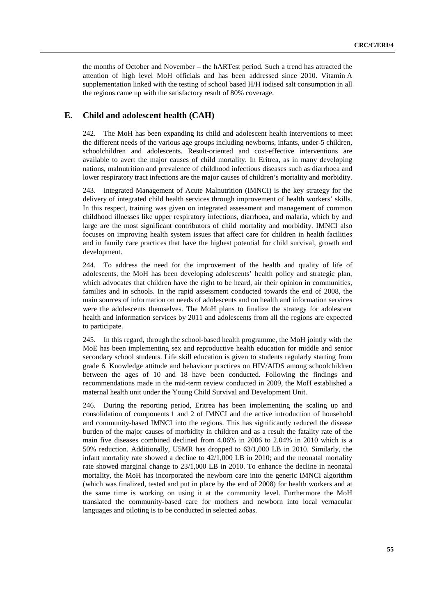the months of October and November – the hARTest period. Such a trend has attracted the attention of high level MoH officials and has been addressed since 2010. Vitamin A supplementation linked with the testing of school based H/H iodised salt consumption in all the regions came up with the satisfactory result of 80% coverage.

# **E. Child and adolescent health (CAH)**

242. The MoH has been expanding its child and adolescent health interventions to meet the different needs of the various age groups including newborns, infants, under-5 children, schoolchildren and adolescents. Result-oriented and cost-effective interventions are available to avert the major causes of child mortality. In Eritrea, as in many developing nations, malnutrition and prevalence of childhood infectious diseases such as diarrhoea and lower respiratory tract infections are the major causes of children's mortality and morbidity.

243. Integrated Management of Acute Malnutrition (IMNCI) is the key strategy for the delivery of integrated child health services through improvement of health workers' skills. In this respect, training was given on integrated assessment and management of common childhood illnesses like upper respiratory infections, diarrhoea, and malaria, which by and large are the most significant contributors of child mortality and morbidity. IMNCI also focuses on improving health system issues that affect care for children in health facilities and in family care practices that have the highest potential for child survival, growth and development.

244. To address the need for the improvement of the health and quality of life of adolescents, the MoH has been developing adolescents' health policy and strategic plan, which advocates that children have the right to be heard, air their opinion in communities, families and in schools. In the rapid assessment conducted towards the end of 2008, the main sources of information on needs of adolescents and on health and information services were the adolescents themselves. The MoH plans to finalize the strategy for adolescent health and information services by 2011 and adolescents from all the regions are expected to participate.

245. In this regard, through the school-based health programme, the MoH jointly with the MoE has been implementing sex and reproductive health education for middle and senior secondary school students. Life skill education is given to students regularly starting from grade 6. Knowledge attitude and behaviour practices on HIV/AIDS among schoolchildren between the ages of 10 and 18 have been conducted. Following the findings and recommendations made in the mid-term review conducted in 2009, the MoH established a maternal health unit under the Young Child Survival and Development Unit.

246. During the reporting period, Eritrea has been implementing the scaling up and consolidation of components 1 and 2 of IMNCI and the active introduction of household and community-based IMNCI into the regions. This has significantly reduced the disease burden of the major causes of morbidity in children and as a result the fatality rate of the main five diseases combined declined from 4.06% in 2006 to 2.04% in 2010 which is a 50% reduction. Additionally, U5MR has dropped to 63/1,000 LB in 2010. Similarly, the infant mortality rate showed a decline to 42/1,000 LB in 2010; and the neonatal mortality rate showed marginal change to 23/1,000 LB in 2010. To enhance the decline in neonatal mortality, the MoH has incorporated the newborn care into the generic IMNCI algorithm (which was finalized, tested and put in place by the end of 2008) for health workers and at the same time is working on using it at the community level. Furthermore the MoH translated the community-based care for mothers and newborn into local vernacular languages and piloting is to be conducted in selected zobas.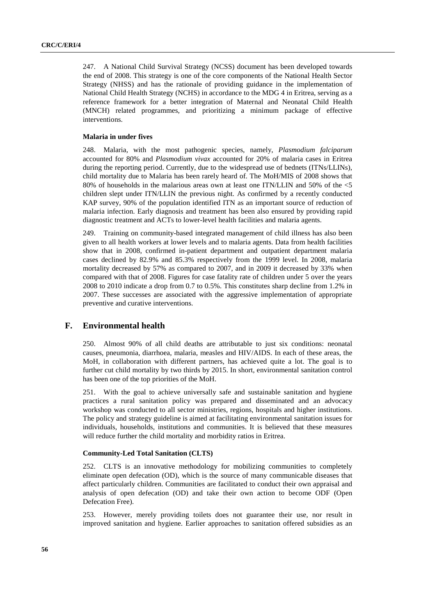247. A National Child Survival Strategy (NCSS) document has been developed towards the end of 2008. This strategy is one of the core components of the National Health Sector Strategy (NHSS) and has the rationale of providing guidance in the implementation of National Child Health Strategy (NCHS) in accordance to the MDG 4 in Eritrea, serving as a reference framework for a better integration of Maternal and Neonatal Child Health (MNCH) related programmes, and prioritizing a minimum package of effective interventions.

### **Malaria in under fives**

248. Malaria, with the most pathogenic species, namely, *Plasmodium falciparum* accounted for 80% and *Plasmodium vivax* accounted for 20% of malaria cases in Eritrea during the reporting period. Currently, due to the widespread use of bednets (ITNs/LLINs), child mortality due to Malaria has been rarely heard of. The MoH/MIS of 2008 shows that 80% of households in the malarious areas own at least one ITN/LLIN and 50% of the <5 children slept under ITN/LLIN the previous night. As confirmed by a recently conducted KAP survey, 90% of the population identified ITN as an important source of reduction of malaria infection. Early diagnosis and treatment has been also ensured by providing rapid diagnostic treatment and ACTs to lower-level health facilities and malaria agents.

249. Training on community-based integrated management of child illness has also been given to all health workers at lower levels and to malaria agents. Data from health facilities show that in 2008, confirmed in-patient department and outpatient department malaria cases declined by 82.9% and 85.3% respectively from the 1999 level. In 2008, malaria mortality decreased by 57% as compared to 2007, and in 2009 it decreased by 33% when compared with that of 2008. Figures for case fatality rate of children under 5 over the years 2008 to 2010 indicate a drop from 0.7 to 0.5%. This constitutes sharp decline from 1.2% in 2007. These successes are associated with the aggressive implementation of appropriate preventive and curative interventions.

# **F. Environmental health**

250. Almost 90% of all child deaths are attributable to just six conditions: neonatal causes, pneumonia, diarrhoea, malaria, measles and HIV/AIDS. In each of these areas, the MoH, in collaboration with different partners, has achieved quite a lot. The goal is to further cut child mortality by two thirds by 2015. In short, environmental sanitation control has been one of the top priorities of the MoH.

251. With the goal to achieve universally safe and sustainable sanitation and hygiene practices a rural sanitation policy was prepared and disseminated and an advocacy workshop was conducted to all sector ministries, regions, hospitals and higher institutions. The policy and strategy guideline is aimed at facilitating environmental sanitation issues for individuals, households, institutions and communities. It is believed that these measures will reduce further the child mortality and morbidity ratios in Eritrea.

# **Community-Led Total Sanitation (CLTS)**

252. CLTS is an innovative methodology for mobilizing communities to completely eliminate open defecation (OD), which is the source of many communicable diseases that affect particularly children. Communities are facilitated to conduct their own appraisal and analysis of open defecation (OD) and take their own action to become ODF (Open Defecation Free).

253. However, merely providing toilets does not guarantee their use, nor result in improved sanitation and hygiene. Earlier approaches to sanitation offered subsidies as an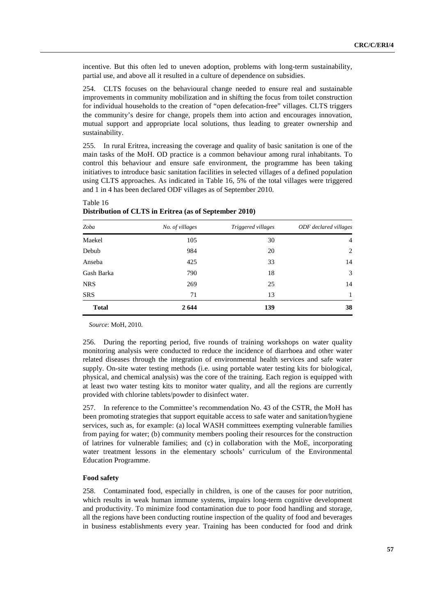incentive. But this often led to uneven adoption, problems with long-term sustainability, partial use, and above all it resulted in a culture of dependence on subsidies.

254. CLTS focuses on the behavioural change needed to ensure real and sustainable improvements in community mobilization and in shifting the focus from toilet construction for individual households to the creation of "open defecation-free" villages. CLTS triggers the community's desire for change, propels them into action and encourages innovation, mutual support and appropriate local solutions, thus leading to greater ownership and sustainability.

255. In rural Eritrea, increasing the coverage and quality of basic sanitation is one of the main tasks of the MoH. OD practice is a common behaviour among rural inhabitants. To control this behaviour and ensure safe environment, the programme has been taking initiatives to introduce basic sanitation facilities in selected villages of a defined population using CLTS approaches. As indicated in Table 16, 5% of the total villages were triggered and 1 in 4 has been declared ODF villages as of September 2010.

| Zoba         | No. of villages | Triggered villages | ODF declared villages |
|--------------|-----------------|--------------------|-----------------------|
| Maekel       | 105             | 30                 | $\overline{4}$        |
| Debub        | 984             | 20                 | 2                     |
| Anseba       | 425             | 33                 | 14                    |
| Gash Barka   | 790             | 18                 | 3                     |
| <b>NRS</b>   | 269             | 25                 | 14                    |
| <b>SRS</b>   | 71              | 13                 | 1                     |
| <b>Total</b> | 2 6 4 4         | 139                | 38                    |

| Table 16                                               |  |  |
|--------------------------------------------------------|--|--|
| Distribution of CLTS in Eritrea (as of September 2010) |  |  |

*Source*: MoH, 2010.

256. During the reporting period, five rounds of training workshops on water quality monitoring analysis were conducted to reduce the incidence of diarrhoea and other water related diseases through the integration of environmental health services and safe water supply. On-site water testing methods (i.e. using portable water testing kits for biological, physical, and chemical analysis) was the core of the training. Each region is equipped with at least two water testing kits to monitor water quality, and all the regions are currently provided with chlorine tablets/powder to disinfect water.

257. In reference to the Committee's recommendation No. 43 of the CSTR, the MoH has been promoting strategies that support equitable access to safe water and sanitation/hygiene services, such as, for example: (a) local WASH committees exempting vulnerable families from paying for water; (b) community members pooling their resources for the construction of latrines for vulnerable families; and (c) in collaboration with the MoE, incorporating water treatment lessons in the elementary schools' curriculum of the Environmental Education Programme.

#### **Food safety**

258. Contaminated food, especially in children, is one of the causes for poor nutrition, which results in weak human immune systems, impairs long-term cognitive development and productivity. To minimize food contamination due to poor food handling and storage, all the regions have been conducting routine inspection of the quality of food and beverages in business establishments every year. Training has been conducted for food and drink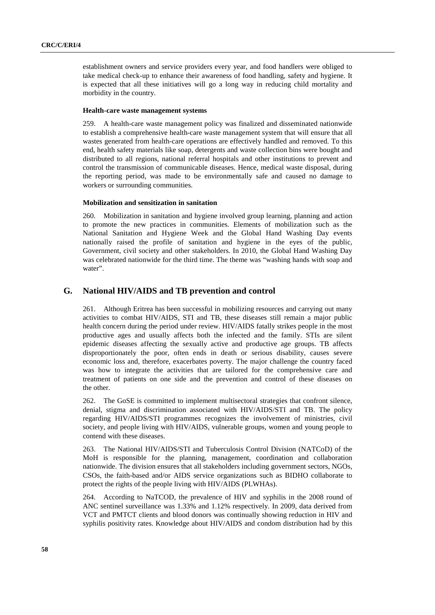establishment owners and service providers every year, and food handlers were obliged to take medical check-up to enhance their awareness of food handling, safety and hygiene. It is expected that all these initiatives will go a long way in reducing child mortality and morbidity in the country.

### **Health-care waste management systems**

259. A health-care waste management policy was finalized and disseminated nationwide to establish a comprehensive health-care waste management system that will ensure that all wastes generated from health-care operations are effectively handled and removed. To this end, health safety materials like soap, detergents and waste collection bins were bought and distributed to all regions, national referral hospitals and other institutions to prevent and control the transmission of communicable diseases. Hence, medical waste disposal, during the reporting period, was made to be environmentally safe and caused no damage to workers or surrounding communities.

#### **Mobilization and sensitization in sanitation**

260. Mobilization in sanitation and hygiene involved group learning, planning and action to promote the new practices in communities. Elements of mobilization such as the National Sanitation and Hygiene Week and the Global Hand Washing Day events nationally raised the profile of sanitation and hygiene in the eyes of the public, Government, civil society and other stakeholders. In 2010, the Global Hand Washing Day was celebrated nationwide for the third time. The theme was "washing hands with soap and water".

# **G. National HIV/AIDS and TB prevention and control**

261. Although Eritrea has been successful in mobilizing resources and carrying out many activities to combat HIV/AIDS, STI and TB, these diseases still remain a major public health concern during the period under review. HIV/AIDS fatally strikes people in the most productive ages and usually affects both the infected and the family. STIs are silent epidemic diseases affecting the sexually active and productive age groups. TB affects disproportionately the poor, often ends in death or serious disability, causes severe economic loss and, therefore, exacerbates poverty. The major challenge the country faced was how to integrate the activities that are tailored for the comprehensive care and treatment of patients on one side and the prevention and control of these diseases on the other.

262. The GoSE is committed to implement multisectoral strategies that confront silence, denial, stigma and discrimination associated with HIV/AIDS/STI and TB. The policy regarding HIV/AIDS/STI programmes recognizes the involvement of ministries, civil society, and people living with HIV/AIDS, vulnerable groups, women and young people to contend with these diseases.

263. The National HIV/AIDS/STI and Tuberculosis Control Division (NATCoD) of the MoH is responsible for the planning, management, coordination and collaboration nationwide. The division ensures that all stakeholders including government sectors, NGOs, CSOs, the faith-based and/or AIDS service organizations such as BIDHO collaborate to protect the rights of the people living with HIV/AIDS (PLWHAs).

264. According to NaTCOD, the prevalence of HIV and syphilis in the 2008 round of ANC sentinel surveillance was 1.33% and 1.12% respectively. In 2009, data derived from VCT and PMTCT clients and blood donors was continually showing reduction in HIV and syphilis positivity rates. Knowledge about HIV/AIDS and condom distribution had by this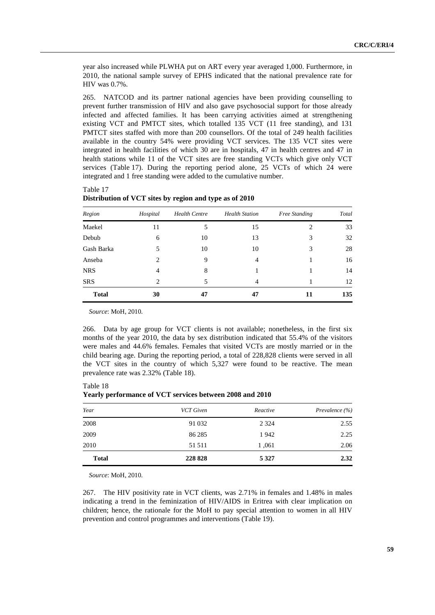year also increased while PLWHA put on ART every year averaged 1,000. Furthermore, in 2010, the national sample survey of EPHS indicated that the national prevalence rate for HIV was 0.7%.

265. NATCOD and its partner national agencies have been providing counselling to prevent further transmission of HIV and also gave psychosocial support for those already infected and affected families. It has been carrying activities aimed at strengthening existing VCT and PMTCT sites, which totalled 135 VCT (11 free standing), and 131 PMTCT sites staffed with more than 200 counsellors. Of the total of 249 health facilities available in the country 54% were providing VCT services. The 135 VCT sites were integrated in health facilities of which 30 are in hospitals, 47 in health centres and 47 in health stations while 11 of the VCT sites are free standing VCTs which give only VCT services (Table 17). During the reporting period alone, 25 VCTs of which 24 were integrated and 1 free standing were added to the cumulative number.

Table 17

| Distribution of VCT sites by region and type as of 2010 |  |  |  |  |  |
|---------------------------------------------------------|--|--|--|--|--|
|---------------------------------------------------------|--|--|--|--|--|

| Region       | Hospital | <b>Health Centre</b> | <b>Health Station</b> | Free Standing | Total |
|--------------|----------|----------------------|-----------------------|---------------|-------|
| Maekel       | 11       | 5                    | 15                    | 2             | 33    |
| Debub        | 6        | 10                   | 13                    | 3             | 32    |
| Gash Barka   | 5        | 10                   | 10                    | 3             | 28    |
| Anseba       | 2        | 9                    | 4                     |               | 16    |
| <b>NRS</b>   | 4        | 8                    |                       |               | 14    |
| <b>SRS</b>   | 2        | 5                    | 4                     |               | 12    |
| <b>Total</b> | 30       | 47                   | 47                    | 11            | 135   |

*Source*: MoH, 2010.

266. Data by age group for VCT clients is not available; nonetheless, in the first six months of the year 2010, the data by sex distribution indicated that 55.4% of the visitors were males and 44.6% females. Females that visited VCTs are mostly married or in the child bearing age. During the reporting period, a total of 228,828 clients were served in all the VCT sites in the country of which 5,327 were found to be reactive. The mean prevalence rate was 2.32% (Table 18).

| . .          |                  |          |                |
|--------------|------------------|----------|----------------|
| Year         | <b>VCT</b> Given | Reactive | Prevalence (%) |
| 2008         | 91 0 32          | 2 3 2 4  | 2.55           |
| 2009         | 86 285           | 1942     | 2.25           |
| 2010         | 51 511           | 1,061    | 2.06           |
| <b>Total</b> | 228 828          | 5 3 2 7  | 2.32           |

Table 18 **Yearly performance of VCT services between 2008 and 2010** 

*Source*: MoH, 2010.

267. The HIV positivity rate in VCT clients, was 2.71% in females and 1.48% in males indicating a trend in the feminization of HIV/AIDS in Eritrea with clear implication on children; hence, the rationale for the MoH to pay special attention to women in all HIV prevention and control programmes and interventions (Table 19).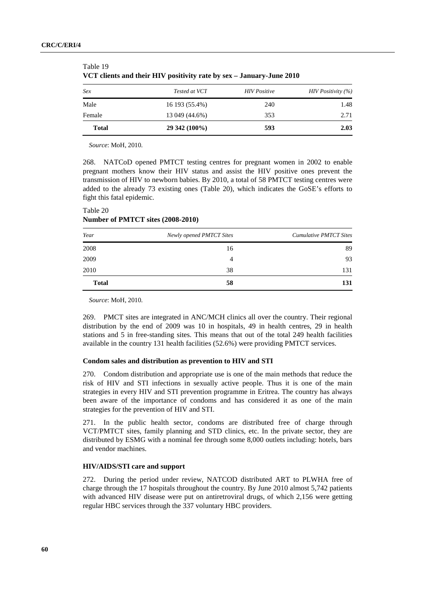| Total  | 29 342 (100%)  | 593                 | 2.03                   |
|--------|----------------|---------------------|------------------------|
| Female | 13 049 (44.6%) | 353                 | 2.71                   |
| Male   | 16 193 (55.4%) | 240                 | 1.48                   |
| Sex    | Tested at VCT  | <b>HIV</b> Positive | $HIV$ Positivity $(%)$ |

| Table 19                                                             |
|----------------------------------------------------------------------|
| VCT clients and their HIV positivity rate by sex - January-June 2010 |

*Source*: MoH, 2010.

268. NATCoD opened PMTCT testing centres for pregnant women in 2002 to enable pregnant mothers know their HIV status and assist the HIV positive ones prevent the transmission of HIV to newborn babies. By 2010, a total of 58 PMTCT testing centres were added to the already 73 existing ones (Table 20), which indicates the GoSE's efforts to fight this fatal epidemic.

| Number of PMTCT sites (2008-2010) |                          |                               |  |  |  |  |
|-----------------------------------|--------------------------|-------------------------------|--|--|--|--|
| Year                              | Newly opened PMTCT Sites | <b>Cumulative PMTCT Sites</b> |  |  |  |  |
| 2008                              | 16                       | 89                            |  |  |  |  |
| 2009                              |                          | 93                            |  |  |  |  |

| Table 20 |  |                                   |
|----------|--|-----------------------------------|
|          |  | Number of PMTCT sites (2008-2010) |

*Source*: MoH, 2010.

269. PMCT sites are integrated in ANC/MCH clinics all over the country. Their regional distribution by the end of 2009 was 10 in hospitals, 49 in health centres, 29 in health stations and 5 in free-standing sites. This means that out of the total 249 health facilities available in the country 131 health facilities (52.6%) were providing PMTCT services.

2010 38 131 **Total 58 131**

### **Condom sales and distribution as prevention to HIV and STI**

270. Condom distribution and appropriate use is one of the main methods that reduce the risk of HIV and STI infections in sexually active people. Thus it is one of the main strategies in every HIV and STI prevention programme in Eritrea. The country has always been aware of the importance of condoms and has considered it as one of the main strategies for the prevention of HIV and STI.

271. In the public health sector, condoms are distributed free of charge through VCT/PMTCT sites, family planning and STD clinics, etc. In the private sector, they are distributed by ESMG with a nominal fee through some 8,000 outlets including: hotels, bars and vendor machines.

### **HIV/AIDS/STI care and support**

272. During the period under review, NATCOD distributed ART to PLWHA free of charge through the 17 hospitals throughout the country. By June 2010 almost 5,742 patients with advanced HIV disease were put on antiretroviral drugs, of which 2,156 were getting regular HBC services through the 337 voluntary HBC providers.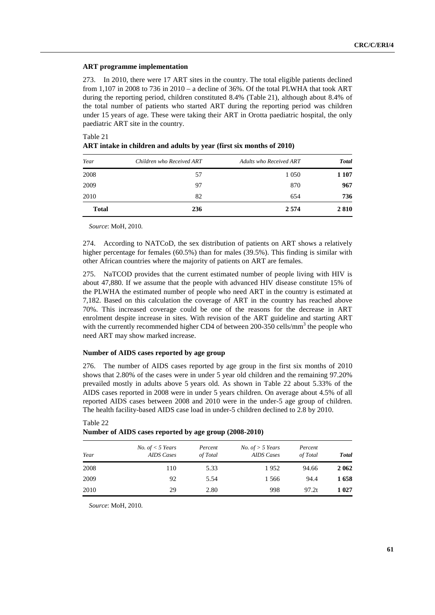### **ART programme implementation**

273. In 2010, there were 17 ART sites in the country. The total eligible patients declined from 1,107 in 2008 to 736 in 2010 – a decline of 36%. Of the total PLWHA that took ART during the reporting period, children constituted 8.4% (Table 21), although about 8.4% of the total number of patients who started ART during the reporting period was children under 15 years of age. These were taking their ART in Orotta paediatric hospital, the only paediatric ART site in the country.

| Table 21<br>ART intake in children and adults by year (first six months of 2010) |  |
|----------------------------------------------------------------------------------|--|
|                                                                                  |  |

| Year         | Children who Received ART | Adults who Received ART | <b>Total</b> |
|--------------|---------------------------|-------------------------|--------------|
| 2008         | 57                        | 1 0 5 0                 | 1 107        |
| 2009         | 97                        | 870                     | 967          |
| 2010         | 82                        | 654                     | 736          |
| <b>Total</b> | 236                       | 2 5 7 4                 | 2810         |

*Source*: MoH, 2010.

274. According to NATCoD, the sex distribution of patients on ART shows a relatively higher percentage for females (60.5%) than for males (39.5%). This finding is similar with other African countries where the majority of patients on ART are females.

275. NaTCOD provides that the current estimated number of people living with HIV is about 47,880. If we assume that the people with advanced HIV disease constitute 15% of the PLWHA the estimated number of people who need ART in the country is estimated at 7,182. Based on this calculation the coverage of ART in the country has reached above 70%. This increased coverage could be one of the reasons for the decrease in ART enrolment despite increase in sites. With revision of the ART guideline and starting ART with the currently recommended higher CD4 of between 200-350 cells/mm<sup>3</sup> the people who need ART may show marked increase.

### **Number of AIDS cases reported by age group**

276. The number of AIDS cases reported by age group in the first six months of 2010 shows that 2.80% of the cases were in under 5 year old children and the remaining 97.20% prevailed mostly in adults above 5 years old. As shown in Table 22 about 5.33% of the AIDS cases reported in 2008 were in under 5 years children. On average about 4.5% of all reported AIDS cases between 2008 and 2010 were in the under-5 age group of children. The health facility-based AIDS case load in under-5 children declined to 2.8 by 2010.

| Year | <i>No.</i> of $<$ 5 Years<br><b>AIDS</b> Cases | Percent<br>of Total | <i>No.</i> of $>$ 5 Years<br><b>AIDS</b> Cases | Percent<br>of Total | <b>Total</b> |
|------|------------------------------------------------|---------------------|------------------------------------------------|---------------------|--------------|
| 2008 | 110                                            | 5.33                | 1952                                           | 94.66               | 2 0 6 2      |
| 2009 | 92                                             | 5.54                | 1 566                                          | 94.4                | 1658         |
| 2010 | 29                                             | 2.80                | 998                                            | 97.2t               | 1 0 2 7      |

# Table 22 **Number of AIDS cases reported by age group (2008-2010)**

*Source*: MoH, 2010.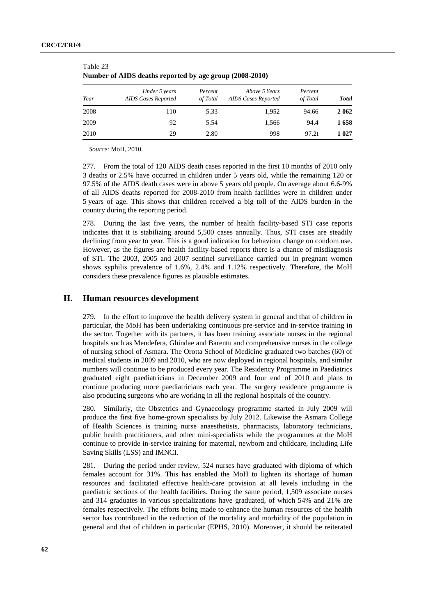|      | Under 5 years              | Percent  | Above 5 Years       | Percent  |              |
|------|----------------------------|----------|---------------------|----------|--------------|
| Year | <b>AIDS Cases Reported</b> | of Total | AIDS Cases Reported | of Total | <b>Total</b> |
| 2008 | 110                        | 5.33     | 1,952               | 94.66    | 2 0 6 2      |
| 2009 | 92                         | 5.54     | 1,566               | 94.4     | 1658         |
| 2010 | 29                         | 2.80     | 998                 | 97.2t    | 1 027        |

| -------                                                 |  |  |
|---------------------------------------------------------|--|--|
| Number of AIDS deaths reported by age group (2008-2010) |  |  |

*Source*: MoH, 2010.

Table 23

277. From the total of 120 AIDS death cases reported in the first 10 months of 2010 only 3 deaths or 2.5% have occurred in children under 5 years old, while the remaining 120 or 97.5% of the AIDS death cases were in above 5 years old people. On average about 6.6-9% of all AIDS deaths reported for 2008-2010 from health facilities were in children under 5 years of age. This shows that children received a big toll of the AIDS burden in the country during the reporting period.

278. During the last five years, the number of health facility-based STI case reports indicates that it is stabilizing around 5,500 cases annually. Thus, STI cases are steadily declining from year to year. This is a good indication for behaviour change on condom use. However, as the figures are health facility-based reports there is a chance of misdiagnosis of STI. The 2003, 2005 and 2007 sentinel surveillance carried out in pregnant women shows syphilis prevalence of 1.6%, 2.4% and 1.12% respectively. Therefore, the MoH considers these prevalence figures as plausible estimates.

# **H. Human resources development**

279. In the effort to improve the health delivery system in general and that of children in particular, the MoH has been undertaking continuous pre-service and in-service training in the sector. Together with its partners, it has been training associate nurses in the regional hospitals such as Mendefera, Ghindae and Barentu and comprehensive nurses in the college of nursing school of Asmara. The Orotta School of Medicine graduated two batches (60) of medical students in 2009 and 2010, who are now deployed in regional hospitals, and similar numbers will continue to be produced every year. The Residency Programme in Paediatrics graduated eight paediatricians in December 2009 and four end of 2010 and plans to continue producing more paediatricians each year. The surgery residence programme is also producing surgeons who are working in all the regional hospitals of the country.

280. Similarly, the Obstetrics and Gynaecology programme started in July 2009 will produce the first five home-grown specialists by July 2012. Likewise the Asmara College of Health Sciences is training nurse anaesthetists, pharmacists, laboratory technicians, public health practitioners, and other mini-specialists while the programmes at the MoH continue to provide in-service training for maternal, newborn and childcare, including Life Saving Skills (LSS) and IMNCI.

281. During the period under review, 524 nurses have graduated with diploma of which females account for 31%. This has enabled the MoH to lighten its shortage of human resources and facilitated effective health-care provision at all levels including in the paediatric sections of the health facilities. During the same period, 1,509 associate nurses and 314 graduates in various specializations have graduated, of which 54% and 21% are females respectively. The efforts being made to enhance the human resources of the health sector has contributed in the reduction of the mortality and morbidity of the population in general and that of children in particular (EPHS, 2010). Moreover, it should be reiterated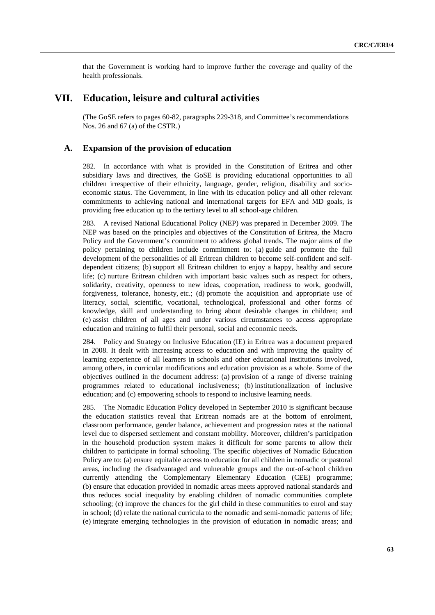that the Government is working hard to improve further the coverage and quality of the health professionals.

# **VII. Education, leisure and cultural activities**

 (The GoSE refers to pages 60-82, paragraphs 229-318, and Committee's recommendations Nos. 26 and 67 (a) of the CSTR.)

# **A. Expansion of the provision of education**

282. In accordance with what is provided in the Constitution of Eritrea and other subsidiary laws and directives, the GoSE is providing educational opportunities to all children irrespective of their ethnicity, language, gender, religion, disability and socioeconomic status. The Government, in line with its education policy and all other relevant commitments to achieving national and international targets for EFA and MD goals, is providing free education up to the tertiary level to all school-age children.

283. A revised National Educational Policy (NEP) was prepared in December 2009. The NEP was based on the principles and objectives of the Constitution of Eritrea, the Macro Policy and the Government's commitment to address global trends. The major aims of the policy pertaining to children include commitment to: (a) guide and promote the full development of the personalities of all Eritrean children to become self-confident and selfdependent citizens; (b) support all Eritrean children to enjoy a happy, healthy and secure life; (c) nurture Eritrean children with important basic values such as respect for others, solidarity, creativity, openness to new ideas, cooperation, readiness to work, goodwill, forgiveness, tolerance, honesty, etc.; (d) promote the acquisition and appropriate use of literacy, social, scientific, vocational, technological, professional and other forms of knowledge, skill and understanding to bring about desirable changes in children; and (e) assist children of all ages and under various circumstances to access appropriate education and training to fulfil their personal, social and economic needs.

284. Policy and Strategy on Inclusive Education (IE) in Eritrea was a document prepared in 2008. It dealt with increasing access to education and with improving the quality of learning experience of all learners in schools and other educational institutions involved, among others, in curricular modifications and education provision as a whole. Some of the objectives outlined in the document address: (a) provision of a range of diverse training programmes related to educational inclusiveness; (b) institutionalization of inclusive education; and (c) empowering schools to respond to inclusive learning needs.

285. The Nomadic Education Policy developed in September 2010 is significant because the education statistics reveal that Eritrean nomads are at the bottom of enrolment, classroom performance, gender balance, achievement and progression rates at the national level due to dispersed settlement and constant mobility. Moreover, children's participation in the household production system makes it difficult for some parents to allow their children to participate in formal schooling. The specific objectives of Nomadic Education Policy are to: (a) ensure equitable access to education for all children in nomadic or pastoral areas, including the disadvantaged and vulnerable groups and the out-of-school children currently attending the Complementary Elementary Education (CEE) programme; (b) ensure that education provided in nomadic areas meets approved national standards and thus reduces social inequality by enabling children of nomadic communities complete schooling; (c) improve the chances for the girl child in these communities to enrol and stay in school; (d) relate the national curricula to the nomadic and semi-nomadic patterns of life; (e) integrate emerging technologies in the provision of education in nomadic areas; and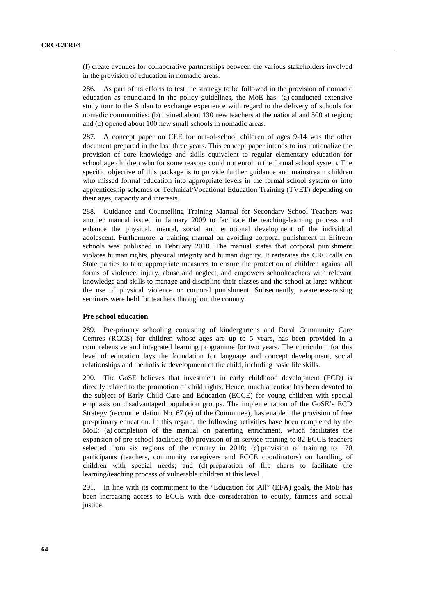(f) create avenues for collaborative partnerships between the various stakeholders involved in the provision of education in nomadic areas.

286. As part of its efforts to test the strategy to be followed in the provision of nomadic education as enunciated in the policy guidelines, the MoE has: (a) conducted extensive study tour to the Sudan to exchange experience with regard to the delivery of schools for nomadic communities; (b) trained about 130 new teachers at the national and 500 at region; and (c) opened about 100 new small schools in nomadic areas.

287. A concept paper on CEE for out-of-school children of ages 9-14 was the other document prepared in the last three years. This concept paper intends to institutionalize the provision of core knowledge and skills equivalent to regular elementary education for school age children who for some reasons could not enrol in the formal school system. The specific objective of this package is to provide further guidance and mainstream children who missed formal education into appropriate levels in the formal school system or into apprenticeship schemes or Technical/Vocational Education Training (TVET) depending on their ages, capacity and interests.

288. Guidance and Counselling Training Manual for Secondary School Teachers was another manual issued in January 2009 to facilitate the teaching-learning process and enhance the physical, mental, social and emotional development of the individual adolescent. Furthermore, a training manual on avoiding corporal punishment in Eritrean schools was published in February 2010. The manual states that corporal punishment violates human rights, physical integrity and human dignity. It reiterates the CRC calls on State parties to take appropriate measures to ensure the protection of children against all forms of violence, injury, abuse and neglect, and empowers schoolteachers with relevant knowledge and skills to manage and discipline their classes and the school at large without the use of physical violence or corporal punishment. Subsequently, awareness-raising seminars were held for teachers throughout the country.

### **Pre-school education**

289. Pre-primary schooling consisting of kindergartens and Rural Community Care Centres (RCCS) for children whose ages are up to 5 years, has been provided in a comprehensive and integrated learning programme for two years. The curriculum for this level of education lays the foundation for language and concept development, social relationships and the holistic development of the child, including basic life skills.

290. The GoSE believes that investment in early childhood development (ECD) is directly related to the promotion of child rights. Hence, much attention has been devoted to the subject of Early Child Care and Education (ECCE) for young children with special emphasis on disadvantaged population groups. The implementation of the GoSE's ECD Strategy (recommendation No. 67 (e) of the Committee), has enabled the provision of free pre-primary education. In this regard, the following activities have been completed by the MoE: (a) completion of the manual on parenting enrichment, which facilitates the expansion of pre-school facilities; (b) provision of in-service training to 82 ECCE teachers selected from six regions of the country in 2010; (c) provision of training to 170 participants (teachers, community caregivers and ECCE coordinators) on handling of children with special needs; and (d) preparation of flip charts to facilitate the learning/teaching process of vulnerable children at this level.

291. In line with its commitment to the "Education for All" (EFA) goals, the MoE has been increasing access to ECCE with due consideration to equity, fairness and social justice.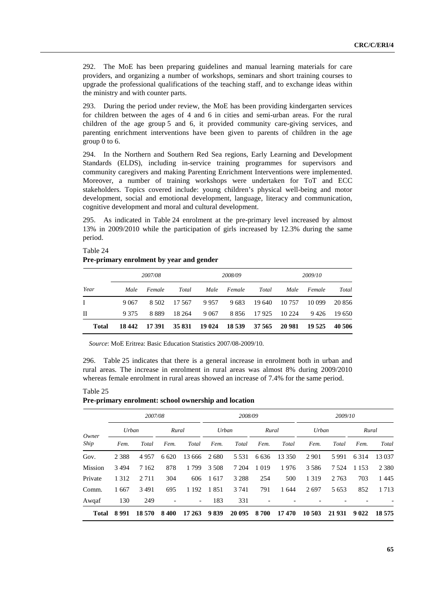292. The MoE has been preparing guidelines and manual learning materials for care providers, and organizing a number of workshops, seminars and short training courses to upgrade the professional qualifications of the teaching staff, and to exchange ideas within the ministry and with counter parts.

293. During the period under review, the MoE has been providing kindergarten services for children between the ages of 4 and 6 in cities and semi-urban areas. For the rural children of the age group 5 and 6, it provided community care-giving services, and parenting enrichment interventions have been given to parents of children in the age group 0 to 6.

294. In the Northern and Southern Red Sea regions, Early Learning and Development Standards (ELDS), including in-service training programmes for supervisors and community caregivers and making Parenting Enrichment Interventions were implemented. Moreover, a number of training workshops were undertaken for ToT and ECC stakeholders. Topics covered include: young children's physical well-being and motor development, social and emotional development, language, literacy and communication, cognitive development and moral and cultural development.

295. As indicated in Table 24 enrolment at the pre-primary level increased by almost 13% in 2009/2010 while the participation of girls increased by 12.3% during the same period.

# **Pre-primary enrolment by year and gender**  *2007/08 2008/09 2009/10 Year Male Female Total Male Female Total Male Female Total* I 9 067 8 502 17 567 9 957 9 683 19 640 10 757 10 099 20 856 II 9 375 8 889 18 264 9 067 8 856 17 925 10 224 9 426 19 650 **Total 18 442 17 391 35 831 19 024 18 539 37 565 20 981 19 525 40 506**

*Source*: MoE Eritrea: Basic Education Statistics 2007/08-2009/10.

296. Table 25 indicates that there is a general increase in enrolment both in urban and rural areas. The increase in enrolment in rural areas was almost 8% during 2009/2010 whereas female enrolment in rural areas showed an increase of 7.4% for the same period.

#### Table 25

Table 24

### **Pre-primary enrolment: school ownership and location**

|               | 2007/08 |         |         |                          | 2008/09 |         |         |        | 2009/10 |         |         |         |
|---------------|---------|---------|---------|--------------------------|---------|---------|---------|--------|---------|---------|---------|---------|
| Owner<br>Ship | Urban   |         | Rural   |                          | Urban   |         | Rural   |        | Urban   |         | Rural   |         |
|               | Fem.    | Total   | Fem.    | Total                    | Fem.    | Total   | Fem.    | Total  | Fem.    | Total   | Fem.    | Total   |
| Gov.          | 2 3 8 8 | 4957    | 6 6 2 0 | 13 666                   | 2680    | 5 5 3 1 | 6 6 3 6 | 13 350 | 2 9 0 1 | 5991    | 6 3 1 4 | 13 0 37 |
| Mission       | 3 4 9 4 | 7 1 6 2 | 878     | 1799                     | 3 5 0 8 | 7 204   | 1 0 1 9 | 1976   | 3 5 8 6 | 7 5 2 4 | 1 1 5 3 | 2 3 8 0 |
| Private       | 1 3 1 2 | 2 7 1 1 | 304     | 606                      | 1617    | 3 2 8 8 | 254     | 500    | 1 3 1 9 | 2 7 6 3 | 703     | 1445    |
| Comm.         | 1667    | 3 4 9 1 | 695     | 1 1 9 2                  | 1851    | 3 7 4 1 | 791     | 1 644  | 2697    | 5 6 5 3 | 852     | 1713    |
| Awqaf         | 130     | 249     |         | $\overline{\phantom{a}}$ | 183     | 331     |         |        |         |         |         |         |
| <b>Total</b>  | 8991    | 18 570  | 8400    | 17 263                   | 9839    | 20 095  | 8700    | 17470  | 10 503  | 21 931  | 9 0 2 2 | 18 5 75 |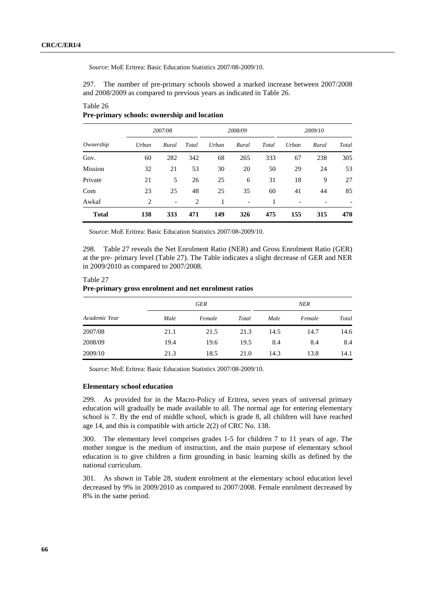Table 26

*Source*: MoE Eritrea: Basic Education Statistics 2007/08-2009/10.

297. The number of pre-primary schools showed a marked increase between 2007/2008 and 2008/2009 as compared to previous years as indicated in Table 26.

| Ownership    | 2007/08 |       |       | 2008/09 |                          |       | 2009/10 |       |       |
|--------------|---------|-------|-------|---------|--------------------------|-------|---------|-------|-------|
|              | Urban   | Rural | Total | Urban   | Rural                    | Total | Urban   | Rural | Total |
| Gov.         | 60      | 282   | 342   | 68      | 265                      | 333   | 67      | 238   | 305   |
| Mission      | 32      | 21    | 53    | 30      | 20                       | 50    | 29      | 24    | 53    |
| Private      | 21      | 5     | 26    | 25      | 6                        | 31    | 18      | 9     | 27    |
| Com          | 23      | 25    | 48    | 25      | 35                       | 60    | 41      | 44    | 85    |
| Awkaf        | 2       | -     | 2     |         | $\overline{\phantom{a}}$ |       |         |       |       |
| <b>Total</b> | 138     | 333   | 471   | 149     | 326                      | 475   | 155     | 315   | 470   |

### **Pre-primary schools: ownership and location**

*Source*: MoE Eritrea: Basic Education Statistics 2007/08-2009/10.

298. Table 27 reveals the Net Enrolment Ratio (NER) and Gross Enrolment Ratio (GER) at the pre- primary level (Table 27). The Table indicates a slight decrease of GER and NER in 2009/2010 as compared to 2007/2008.

### Table 27 **Pre-primary gross enrolment and net enrolment ratios**

|               |      | GER    |       | NER  |        |       |  |
|---------------|------|--------|-------|------|--------|-------|--|
| Academic Year | Male | Female | Total | Male | Female | Total |  |
| 2007/08       | 21.1 | 21.5   | 21.3  | 14.5 | 14.7   | 14.6  |  |
| 2008/09       | 19.4 | 19.6   | 19.5  | 8.4  | 8.4    | 8.4   |  |
| 2009/10       | 21.3 | 18.5   | 21.0  | 14.3 | 13.8   | 14.1  |  |

*Source*: MoE Eritrea: Basic Education Statistics 2007/08-2009/10.

### **Elementary school education**

299. As provided for in the Macro-Policy of Eritrea, seven years of universal primary education will gradually be made available to all. The normal age for entering elementary school is 7. By the end of middle school, which is grade 8, all children will have reached age 14, and this is compatible with article 2(2) of CRC No. 138.

300. The elementary level comprises grades 1-5 for children 7 to 11 years of age. The mother tongue is the medium of instruction, and the main purpose of elementary school education is to give children a firm grounding in basic learning skills as defined by the national curriculum.

301. As shown in Table 28, student enrolment at the elementary school education level decreased by 9% in 2009/2010 as compared to 2007/2008. Female enrolment decreased by 8% in the same period.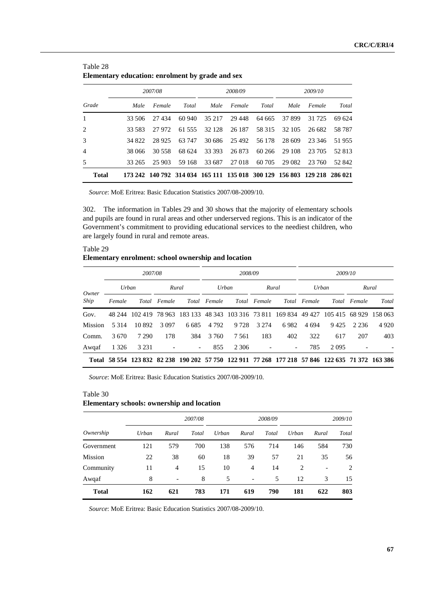|                |        | 2007/08 |                                                                         |        | 2008/09       |        | 2009/10 |        |        |
|----------------|--------|---------|-------------------------------------------------------------------------|--------|---------------|--------|---------|--------|--------|
| Grade          | Male   | Female  | Total                                                                   | Male   | Female        | Total  | Male    | Female | Total  |
| $\mathbf{1}$   | 33.506 | 27434   | 60.940                                                                  | 35 217 | 29 448        | 64 665 | 37 899  | 31 725 | 69 624 |
| 2              | 33.583 | 27.972  | 61 555                                                                  | 32 128 | 26 187        | 58 315 | 32 105  | 26 682 | 58 787 |
| 3              | 34 822 | 28.925  | 63 747                                                                  |        | 30 686 25 492 | 56 178 | 28 609  | 23 346 | 51955  |
| $\overline{4}$ | 38 066 | 30 558  | 68 624                                                                  | 33 393 | 26 873        | 60 266 | 29 108  | 23 705 | 52 813 |
| 5              | 33 265 | 25 903  | 59 168                                                                  | 33 687 | 27 018        | 60 705 | 29 082  | 23 760 | 52 842 |
| Total          |        |         | 173 242 140 792 314 034 165 111 135 018 300 129 156 803 129 218 286 021 |        |               |        |         |        |        |

| Table 28 |  |                                                  |  |
|----------|--|--------------------------------------------------|--|
|          |  | Elementary education: enrolment by grade and sex |  |

*Source*: MoE Eritrea: Basic Education Statistics 2007/08-2009/10.

302. The information in Tables 29 and 30 shows that the majority of elementary schools and pupils are found in rural areas and other underserved regions. This is an indicator of the Government's commitment to providing educational services to the neediest children, who are largely found in rural and remote areas.

| Table 29                                            |  |
|-----------------------------------------------------|--|
| Elementary enrolment: school ownership and location |  |

|         | 2007/08 |         |              |                                                                                                 |              | 2008/09 |              |                          |              | 2009/10        |         |         |  |
|---------|---------|---------|--------------|-------------------------------------------------------------------------------------------------|--------------|---------|--------------|--------------------------|--------------|----------------|---------|---------|--|
| Owner   | Urban   |         | Rural        |                                                                                                 | Urban        |         | Rural        |                          |              | Urban          | Rural   |         |  |
| Ship    | Female  |         | Total Female |                                                                                                 | Total Female |         | Total Female |                          | Total Female | Total          | Female  | Total   |  |
| Gov.    | 48 244  | 102 419 |              | 78 963 183 133 48 343 103 316 73 811 169 834 49 427                                             |              |         |              |                          |              | 105 415 68 929 |         | 158 063 |  |
| Mission | 5 3 1 4 | 10 892  | 3 0 9 7      | 6.685                                                                                           | 4 7 9 2      | 9 7 2 8 | 3 2 7 4      | 6982                     | 4 694        | 9425           | 2 2 3 6 | 4 9 2 0 |  |
| Comm.   | 3670    | 7 2 9 0 | 178          | 384                                                                                             | 3 760        | 7.561   | 183          | 402                      | 322          | 617            | 207     | 403     |  |
| Awqaf   | 1 3 2 6 | 3 2 3 1 |              | -                                                                                               | 855          | 2 3 0 6 |              | $\overline{\phantom{a}}$ | 785          | 2 0 9 5        |         |         |  |
|         |         |         |              | Total 58 554 123 832 82 238 190 202 57 750 122 911 77 268 177 218 57 846 122 635 71 372 163 386 |              |         |              |                          |              |                |         |         |  |

*Source*: MoE Eritrea: Basic Education Statistics 2007/08-2009/10.

### Table 30

# **Elementary schools: ownership and location**

|              |       |                          | 2007/08 |       |                          | 2008/09 | 2009/10 |                          |                |
|--------------|-------|--------------------------|---------|-------|--------------------------|---------|---------|--------------------------|----------------|
| Ownership    | Urban | Rural                    | Total   | Urban | Rural                    | Total   | Urban   | Rural                    | Total          |
| Government   | 121   | 579                      | 700     | 138   | 576                      | 714     | 146     | 584                      | 730            |
| Mission      | 22    | 38                       | 60      | 18    | 39                       | 57      | 21      | 35                       | 56             |
| Community    | 11    | 4                        | 15      | 10    | 4                        | 14      | 2       | $\overline{\phantom{a}}$ | $\overline{c}$ |
| Awqaf        | 8     | $\overline{\phantom{a}}$ | 8       | 5     | $\overline{\phantom{a}}$ | 5       | 12      | 3                        | 15             |
| <b>Total</b> | 162   | 621                      | 783     | 171   | 619                      | 790     | 181     | 622                      | 803            |

*Source*: MoE Eritrea: Basic Education Statistics 2007/08-2009/10.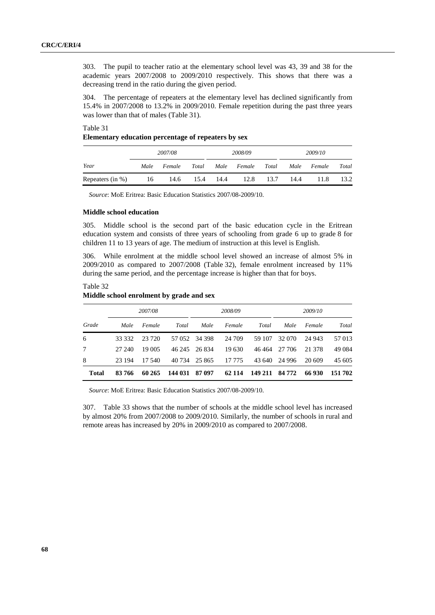303. The pupil to teacher ratio at the elementary school level was 43, 39 and 38 for the academic years 2007/2008 to 2009/2010 respectively. This shows that there was a decreasing trend in the ratio during the given period.

304. The percentage of repeaters at the elementary level has declined significantly from 15.4% in 2007/2008 to 13.2% in 2009/2010. Female repetition during the past three years was lower than that of males (Table 31).

Table 31 **Elementary education percentage of repeaters by sex** 

|                  | 2007/08 |        |       |        | 2008/09     |       | 2009/10 |        |       |
|------------------|---------|--------|-------|--------|-------------|-------|---------|--------|-------|
| Year             | Male    | Female | Total |        | Male Female | Total | Male    | Female | Total |
| Repeaters (in %) | 16      | 14.6   | 15.4  | - 14.4 | 12.8        | 13.7  | 14.4    | 11.8   | 13.2  |

*Source*: MoE Eritrea: Basic Education Statistics 2007/08-2009/10.

### **Middle school education**

305. Middle school is the second part of the basic education cycle in the Eritrean education system and consists of three years of schooling from grade 6 up to grade 8 for children 11 to 13 years of age. The medium of instruction at this level is English.

306. While enrolment at the middle school level showed an increase of almost 5% in 2009/2010 as compared to 2007/2008 (Table 32), female enrolment increased by 11% during the same period, and the percentage increase is higher than that for boys.

Table 32 **Middle school enrolment by grade and sex** 

|              | 2007/08 |        |         |               | 2008/09 |         | 2009/10 |        |         |
|--------------|---------|--------|---------|---------------|---------|---------|---------|--------|---------|
| Grade        | Male    | Female | Total   | Male          | Female  | Total   | Male    | Female | Total   |
| 6            | 33 332  | 23 720 |         | 57 052 34 398 | 24 709  | 59 107  | 32 070  | 24 943 | 57 013  |
| 7            | 27 240  | 19 005 |         | 46 245 26 834 | 19 630  | 46464   | 27 706  | 21 378 | 49 0 84 |
| 8            | 23 194  | 17.540 |         | 40 734 25 865 | 17 775  | 43 640  | 24 996  | 20 609 | 45 605  |
| <b>Total</b> | 83 766  | 60 265 | 144 031 | 87 097        | 62 114  | 149 211 | 84 772  | 66930  | 151 702 |

*Source*: MoE Eritrea: Basic Education Statistics 2007/08-2009/10.

307. Table 33 shows that the number of schools at the middle school level has increased by almost 20% from 2007/2008 to 2009/2010. Similarly, the number of schools in rural and remote areas has increased by 20% in 2009/2010 as compared to 2007/2008.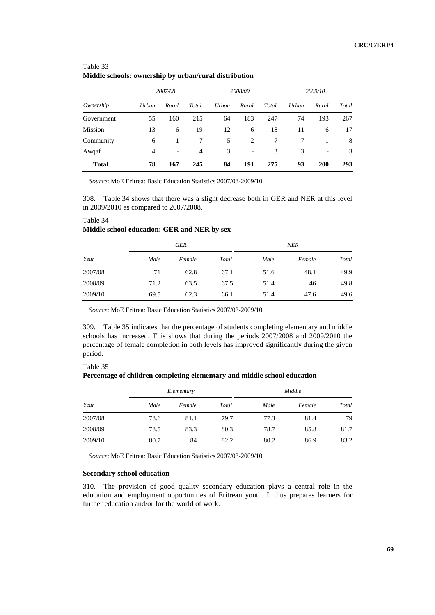| <b>Miquie schools: ownership by urban/rural distribution</b> |                |                          |                |       |         |       |       |         |       |  |
|--------------------------------------------------------------|----------------|--------------------------|----------------|-------|---------|-------|-------|---------|-------|--|
|                                                              |                | 2007/08                  |                |       | 2008/09 |       |       | 2009/10 |       |  |
| Ownership                                                    | Urban          | Rural                    | Total          | Urban | Rural   | Total | Urban | Rural   | Total |  |
| Government                                                   | 55             | 160                      | 215            | 64    | 183     | 247   | 74    | 193     | 267   |  |
| Mission                                                      | 13             | 6                        | 19             | 12    | 6       | 18    | 11    | 6       | 17    |  |
| Community                                                    | 6              |                          |                | 5     | 2       |       |       |         | 8     |  |
| Awqaf                                                        | $\overline{4}$ | $\overline{\phantom{a}}$ | $\overline{4}$ | 3     | -       | 3     | 3     |         | 3     |  |

### Table 33 **Middle schools: ownership by urban/rural distribution**

*Source*: MoE Eritrea: Basic Education Statistics 2007/08-2009/10.

308. Table 34 shows that there was a slight decrease both in GER and NER at this level in 2009/2010 as compared to 2007/2008.

**Total 78 167 245 84 191 275 93 200 293**

|         |      | GER    |       | NER  |        |       |  |  |
|---------|------|--------|-------|------|--------|-------|--|--|
| Year    | Male | Female | Total | Male | Female | Total |  |  |
| 2007/08 | 71   | 62.8   | 67.1  | 51.6 | 48.1   | 49.9  |  |  |
| 2008/09 | 71.2 | 63.5   | 67.5  | 51.4 | 46     | 49.8  |  |  |
| 2009/10 | 69.5 | 62.3   | 66.1  | 51.4 | 47.6   | 49.6  |  |  |

# **Middle school education: GER and NER by sex**

*Source*: MoE Eritrea: Basic Education Statistics 2007/08-2009/10.

309. Table 35 indicates that the percentage of students completing elementary and middle schools has increased. This shows that during the periods 2007/2008 and 2009/2010 the percentage of female completion in both levels has improved significantly during the given period.

### Table 35

Table 34

**Percentage of children completing elementary and middle school education** 

|         |      | Elementary |       | Middle |        |       |  |  |
|---------|------|------------|-------|--------|--------|-------|--|--|
| Year    | Male | Female     | Total | Male   | Female | Total |  |  |
| 2007/08 | 78.6 | 81.1       | 79.7  | 77.3   | 81.4   | 79    |  |  |
| 2008/09 | 78.5 | 83.3       | 80.3  | 78.7   | 85.8   | 81.7  |  |  |
| 2009/10 | 80.7 | 84         | 82.2  | 80.2   | 86.9   | 83.2  |  |  |

*Source*: MoE Eritrea: Basic Education Statistics 2007/08-2009/10.

### **Secondary school education**

310. The provision of good quality secondary education plays a central role in the education and employment opportunities of Eritrean youth. It thus prepares learners for further education and/or for the world of work.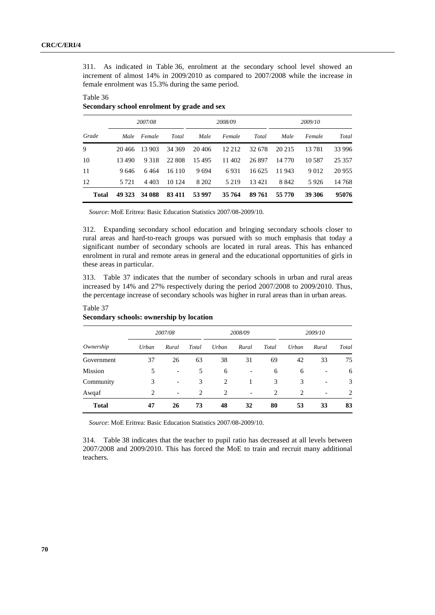311. As indicated in Table 36, enrolment at the secondary school level showed an increment of almost 14% in 2009/2010 as compared to 2007/2008 while the increase in female enrolment was 15.3% during the same period.

# Table 36 **Secondary school enrolment by grade and sex**

|       |         | 2007/08 |        |         | 2008/09 |        | 2009/10 |          |          |
|-------|---------|---------|--------|---------|---------|--------|---------|----------|----------|
| Grade | Male    | Female  | Total  | Male    | Female  | Total  | Male    | Female   | Total    |
| 9     | 20.466  | 13 903  | 34 369 | 20 406  | 12 2 12 | 32 678 | 20 215  | 13781    | 33 996   |
| 10    | 13 490  | 9 3 1 8 | 22 808 | 15495   | 11 402  | 26897  | 14 770  | 10 5 8 7 | 25 3 5 7 |
| 11    | 9646    | 6464    | 16 110 | 9694    | 6931    | 16 625 | 11 943  | 9 0 1 2  | 20 955   |
| 12    | 5 7 2 1 | 4 4 0 3 | 10 124 | 8 2 0 2 | 5 2 1 9 | 13421  | 8 8 4 2 | 5926     | 14 768   |
| Total | 49 323  | 34 088  | 83 411 | 53 997  | 35 764  | 89 761 | 55 770  | 39 306   | 95076    |

*Source*: MoE Eritrea: Basic Education Statistics 2007/08-2009/10.

312. Expanding secondary school education and bringing secondary schools closer to rural areas and hard-to-reach groups was pursued with so much emphasis that today a significant number of secondary schools are located in rural areas. This has enhanced enrolment in rural and remote areas in general and the educational opportunities of girls in these areas in particular.

313. Table 37 indicates that the number of secondary schools in urban and rural areas increased by 14% and 27% respectively during the period 2007/2008 to 2009/2010. Thus, the percentage increase of secondary schools was higher in rural areas than in urban areas.

| Ownership    | 2007/08        |                          |       | 2008/09 |                          |                | 2009/10        |       |       |
|--------------|----------------|--------------------------|-------|---------|--------------------------|----------------|----------------|-------|-------|
|              | Urban          | Rural                    | Total | Urban   | Rural                    | Total          | Urban          | Rural | Total |
| Government   | 37             | 26                       | 63    | 38      | 31                       | 69             | 42             | 33    | 75    |
| Mission      | 5              | $\overline{\phantom{a}}$ | 5     | 6       | $\overline{\phantom{a}}$ | 6              | 6              |       | 6     |
| Community    | 3              | $\overline{\phantom{a}}$ | 3     | 2       |                          | 3              | 3              |       | 3     |
| Awqaf        | $\mathfrak{D}$ | $\overline{\phantom{a}}$ | 2     | 2       | $\overline{\phantom{a}}$ | $\overline{c}$ | $\overline{c}$ |       | 2     |
| <b>Total</b> | 47             | 26                       | 73    | 48      | 32                       | 80             | 53             | 33    | 83    |

# **Secondary schools: ownership by location**

Table 37

*Source*: MoE Eritrea: Basic Education Statistics 2007/08-2009/10.

314. Table 38 indicates that the teacher to pupil ratio has decreased at all levels between 2007/2008 and 2009/2010. This has forced the MoE to train and recruit many additional teachers.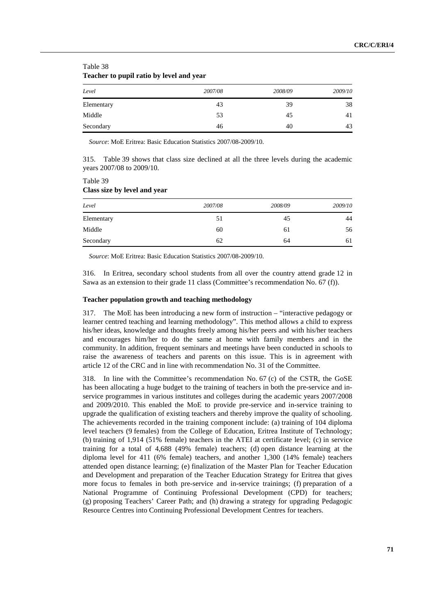| Teacher to pupil ratio by level and year |         |         |         |  |  |  |  |  |
|------------------------------------------|---------|---------|---------|--|--|--|--|--|
| Level                                    | 2007/08 | 2008/09 | 2009/10 |  |  |  |  |  |
| Elementary                               | 43      | 39      | 38      |  |  |  |  |  |
| Middle                                   | 53      | 45      | 41      |  |  |  |  |  |
| Secondary                                | 46      | 40      | 43      |  |  |  |  |  |

Table 38 **Teacher to pupil ratio by level and year** 

*Source*: MoE Eritrea: Basic Education Statistics 2007/08-2009/10.

315. Table 39 shows that class size declined at all the three levels during the academic years 2007/08 to 2009/10.

| Table 39                     |  |
|------------------------------|--|
| Class size by level and year |  |

| Level      | 2007/08 | 2008/09 | 2009/10 |
|------------|---------|---------|---------|
| Elementary | 51      | 45      | 44      |
| Middle     | 60      | 61      | 56      |
| Secondary  | 62      | 64      | 61      |

*Source*: MoE Eritrea: Basic Education Statistics 2007/08-2009/10.

316. In Eritrea, secondary school students from all over the country attend grade 12 in Sawa as an extension to their grade 11 class (Committee's recommendation No. 67 (f)).

# **Teacher population growth and teaching methodology**

317. The MoE has been introducing a new form of instruction – "interactive pedagogy or learner centred teaching and learning methodology". This method allows a child to express his/her ideas, knowledge and thoughts freely among his/her peers and with his/her teachers and encourages him/her to do the same at home with family members and in the community. In addition, frequent seminars and meetings have been conducted in schools to raise the awareness of teachers and parents on this issue. This is in agreement with article 12 of the CRC and in line with recommendation No. 31 of the Committee.

318. In line with the Committee's recommendation No. 67 (c) of the CSTR, the GoSE has been allocating a huge budget to the training of teachers in both the pre-service and inservice programmes in various institutes and colleges during the academic years 2007/2008 and 2009/2010. This enabled the MoE to provide pre-service and in-service training to upgrade the qualification of existing teachers and thereby improve the quality of schooling. The achievements recorded in the training component include: (a) training of 104 diploma level teachers (9 females) from the College of Education, Eritrea Institute of Technology; (b) training of 1,914 (51% female) teachers in the ATEI at certificate level; (c) in service training for a total of 4,688 (49% female) teachers; (d) open distance learning at the diploma level for 411 (6% female) teachers, and another 1,300 (14% female) teachers attended open distance learning; (e) finalization of the Master Plan for Teacher Education and Development and preparation of the Teacher Education Strategy for Eritrea that gives more focus to females in both pre-service and in-service trainings; (f) preparation of a National Programme of Continuing Professional Development (CPD) for teachers; (g) proposing Teachers' Career Path; and (h) drawing a strategy for upgrading Pedagogic Resource Centres into Continuing Professional Development Centres for teachers.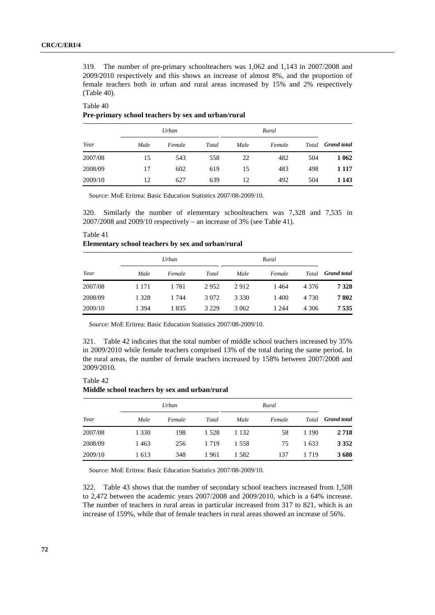319. The number of pre-primary schoolteachers was 1,062 and 1,143 in 2007/2008 and 2009/2010 respectively and this shows an increase of almost 8%, and the proportion of female teachers both in urban and rural areas increased by 15% and 2% respectively (Table 40).

#### Table 40

# **Pre-primary school teachers by sex and urban/rural**

| Year    | Urban |        |       |      | Rural  |     |                          |
|---------|-------|--------|-------|------|--------|-----|--------------------------|
|         | Male  | Female | Total | Male | Female |     | Total <b>Grand</b> total |
| 2007/08 | 15    | 543    | 558   | 22   | 482    | 504 | 1 0 6 2                  |
| 2008/09 | 17    | 602    | 619   | 15   | 483    | 498 | 1 1 1 7                  |
| 2009/10 | 12    | 627    | 639   | 12   | 492    | 504 | 1 1 4 3                  |

*Source*: MoE Eritrea: Basic Education Statistics 2007/08-2009/10.

320. Similarly the number of elementary schoolteachers was 7,328 and 7,535 in 2007/2008 and 2009/10 respectively – an increase of 3% (see Table 41).

| Elementary school teachers by sex and urban/rural |         |        |         |         |        |         |                    |  |  |
|---------------------------------------------------|---------|--------|---------|---------|--------|---------|--------------------|--|--|
| Year                                              |         | Urban  |         |         | Rural  |         |                    |  |  |
|                                                   | Male    | Female | Total   | Male    | Female | Total   | <b>Grand</b> total |  |  |
| 2007/08                                           | 1 1 7 1 | 1 781  | 2952    | 2912    | 1464   | 4 3 7 6 | 7 3 2 8            |  |  |
| 2008/09                                           | 1 3 2 8 | 1 744  | 3 0 7 2 | 3 3 3 0 | 1400   | 4 7 3 0 | 7802               |  |  |
| 2009/10                                           | 1 394   | 1835   | 3 2 2 9 | 3 0 6 2 | 1 244  | 4 306   | 7 5 3 5            |  |  |

# Table 41 **Elementary school teachers by sex and urban/rural**

*Source*: MoE Eritrea: Basic Education Statistics 2007/08-2009/10.

321. Table 42 indicates that the total number of middle school teachers increased by 35% in 2009/2010 while female teachers comprised 13% of the total during the same period. In the rural areas, the number of female teachers increased by 158% between 2007/2008 and 2009/2010.

### Table 42

# **Middle school teachers by sex and urban/rural**

| Year    | Urban   |        |         |         |        |       |                          |
|---------|---------|--------|---------|---------|--------|-------|--------------------------|
|         | Male    | Female | Total   | Male    | Female |       | Total <b>Grand</b> total |
| 2007/08 | 1 3 3 0 | 198    | 1 5 2 8 | 1 1 3 2 | 58     | 1 190 | 2718                     |
| 2008/09 | 1463    | 256    | 1 7 1 9 | 1 5 5 8 | 75     | 1 633 | 3 3 5 2                  |
| 2009/10 | 1613    | 348    | 1961    | 1 582   | 137    | 1719  | 3680                     |

*Source*: MoE Eritrea: Basic Education Statistics 2007/08-2009/10.

322. Table 43 shows that the number of secondary school teachers increased from 1,508 to 2,472 between the academic years 2007/2008 and 2009/2010, which is a 64% increase. The number of teachers in rural areas in particular increased from 317 to 821, which is an increase of 159%, while that of female teachers in rural areas showed an increase of 56%.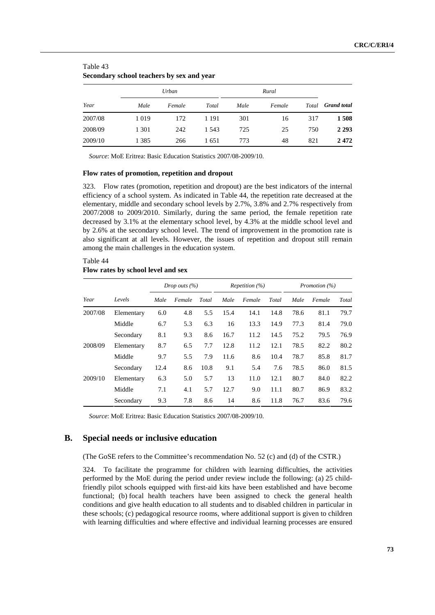|         |         | Urban  |         |      |        |     |                          |
|---------|---------|--------|---------|------|--------|-----|--------------------------|
| Year    | Male    | Female | Total   | Male | Female |     | Total <b>Grand</b> total |
| 2007/08 | 1 0 1 9 | 172    | 1 1 9 1 | 301  | 16     | 317 | 1508                     |
| 2008/09 | 1 3 0 1 | 242    | 1 5 4 3 | 725  | 25     | 750 | 2 2 9 3                  |
| 2009/10 | 1 3 8 5 | 266    | 1651    | 773  | 48     | 821 | 2472                     |

| Table 43                                  |  |  |  |
|-------------------------------------------|--|--|--|
| Secondary school teachers by sex and year |  |  |  |

*Source*: MoE Eritrea: Basic Education Statistics 2007/08-2009/10.

#### **Flow rates of promotion, repetition and dropout**

323. Flow rates (promotion, repetition and dropout) are the best indicators of the internal efficiency of a school system. As indicated in Table 44, the repetition rate decreased at the elementary, middle and secondary school levels by 2.7%, 3.8% and 2.7% respectively from 2007/2008 to 2009/2010. Similarly, during the same period, the female repetition rate decreased by 3.1% at the elementary school level, by 4.3% at the middle school level and by 2.6% at the secondary school level. The trend of improvement in the promotion rate is also significant at all levels. However, the issues of repetition and dropout still remain among the main challenges in the education system.

#### Table 44 **Flow rates by school level and sex**

|         |            | Drop outs $(\% )$ |        |       | <i>Repetition</i> $(\%)$ |        |       | Promotion (%) |        |       |
|---------|------------|-------------------|--------|-------|--------------------------|--------|-------|---------------|--------|-------|
| Year    | Levels     | Male              | Female | Total | Male                     | Female | Total | Male          | Female | Total |
| 2007/08 | Elementary | 6.0               | 4.8    | 5.5   | 15.4                     | 14.1   | 14.8  | 78.6          | 81.1   | 79.7  |
|         | Middle     | 6.7               | 5.3    | 6.3   | 16                       | 13.3   | 14.9  | 77.3          | 81.4   | 79.0  |
|         | Secondary  | 8.1               | 9.3    | 8.6   | 16.7                     | 11.2   | 14.5  | 75.2          | 79.5   | 76.9  |
| 2008/09 | Elementary | 8.7               | 6.5    | 7.7   | 12.8                     | 11.2   | 12.1  | 78.5          | 82.2   | 80.2  |
|         | Middle     | 9.7               | 5.5    | 7.9   | 11.6                     | 8.6    | 10.4  | 78.7          | 85.8   | 81.7  |
|         | Secondary  | 12.4              | 8.6    | 10.8  | 9.1                      | 5.4    | 7.6   | 78.5          | 86.0   | 81.5  |
| 2009/10 | Elementary | 6.3               | 5.0    | 5.7   | 13                       | 11.0   | 12.1  | 80.7          | 84.0   | 82.2  |
|         | Middle     | 7.1               | 4.1    | 5.7   | 12.7                     | 9.0    | 11.1  | 80.7          | 86.9   | 83.2  |
|         | Secondary  | 9.3               | 7.8    | 8.6   | 14                       | 8.6    | 11.8  | 76.7          | 83.6   | 79.6  |

*Source*: MoE Eritrea: Basic Education Statistics 2007/08-2009/10.

#### **B. Special needs or inclusive education**

(The GoSE refers to the Committee's recommendation No. 52 (c) and (d) of the CSTR.)

324. To facilitate the programme for children with learning difficulties, the activities performed by the MoE during the period under review include the following: (a) 25 childfriendly pilot schools equipped with first-aid kits have been established and have become functional; (b) focal health teachers have been assigned to check the general health conditions and give health education to all students and to disabled children in particular in these schools; (c) pedagogical resource rooms, where additional support is given to children with learning difficulties and where effective and individual learning processes are ensured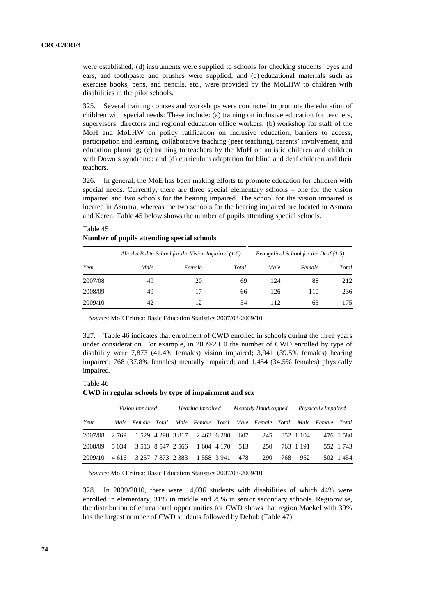were established; (d) instruments were supplied to schools for checking students' eyes and ears, and toothpaste and brushes were supplied; and (e) educational materials such as exercise books, pens, and pencils, etc., were provided by the MoLHW to children with disabilities in the pilot schools.

325. Several training courses and workshops were conducted to promote the education of children with special needs: These include: (a) training on inclusive education for teachers, supervisors, directors and regional education office workers; (b) workshop for staff of the MoH and MoLHW on policy ratification on inclusive education, barriers to access, participation and learning, collaborative teaching (peer teaching), parents' involvement, and education planning; (c) training to teachers by the MoH on autistic children and children with Down's syndrome; and (d) curriculum adaptation for blind and deaf children and their teachers.

326. In general, the MoE has been making efforts to promote education for children with special needs. Currently, there are three special elementary schools – one for the vision impaired and two schools for the hearing impaired. The school for the vision impaired is located in Asmara, whereas the two schools for the hearing impaired are located in Asmara and Keren. Table 45 below shows the number of pupils attending special schools.

|         |      | Abraha Bahta School for the Vision Impaired (1-5) | Evangelical School for the Deaf (1-5) |      |        |       |
|---------|------|---------------------------------------------------|---------------------------------------|------|--------|-------|
| Year    | Male | Female                                            | Total                                 | Male | Female | Total |
| 2007/08 | 49   | 20                                                | 69                                    | 124  | 88     | 212   |
| 2008/09 | 49   | 17                                                | 66                                    | 126  | 110    | 236   |
| 2009/10 | 42   | 12                                                | 54                                    | 112  | 63     | 175   |

# Table 45 **Number of pupils attending special schools**

*Source*: MoE Eritrea: Basic Education Statistics 2007/08-2009/10.

327. Table 46 indicates that enrolment of CWD enrolled in schools during the three years under consideration. For example, in 2009/2010 the number of CWD enrolled by type of disability were 7,873 (41.4% females) vision impaired; 3,941 (39.5% females) hearing impaired; 768 (37.8% females) mentally impaired; and 1,454 (34.5% females) physically impaired.

#### Table 46

**CWD in regular schools by type of impairment and sex** 

| Vision Impaired |       | <b>Hearing Impaired</b> |                   | <b>Mentally Handicapped</b> |             |           | Physically Impaired |                                     |     |           |                   |           |
|-----------------|-------|-------------------------|-------------------|-----------------------------|-------------|-----------|---------------------|-------------------------------------|-----|-----------|-------------------|-----------|
| Year            |       | Male Female Total       |                   |                             |             |           |                     | Male Female Total Male Female Total |     |           | Male Female Total |           |
| 2007/08         | 2.769 |                         |                   | 1 529 4 298 3 817           | 2 463 6 280 |           | 607                 | 245                                 |     | 852 1 104 |                   | 476 1580  |
| 2008/09         | 5.034 |                         |                   | 3 5 13 8 5 47 2 5 6 6       |             | 1604 4170 | 513                 | 250                                 |     | 763 1 191 |                   | 552 1 743 |
| 2009/10         | 4 616 |                         | 3 257 7 873 2 383 |                             | 1 558 3 941 |           | 478                 | 290                                 | 768 | 952       |                   | 502 1 454 |

*Source*: MoE Eritrea: Basic Education Statistics 2007/08-2009/10.

328. In 2009/2010, there were 14,036 students with disabilities of which 44% were enrolled in elementary, 31% in middle and 25% in senior secondary schools. Regionwise, the distribution of educational opportunities for CWD shows that region Maekel with 39% has the largest number of CWD students followed by Debub (Table 47).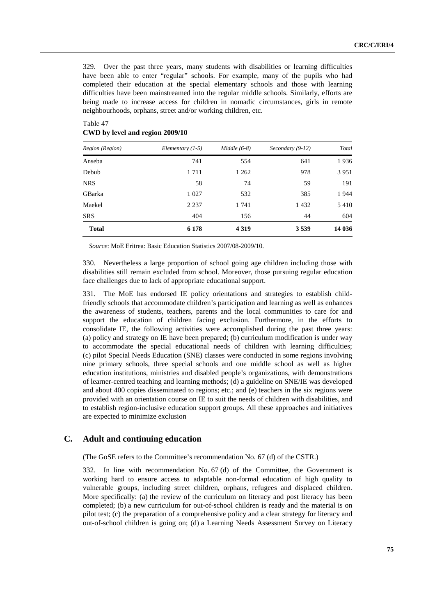329. Over the past three years, many students with disabilities or learning difficulties have been able to enter "regular" schools. For example, many of the pupils who had completed their education at the special elementary schools and those with learning difficulties have been mainstreamed into the regular middle schools. Similarly, efforts are being made to increase access for children in nomadic circumstances, girls in remote neighbourhoods, orphans, street and/or working children, etc.

| Region (Region) | Elementary $(1-5)$ | $Middle (6-8)$ | Secondary $(9-12)$ | Total   |
|-----------------|--------------------|----------------|--------------------|---------|
| Anseba          | 741                | 554            | 641                | 1936    |
| Debub           | 1711               | 1 2 6 2        | 978                | 3 9 5 1 |
| <b>NRS</b>      | 58                 | 74             | 59                 | 191     |
| GBarka          | 1 0 2 7            | 532            | 385                | 1944    |
| Maekel          | 2 2 3 7            | 1 741          | 1432               | 5410    |
| <b>SRS</b>      | 404                | 156            | 44                 | 604     |
| <b>Total</b>    | 6 1 7 8            | 4 3 1 9        | 3 5 3 9            | 14 036  |

#### Table 47 **CWD by level and region 2009/10**

*Source*: MoE Eritrea: Basic Education Statistics 2007/08-2009/10.

330. Nevertheless a large proportion of school going age children including those with disabilities still remain excluded from school. Moreover, those pursuing regular education face challenges due to lack of appropriate educational support.

331. The MoE has endorsed IE policy orientations and strategies to establish childfriendly schools that accommodate children's participation and learning as well as enhances the awareness of students, teachers, parents and the local communities to care for and support the education of children facing exclusion. Furthermore, in the efforts to consolidate IE, the following activities were accomplished during the past three years: (a) policy and strategy on IE have been prepared; (b) curriculum modification is under way to accommodate the special educational needs of children with learning difficulties; (c) pilot Special Needs Education (SNE) classes were conducted in some regions involving nine primary schools, three special schools and one middle school as well as higher education institutions, ministries and disabled people's organizations, with demonstrations of learner-centred teaching and learning methods; (d) a guideline on SNE/IE was developed and about 400 copies disseminated to regions; etc.; and (e) teachers in the six regions were provided with an orientation course on IE to suit the needs of children with disabilities, and to establish region-inclusive education support groups. All these approaches and initiatives are expected to minimize exclusion

#### **C. Adult and continuing education**

(The GoSE refers to the Committee's recommendation No. 67 (d) of the CSTR.)

332. In line with recommendation No. 67 (d) of the Committee, the Government is working hard to ensure access to adaptable non-formal education of high quality to vulnerable groups, including street children, orphans, refugees and displaced children. More specifically: (a) the review of the curriculum on literacy and post literacy has been completed; (b) a new curriculum for out-of-school children is ready and the material is on pilot test; (c) the preparation of a comprehensive policy and a clear strategy for literacy and out-of-school children is going on; (d) a Learning Needs Assessment Survey on Literacy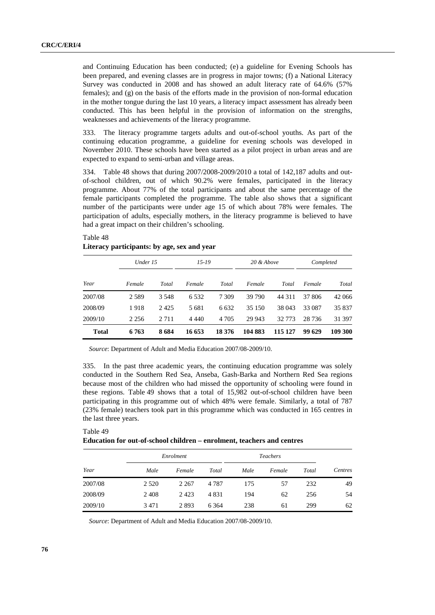and Continuing Education has been conducted; (e) a guideline for Evening Schools has been prepared, and evening classes are in progress in major towns; (f) a National Literacy Survey was conducted in 2008 and has showed an adult literacy rate of 64.6% (57% females); and  $(g)$  on the basis of the efforts made in the provision of non-formal education in the mother tongue during the last 10 years, a literacy impact assessment has already been conducted. This has been helpful in the provision of information on the strengths, weaknesses and achievements of the literacy programme.

333. The literacy programme targets adults and out-of-school youths. As part of the continuing education programme, a guideline for evening schools was developed in November 2010. These schools have been started as a pilot project in urban areas and are expected to expand to semi-urban and village areas.

334. Table 48 shows that during 2007/2008-2009/2010 a total of 142,187 adults and outof-school children, out of which 90.2% were females, participated in the literacy programme. About 77% of the total participants and about the same percentage of the female participants completed the programme. The table also shows that a significant number of the participants were under age 15 of which about 78% were females. The participation of adults, especially mothers, in the literacy programme is believed to have had a great impact on their children's schooling.

|              | Under 15 |         |         | $15 - 19$ |         | 20 & Above |         | Completed |  |
|--------------|----------|---------|---------|-----------|---------|------------|---------|-----------|--|
| Year         | Female   | Total   | Female  | Total     | Female  | Total      | Female  | Total     |  |
| 2007/08      | 2 5 8 9  | 3 5 4 8 | 6 5 3 2 | 7 309     | 39 790  | 44 311     | 37 806  | 42 066    |  |
| 2008/09      | 1918     | 2425    | 5 681   | 6 6 3 2   | 35 150  | 38 043     | 33 087  | 35 837    |  |
| 2009/10      | 2 2 5 6  | 2 7 1 1 | 4 4 4 0 | 4 7 0 5   | 29 943  | 32 7 7 3   | 28 7 36 | 31 397    |  |
| <b>Total</b> | 6763     | 8684    | 16 653  | 18 376    | 104 883 | 115 127    | 99 629  | 109 300   |  |

# Table 48 **Literacy participants: by age, sex and year**

*Source*: Department of Adult and Media Education 2007/08-2009/10.

335. In the past three academic years, the continuing education programme was solely conducted in the Southern Red Sea, Anseba, Gash-Barka and Northern Red Sea regions because most of the children who had missed the opportunity of schooling were found in these regions. Table 49 shows that a total of 15,982 out-of-school children have been participating in this programme out of which 48% were female. Similarly, a total of 787 (23% female) teachers took part in this programme which was conducted in 165 centres in the last three years.

#### Table 49 **Education for out-of-school children – enrolment, teachers and centres**

|         |         | Enrolment |         | <b>Teachers</b> |        |       |         |
|---------|---------|-----------|---------|-----------------|--------|-------|---------|
| Year    | Male    | Female    | Total   | Male            | Female | Total | Centres |
| 2007/08 | 2 5 2 0 | 2 2 6 7   | 4 7 8 7 | 175             | 57     | 232   | 49      |
| 2008/09 | 2408    | 2423      | 4 8 3 1 | 194             | 62     | 256   | 54      |
| 2009/10 | 3471    | 2893      | 6 3 6 4 | 238             | 61     | 299   | 62      |

*Source*: Department of Adult and Media Education 2007/08-2009/10.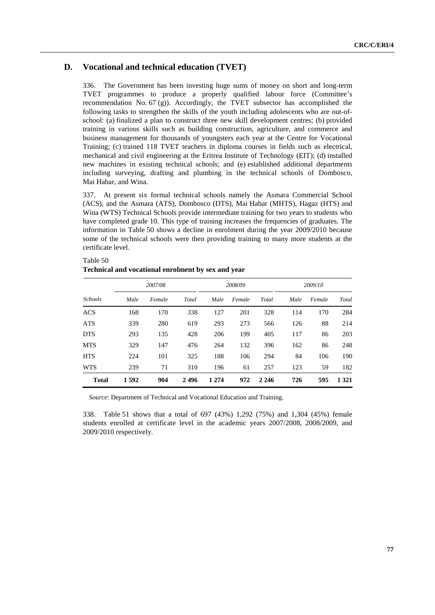# **D. Vocational and technical education (TVET)**

336. The Government has been investing huge sums of money on short and long-term TVET programmes to produce a properly qualified labour force (Committee's recommendation No. 67 (g)). Accordingly, the TVET subsector has accomplished the following tasks to strengthen the skills of the youth including adolescents who are out-ofschool: (a) finalized a plan to construct three new skill development centres; (b) provided training in various skills such as building construction, agriculture, and commerce and business management for thousands of youngsters each year at the Centre for Vocational Training; (c) trained 118 TVET teachers in diploma courses in fields such as electrical, mechanical and civil engineering at the Eritrea Institute of Technology (EIT); (d) installed new machines in existing technical schools; and (e) established additional departments including surveying, drafting and plumbing in the technical schools of Dombosco, Mai Habar, and Wina.

337. At present six formal technical schools namely the Asmara Commercial School (ACS), and the Asmara (ATS), Dombosco (DTS), Mai Habar (MHTS), Hagaz (HTS) and Wina (WTS) Technical Schools provide intermediate training for two years to students who have completed grade 10. This type of training increases the frequencies of graduates. The information in Table 50 shows a decline in enrolment during the year 2009/2010 because some of the technical schools were then providing training to many more students at the certificate level.

|                | 2007/08 |        |       | 2008/09 |        |         | 2009/10 |        |         |
|----------------|---------|--------|-------|---------|--------|---------|---------|--------|---------|
| <b>Schools</b> | Male    | Female | Total | Male    | Female | Total   | Male    | Female | Total   |
| <b>ACS</b>     | 168     | 170    | 338   | 127     | 201    | 328     | 114     | 170    | 284     |
| <b>ATS</b>     | 339     | 280    | 619   | 293     | 273    | 566     | 126     | 88     | 214     |
| <b>DTS</b>     | 293     | 135    | 428   | 206     | 199    | 405     | 117     | 86     | 203     |
| <b>MTS</b>     | 329     | 147    | 476   | 264     | 132    | 396     | 162     | 86     | 248     |
| <b>HTS</b>     | 224     | 101    | 325   | 188     | 106    | 294     | 84      | 106    | 190     |
| <b>WTS</b>     | 239     | 71     | 310   | 196     | 61     | 257     | 123     | 59     | 182     |
| <b>Total</b>   | 1592    | 904    | 2496  | 1 2 7 4 | 972    | 2 2 4 6 | 726     | 595    | 1 3 2 1 |

# Table 50 **Technical and vocational enrolment by sex and year**

*Source*: Department of Technical and Vocational Education and Training.

338. Table 51 shows that a total of 697 (43%) 1,292 (75%) and 1,304 (45%) female students enrolled at certificate level in the academic years 2007/2008, 2008/2009, and 2009/2010 respectively.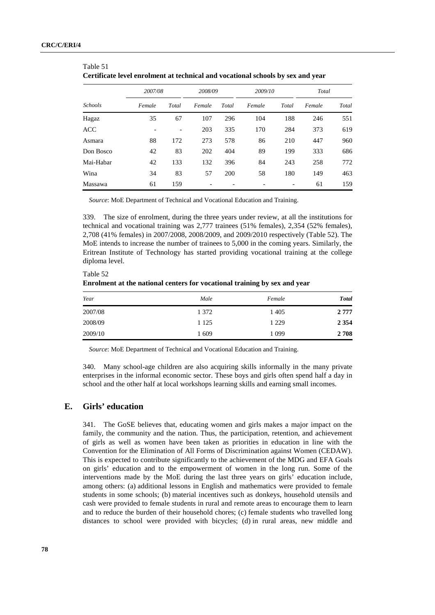Table 51

|                | 2007/08 |       | 2008/09 |       | 2009/10 |       | Total  |       |
|----------------|---------|-------|---------|-------|---------|-------|--------|-------|
| <b>Schools</b> | Female  | Total | Female  | Total | Female  | Total | Female | Total |
| Hagaz          | 35      | 67    | 107     | 296   | 104     | 188   | 246    | 551   |
| <b>ACC</b>     |         |       | 203     | 335   | 170     | 284   | 373    | 619   |
| Asmara         | 88      | 172   | 273     | 578   | 86      | 210   | 447    | 960   |
| Don Bosco      | 42      | 83    | 202     | 404   | 89      | 199   | 333    | 686   |
| Mai-Habar      | 42      | 133   | 132     | 396   | 84      | 243   | 258    | 772   |
| Wina           | 34      | 83    | 57      | 200   | 58      | 180   | 149    | 463   |
| Massawa        | 61      | 159   |         |       |         |       | 61     | 159   |

| Certificate level enrolment at technical and vocational schools by sex and year |  |  |  |
|---------------------------------------------------------------------------------|--|--|--|
|                                                                                 |  |  |  |

*Source*: MoE Department of Technical and Vocational Education and Training.

339. The size of enrolment, during the three years under review, at all the institutions for technical and vocational training was 2,777 trainees (51% females), 2,354 (52% females), 2,708 (41% females) in 2007/2008, 2008/2009, and 2009/2010 respectively (Table 52). The MoE intends to increase the number of trainees to 5,000 in the coming years. Similarly, the Eritrean Institute of Technology has started providing vocational training at the college diploma level.

Table 52 **Enrolment at the national centers for vocational training by sex and year** 

| Year    | Male    | Female  | Total   |
|---------|---------|---------|---------|
| 2007/08 | 1 3 7 2 | 1405    | 2 7 7 7 |
| 2008/09 | 1 1 2 5 | 1 2 2 9 | 2 3 5 4 |
| 2009/10 | 1609    | 1 099   | 2708    |

*Source*: MoE Department of Technical and Vocational Education and Training.

340. Many school-age children are also acquiring skills informally in the many private enterprises in the informal economic sector. These boys and girls often spend half a day in school and the other half at local workshops learning skills and earning small incomes.

#### **E. Girls' education**

341. The GoSE believes that, educating women and girls makes a major impact on the family, the community and the nation. Thus, the participation, retention, and achievement of girls as well as women have been taken as priorities in education in line with the Convention for the Elimination of All Forms of Discrimination against Women (CEDAW). This is expected to contribute significantly to the achievement of the MDG and EFA Goals on girls' education and to the empowerment of women in the long run. Some of the interventions made by the MoE during the last three years on girls' education include, among others: (a) additional lessons in English and mathematics were provided to female students in some schools; (b) material incentives such as donkeys, household utensils and cash were provided to female students in rural and remote areas to encourage them to learn and to reduce the burden of their household chores; (c) female students who travelled long distances to school were provided with bicycles; (d) in rural areas, new middle and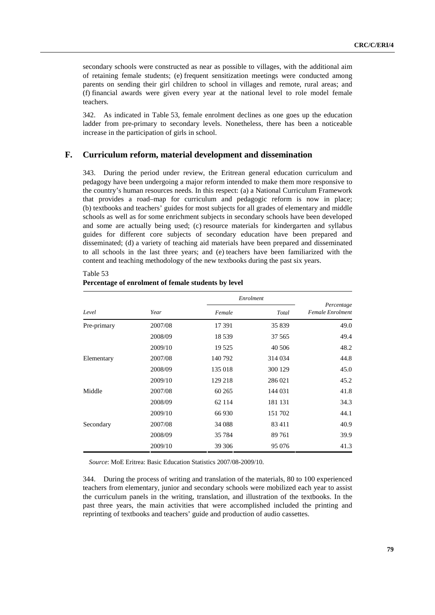secondary schools were constructed as near as possible to villages, with the additional aim of retaining female students; (e) frequent sensitization meetings were conducted among parents on sending their girl children to school in villages and remote, rural areas; and (f) financial awards were given every year at the national level to role model female teachers.

342. As indicated in Table 53, female enrolment declines as one goes up the education ladder from pre-primary to secondary levels. Nonetheless, there has been a noticeable increase in the participation of girls in school.

#### **F. Curriculum reform, material development and dissemination**

343. During the period under review, the Eritrean general education curriculum and pedagogy have been undergoing a major reform intended to make them more responsive to the country's human resources needs. In this respect: (a) a National Curriculum Framework that provides a road–map for curriculum and pedagogic reform is now in place; (b) textbooks and teachers' guides for most subjects for all grades of elementary and middle schools as well as for some enrichment subjects in secondary schools have been developed and some are actually being used; (c) resource materials for kindergarten and syllabus guides for different core subjects of secondary education have been prepared and disseminated; (d) a variety of teaching aid materials have been prepared and disseminated to all schools in the last three years; and (e) teachers have been familiarized with the content and teaching methodology of the new textbooks during the past six years.

|             |         |         | Enrolment |                                |  |  |
|-------------|---------|---------|-----------|--------------------------------|--|--|
| Level       | Year    | Female  | Total     | Percentage<br>Female Enrolment |  |  |
| Pre-primary | 2007/08 | 17 391  | 35 839    | 49.0                           |  |  |
|             | 2008/09 | 18539   | 37 565    | 49.4                           |  |  |
|             | 2009/10 | 19 5 25 | 40 50 6   | 48.2                           |  |  |
| Elementary  | 2007/08 | 140 792 | 314 034   | 44.8                           |  |  |
|             | 2008/09 | 135 018 | 300 129   | 45.0                           |  |  |
|             | 2009/10 | 129 218 | 286 021   | 45.2                           |  |  |
| Middle      | 2007/08 | 60 265  | 144 031   | 41.8                           |  |  |
|             | 2008/09 | 62 1 14 | 181 131   | 34.3                           |  |  |
|             | 2009/10 | 66930   | 151 702   | 44.1                           |  |  |
| Secondary   | 2007/08 | 34 088  | 83411     | 40.9                           |  |  |
|             | 2008/09 | 35 7 84 | 89761     | 39.9                           |  |  |
|             | 2009/10 | 39 30 6 | 95 076    | 41.3                           |  |  |

Table 53 **Percentage of enrolment of female students by level** 

*Source*: MoE Eritrea: Basic Education Statistics 2007/08-2009/10.

344. During the process of writing and translation of the materials, 80 to 100 experienced teachers from elementary, junior and secondary schools were mobilized each year to assist the curriculum panels in the writing, translation, and illustration of the textbooks. In the past three years, the main activities that were accomplished included the printing and reprinting of textbooks and teachers' guide and production of audio cassettes.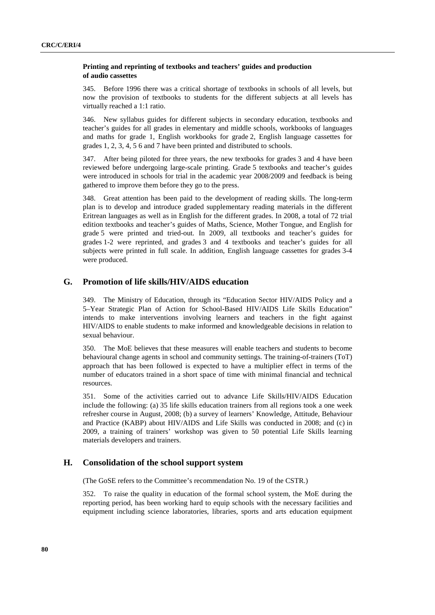#### **Printing and reprinting of textbooks and teachers' guides and production of audio cassettes**

345. Before 1996 there was a critical shortage of textbooks in schools of all levels, but now the provision of textbooks to students for the different subjects at all levels has virtually reached a 1:1 ratio.

346. New syllabus guides for different subjects in secondary education, textbooks and teacher's guides for all grades in elementary and middle schools, workbooks of languages and maths for grade 1, English workbooks for grade 2, English language cassettes for grades 1, 2, 3, 4, 5 6 and 7 have been printed and distributed to schools.

347. After being piloted for three years, the new textbooks for grades 3 and 4 have been reviewed before undergoing large-scale printing. Grade 5 textbooks and teacher's guides were introduced in schools for trial in the academic year 2008/2009 and feedback is being gathered to improve them before they go to the press.

348. Great attention has been paid to the development of reading skills. The long-term plan is to develop and introduce graded supplementary reading materials in the different Eritrean languages as well as in English for the different grades. In 2008, a total of 72 trial edition textbooks and teacher's guides of Maths, Science, Mother Tongue, and English for grade 5 were printed and tried-out. In 2009, all textbooks and teacher's guides for grades 1-2 were reprinted, and grades 3 and 4 textbooks and teacher's guides for all subjects were printed in full scale. In addition, English language cassettes for grades 3-4 were produced.

# **G. Promotion of life skills/HIV/AIDS education**

349. The Ministry of Education, through its "Education Sector HIV/AIDS Policy and a 5–Year Strategic Plan of Action for School-Based HIV/AIDS Life Skills Education" intends to make interventions involving learners and teachers in the fight against HIV/AIDS to enable students to make informed and knowledgeable decisions in relation to sexual behaviour.

350. The MoE believes that these measures will enable teachers and students to become behavioural change agents in school and community settings. The training-of-trainers (ToT) approach that has been followed is expected to have a multiplier effect in terms of the number of educators trained in a short space of time with minimal financial and technical resources.

351. Some of the activities carried out to advance Life Skills/HIV/AIDS Education include the following: (a) 35 life skills education trainers from all regions took a one week refresher course in August, 2008; (b) a survey of learners' Knowledge, Attitude, Behaviour and Practice (KABP) about HIV/AIDS and Life Skills was conducted in 2008; and (c) in 2009, a training of trainers' workshop was given to 50 potential Life Skills learning materials developers and trainers.

### **H. Consolidation of the school support system**

(The GoSE refers to the Committee's recommendation No. 19 of the CSTR.)

352. To raise the quality in education of the formal school system, the MoE during the reporting period, has been working hard to equip schools with the necessary facilities and equipment including science laboratories, libraries, sports and arts education equipment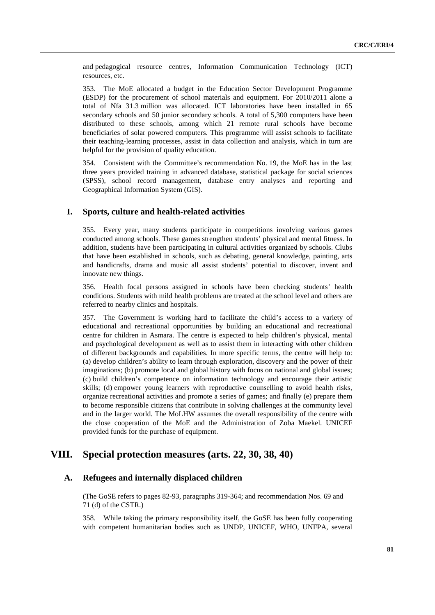and pedagogical resource centres, Information Communication Technology (ICT) resources, etc.

353. The MoE allocated a budget in the Education Sector Development Programme (ESDP) for the procurement of school materials and equipment. For 2010/2011 alone a total of Nfa 31.3 million was allocated. ICT laboratories have been installed in 65 secondary schools and 50 junior secondary schools. A total of 5,300 computers have been distributed to these schools, among which 21 remote rural schools have become beneficiaries of solar powered computers. This programme will assist schools to facilitate their teaching-learning processes, assist in data collection and analysis, which in turn are helpful for the provision of quality education.

354. Consistent with the Committee's recommendation No. 19, the MoE has in the last three years provided training in advanced database, statistical package for social sciences (SPSS), school record management, database entry analyses and reporting and Geographical Information System (GIS).

#### **I. Sports, culture and health-related activities**

355. Every year, many students participate in competitions involving various games conducted among schools. These games strengthen students' physical and mental fitness. In addition, students have been participating in cultural activities organized by schools. Clubs that have been established in schools, such as debating, general knowledge, painting, arts and handicrafts, drama and music all assist students' potential to discover, invent and innovate new things.

356. Health focal persons assigned in schools have been checking students' health conditions. Students with mild health problems are treated at the school level and others are referred to nearby clinics and hospitals.

357. The Government is working hard to facilitate the child's access to a variety of educational and recreational opportunities by building an educational and recreational centre for children in Asmara. The centre is expected to help children's physical, mental and psychological development as well as to assist them in interacting with other children of different backgrounds and capabilities. In more specific terms, the centre will help to: (a) develop children's ability to learn through exploration, discovery and the power of their imaginations; (b) promote local and global history with focus on national and global issues; (c) build children's competence on information technology and encourage their artistic skills; (d) empower young learners with reproductive counselling to avoid health risks, organize recreational activities and promote a series of games; and finally (e) prepare them to become responsible citizens that contribute in solving challenges at the community level and in the larger world. The MoLHW assumes the overall responsibility of the centre with the close cooperation of the MoE and the Administration of Zoba Maekel. UNICEF provided funds for the purchase of equipment.

# **VIII. Special protection measures (arts. 22, 30, 38, 40)**

# **A. Refugees and internally displaced children**

 (The GoSE refers to pages 82-93, paragraphs 319-364; and recommendation Nos. 69 and 71 (d) of the CSTR.)

358. While taking the primary responsibility itself, the GoSE has been fully cooperating with competent humanitarian bodies such as UNDP, UNICEF, WHO, UNFPA, several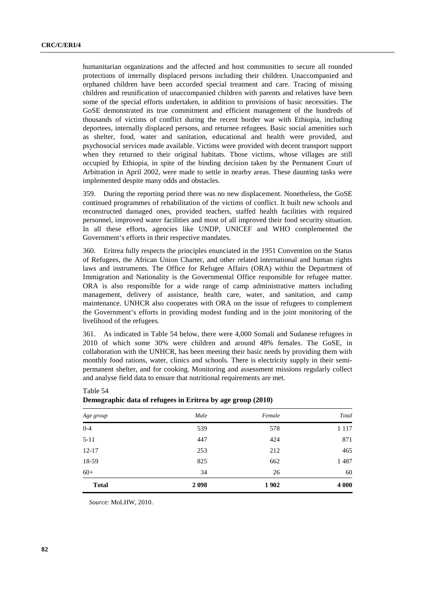humanitarian organizations and the affected and host communities to secure all rounded protections of internally displaced persons including their children. Unaccompanied and orphaned children have been accorded special treatment and care. Tracing of missing children and reunification of unaccompanied children with parents and relatives have been some of the special efforts undertaken, in addition to provisions of basic necessities. The GoSE demonstrated its true commitment and efficient management of the hundreds of thousands of victims of conflict during the recent border war with Ethiopia, including deportees, internally displaced persons, and returnee refugees. Basic social amenities such as shelter, food, water and sanitation, educational and health were provided, and psychosocial services made available. Victims were provided with decent transport support when they returned to their original habitats. Those victims, whose villages are still occupied by Ethiopia, in spite of the binding decision taken by the Permanent Court of Arbitration in April 2002, were made to settle in nearby areas. These daunting tasks were implemented despite many odds and obstacles.

359. During the reporting period there was no new displacement. Nonetheless, the GoSE continued programmes of rehabilitation of the victims of conflict. It built new schools and reconstructed damaged ones, provided teachers, staffed health facilities with required personnel, improved water facilities and most of all improved their food security situation. In all these efforts, agencies like UNDP, UNICEF and WHO complemented the Government's efforts in their respective mandates.

360. Eritrea fully respects the principles enunciated in the 1951 Convention on the Status of Refugees, the African Union Charter, and other related international and human rights laws and instruments. The Office for Refugee Affairs (ORA) within the Department of Immigration and Nationality is the Governmental Office responsible for refugee matter. ORA is also responsible for a wide range of camp administrative matters including management, delivery of assistance, health care, water, and sanitation, and camp maintenance. UNHCR also cooperates with ORA on the issue of refugees to complement the Government's efforts in providing modest funding and in the joint monitoring of the livelihood of the refugees.

361. As indicated in Table 54 below, there were 4,000 Somali and Sudanese refugees in 2010 of which some 30% were children and around 48% females. The GoSE, in collaboration with the UNHCR, has been meeting their basic needs by providing them with monthly food rations, water, clinics and schools. There is electricity supply in their semipermanent shelter, and for cooking. Monitoring and assessment missions regularly collect and analyse field data to ensure that nutritional requirements are met.

| Age group    | Male | Female | Total   |  |
|--------------|------|--------|---------|--|
| $0 - 4$      | 539  | 578    | 1 1 1 7 |  |
| $5 - 11$     | 447  | 424    | 871     |  |
| $12 - 17$    | 253  | 212    | 465     |  |
| 18-59        | 825  | 662    | 1487    |  |
| $60+$        | 34   | 26     | 60      |  |
| <b>Total</b> | 2098 | 1902   | 4 0 0 0 |  |

| $1 \text{ and } 3 \pi$                                      |  |  |  |
|-------------------------------------------------------------|--|--|--|
| Demographic data of refugees in Eritrea by age group (2010) |  |  |  |

*Source*: MoLHW, 2010.

 $Table 54$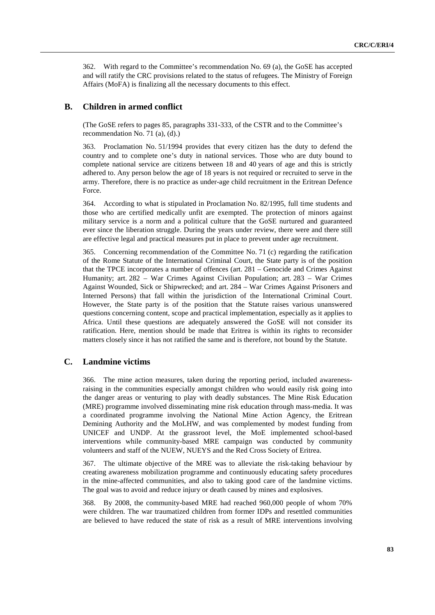362. With regard to the Committee's recommendation No. 69 (a), the GoSE has accepted and will ratify the CRC provisions related to the status of refugees. The Ministry of Foreign Affairs (MoFA) is finalizing all the necessary documents to this effect.

#### **B. Children in armed conflict**

 (The GoSE refers to pages 85, paragraphs 331-333, of the CSTR and to the Committee's recommendation No. 71 (a), (d).)

363. Proclamation No. 51/1994 provides that every citizen has the duty to defend the country and to complete one's duty in national services. Those who are duty bound to complete national service are citizens between 18 and 40 years of age and this is strictly adhered to. Any person below the age of 18 years is not required or recruited to serve in the army. Therefore, there is no practice as under-age child recruitment in the Eritrean Defence Force.

364. According to what is stipulated in Proclamation No. 82/1995, full time students and those who are certified medically unfit are exempted. The protection of minors against military service is a norm and a political culture that the GoSE nurtured and guaranteed ever since the liberation struggle. During the years under review, there were and there still are effective legal and practical measures put in place to prevent under age recruitment.

365. Concerning recommendation of the Committee No. 71 (c) regarding the ratification of the Rome Statute of the International Criminal Court, the State party is of the position that the TPCE incorporates a number of offences (art. 281 – Genocide and Crimes Against Humanity; art. 282 – War Crimes Against Civilian Population; art. 283 – War Crimes Against Wounded, Sick or Shipwrecked; and art. 284 – War Crimes Against Prisoners and Interned Persons) that fall within the jurisdiction of the International Criminal Court. However, the State party is of the position that the Statute raises various unanswered questions concerning content, scope and practical implementation, especially as it applies to Africa. Until these questions are adequately answered the GoSE will not consider its ratification. Here, mention should be made that Eritrea is within its rights to reconsider matters closely since it has not ratified the same and is therefore, not bound by the Statute.

#### **C. Landmine victims**

366. The mine action measures, taken during the reporting period, included awarenessraising in the communities especially amongst children who would easily risk going into the danger areas or venturing to play with deadly substances. The Mine Risk Education (MRE) programme involved disseminating mine risk education through mass-media. It was a coordinated programme involving the National Mine Action Agency, the Eritrean Demining Authority and the MoLHW, and was complemented by modest funding from UNICEF and UNDP. At the grassroot level, the MoE implemented school-based interventions while community-based MRE campaign was conducted by community volunteers and staff of the NUEW, NUEYS and the Red Cross Society of Eritrea.

367. The ultimate objective of the MRE was to alleviate the risk-taking behaviour by creating awareness mobilization programme and continuously educating safety procedures in the mine-affected communities, and also to taking good care of the landmine victims. The goal was to avoid and reduce injury or death caused by mines and explosives.

368. By 2008, the community-based MRE had reached 960,000 people of whom 70% were children. The war traumatized children from former IDPs and resettled communities are believed to have reduced the state of risk as a result of MRE interventions involving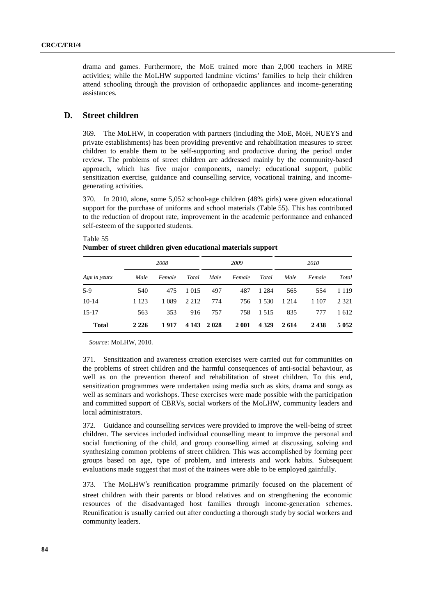drama and games. Furthermore, the MoE trained more than 2,000 teachers in MRE activities; while the MoLHW supported landmine victims' families to help their children attend schooling through the provision of orthopaedic appliances and income-generating assistances.

### **D. Street children**

369. The MoLHW, in cooperation with partners (including the MoE, MoH, NUEYS and private establishments) has been providing preventive and rehabilitation measures to street children to enable them to be self-supporting and productive during the period under review. The problems of street children are addressed mainly by the community-based approach, which has five major components, namely: educational support, public sensitization exercise, guidance and counselling service, vocational training, and incomegenerating activities.

370. In 2010, alone, some 5,052 school-age children (48% girls) were given educational support for the purchase of uniforms and school materials (Table 55). This has contributed to the reduction of dropout rate, improvement in the academic performance and enhanced self-esteem of the supported students.

| Age in years |         | 2008    |         |         | 2009    |         |         | 2010    |         |  |
|--------------|---------|---------|---------|---------|---------|---------|---------|---------|---------|--|
|              | Male    | Female  | Total   | Male    | Female  | Total   | Male    | Female  | Total   |  |
| $5-9$        | 540     | 475     | 1 0 1 5 | 497     | 487     | 1 2 8 4 | 565     | 554     | 1 1 1 9 |  |
| $10-14$      | 1 1 2 3 | 1 0 8 9 | 2 2 1 2 | 774     | 756     | 1 5 3 0 | 1 2 1 4 | 1 1 0 7 | 2 3 2 1 |  |
| $15-17$      | 563     | 353     | 916     | 757     | 758     | 1 5 1 5 | 835     | 777     | 1612    |  |
| <b>Total</b> | 2 2 2 6 | 1917    | 4 1 4 3 | 2 0 2 8 | 2 0 0 1 | 4 3 2 9 | 2614    | 2438    | 5 0 5 2 |  |

Table 55 **Number of street children given educational materials support** 

*Source*: MoLHW, 2010.

371. Sensitization and awareness creation exercises were carried out for communities on the problems of street children and the harmful consequences of anti-social behaviour, as well as on the prevention thereof and rehabilitation of street children. To this end, sensitization programmes were undertaken using media such as skits, drama and songs as well as seminars and workshops. These exercises were made possible with the participation and committed support of CBRVs, social workers of the MoLHW, community leaders and local administrators.

372. Guidance and counselling services were provided to improve the well-being of street children. The services included individual counselling meant to improve the personal and social functioning of the child, and group counselling aimed at discussing, solving and synthesizing common problems of street children. This was accomplished by forming peer groups based on age, type of problem, and interests and work habits. Subsequent evaluations made suggest that most of the trainees were able to be employed gainfully.

373. The MoLHW's reunification programme primarily focused on the placement of 's reunification programme primarily focused on the placement of their parents or blood relatives and on strengthening the economic is advantaged host families through income-generation schemes. street children with their parents or blood relatives and on strengthening the economic resources of the disadvantaged host families through income-generation schemes. Reunification is usually carried out after conducting a thorough study by social workers and community leaders.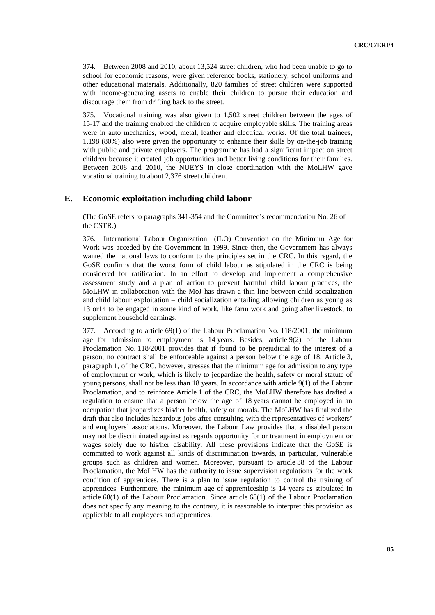374. Between 2008 and 2010, about 13,524 street children, who had been unable to go to school for economic reasons, were given reference books, stationery, school uniforms and other educational materials. Additionally, 820 families of street children were supported with income-generating assets to enable their children to pursue their education and discourage them from drifting back to the street.

375. Vocational training was also given to 1,502 street children between the ages of 15-17 and the training enabled the children to acquire employable skills. The training areas were in auto mechanics, wood, metal, leather and electrical works. Of the total trainees, 1,198 (80%) also were given the opportunity to enhance their skills by on-the-job training with public and private employers. The programme has had a significant impact on street children because it created job opportunities and better living conditions for their families. Between 2008 and 2010, the NUEYS in close coordination with the MoLHW gave vocational training to about 2,376 street children.

#### **E. Economic exploitation including child labour**

 (The GoSE refers to paragraphs 341-354 and the Committee's recommendation No. 26 of the CSTR.)

376. International Labour Organization (ILO) Convention on the Minimum Age for Work was acceded by the Government in 1999. Since then, the Government has always wanted the national laws to conform to the principles set in the CRC. In this regard, the GoSE confirms that the worst form of child labour as stipulated in the CRC is being considered for ratification. In an effort to develop and implement a comprehensive assessment study and a plan of action to prevent harmful child labour practices, the MoLHW in collaboration with the MoJ has drawn a thin line between child socialization and child labour exploitation – child socialization entailing allowing children as young as 13 or14 to be engaged in some kind of work, like farm work and going after livestock, to supplement household earnings.

377. According to article 69(1) of the Labour Proclamation No. 118/2001, the minimum age for admission to employment is 14 years. Besides, article 9(2) of the Labour Proclamation No. 118/2001 provides that if found to be prejudicial to the interest of a person, no contract shall be enforceable against a person below the age of 18. Article 3, paragraph 1, of the CRC, however, stresses that the minimum age for admission to any type of employment or work, which is likely to jeopardize the health, safety or moral statute of young persons, shall not be less than 18 years. In accordance with article 9(1) of the Labour Proclamation, and to reinforce Article 1 of the CRC, the MoLHW therefore has drafted a regulation to ensure that a person below the age of 18 years cannot be employed in an occupation that jeopardizes his/her health, safety or morals. The MoLHW has finalized the draft that also includes hazardous jobs after consulting with the representatives of workers' and employers' associations. Moreover, the Labour Law provides that a disabled person may not be discriminated against as regards opportunity for or treatment in employment or wages solely due to his/her disability. All these provisions indicate that the GoSE is committed to work against all kinds of discrimination towards, in particular, vulnerable groups such as children and women. Moreover, pursuant to article 38 of the Labour Proclamation, the MoLHW has the authority to issue supervision regulations for the work condition of apprentices. There is a plan to issue regulation to control the training of apprentices. Furthermore, the minimum age of apprenticeship is 14 years as stipulated in article 68(1) of the Labour Proclamation. Since article 68(1) of the Labour Proclamation does not specify any meaning to the contrary, it is reasonable to interpret this provision as applicable to all employees and apprentices.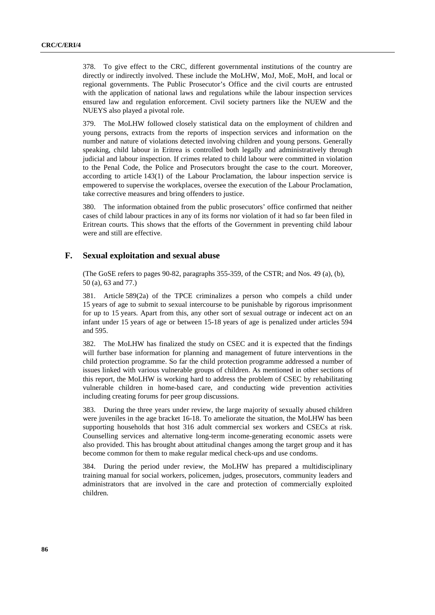378. To give effect to the CRC, different governmental institutions of the country are directly or indirectly involved. These include the MoLHW, MoJ, MoE, MoH, and local or regional governments. The Public Prosecutor's Office and the civil courts are entrusted with the application of national laws and regulations while the labour inspection services ensured law and regulation enforcement. Civil society partners like the NUEW and the NUEYS also played a pivotal role.

379. The MoLHW followed closely statistical data on the employment of children and young persons, extracts from the reports of inspection services and information on the number and nature of violations detected involving children and young persons. Generally speaking, child labour in Eritrea is controlled both legally and administratively through judicial and labour inspection. If crimes related to child labour were committed in violation to the Penal Code, the Police and Prosecutors brought the case to the court. Moreover, according to article 143(1) of the Labour Proclamation, the labour inspection service is empowered to supervise the workplaces, oversee the execution of the Labour Proclamation, take corrective measures and bring offenders to justice.

380. The information obtained from the public prosecutors' office confirmed that neither cases of child labour practices in any of its forms nor violation of it had so far been filed in Eritrean courts. This shows that the efforts of the Government in preventing child labour were and still are effective.

#### **F. Sexual exploitation and sexual abuse**

 (The GoSE refers to pages 90-82, paragraphs 355-359, of the CSTR; and Nos. 49 (a), (b), 50 (a), 63 and 77.)

381. Article 589(2a) of the TPCE criminalizes a person who compels a child under 15 years of age to submit to sexual intercourse to be punishable by rigorous imprisonment for up to 15 years. Apart from this, any other sort of sexual outrage or indecent act on an infant under 15 years of age or between 15-18 years of age is penalized under articles 594 and 595.

382. The MoLHW has finalized the study on CSEC and it is expected that the findings will further base information for planning and management of future interventions in the child protection programme. So far the child protection programme addressed a number of issues linked with various vulnerable groups of children. As mentioned in other sections of this report, the MoLHW is working hard to address the problem of CSEC by rehabilitating vulnerable children in home-based care, and conducting wide prevention activities including creating forums for peer group discussions.

383. During the three years under review, the large majority of sexually abused children were juveniles in the age bracket 16-18. To ameliorate the situation, the MoLHW has been supporting households that host 316 adult commercial sex workers and CSECs at risk. Counselling services and alternative long-term income-generating economic assets were also provided. This has brought about attitudinal changes among the target group and it has become common for them to make regular medical check-ups and use condoms.

384. During the period under review, the MoLHW has prepared a multidisciplinary training manual for social workers, policemen, judges, prosecutors, community leaders and administrators that are involved in the care and protection of commercially exploited children.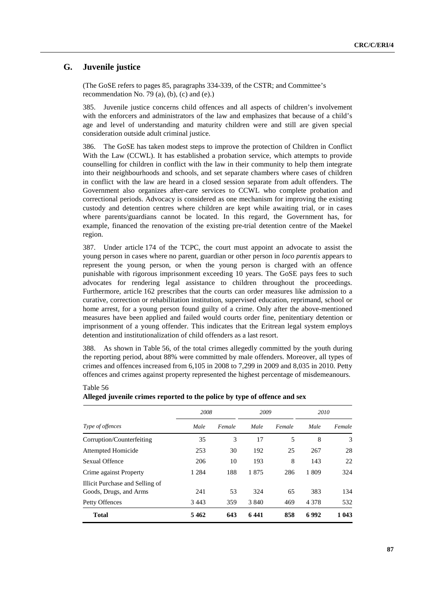# **G. Juvenile justice**

Table 56

 (The GoSE refers to pages 85, paragraphs 334-339, of the CSTR; and Committee's recommendation No. 79 (a), (b), (c) and (e).)

385. Juvenile justice concerns child offences and all aspects of children's involvement with the enforcers and administrators of the law and emphasizes that because of a child's age and level of understanding and maturity children were and still are given special consideration outside adult criminal justice.

386. The GoSE has taken modest steps to improve the protection of Children in Conflict With the Law (CCWL). It has established a probation service, which attempts to provide counselling for children in conflict with the law in their community to help them integrate into their neighbourhoods and schools, and set separate chambers where cases of children in conflict with the law are heard in a closed session separate from adult offenders. The Government also organizes after-care services to CCWL who complete probation and correctional periods. Advocacy is considered as one mechanism for improving the existing custody and detention centres where children are kept while awaiting trial, or in cases where parents/guardians cannot be located. In this regard, the Government has, for example, financed the renovation of the existing pre-trial detention centre of the Maekel region.

387. Under article 174 of the TCPC, the court must appoint an advocate to assist the young person in cases where no parent, guardian or other person in *loco parentis* appears to represent the young person, or when the young person is charged with an offence punishable with rigorous imprisonment exceeding 10 years. The GoSE pays fees to such advocates for rendering legal assistance to children throughout the proceedings. Furthermore, article 162 prescribes that the courts can order measures like admission to a curative, correction or rehabilitation institution, supervised education, reprimand, school or home arrest, for a young person found guilty of a crime. Only after the above-mentioned measures have been applied and failed would courts order fine, penitentiary detention or imprisonment of a young offender. This indicates that the Eritrean legal system employs detention and institutionalization of child offenders as a last resort.

388. As shown in Table 56, of the total crimes allegedly committed by the youth during the reporting period, about 88% were committed by male offenders. Moreover, all types of crimes and offences increased from 6,105 in 2008 to 7,299 in 2009 and 8,035 in 2010. Petty offences and crimes against property represented the highest percentage of misdemeanours.

|                                                           | 2008    |        | 2009    |        | 2010    |        |
|-----------------------------------------------------------|---------|--------|---------|--------|---------|--------|
| Type of offences                                          | Male    | Female | Male    | Female | Male    | Female |
| Corruption/Counterfeiting                                 | 35      | 3      | 17      | 5      | 8       | 3      |
| Attempted Homicide                                        | 253     | 30     | 192     | 25     | 267     | 28     |
| Sexual Offence                                            | 206     | 10     | 193     | 8      | 143     | 22     |
| Crime against Property                                    | 1 2 8 4 | 188    | 1875    | 286    | 1 809   | 324    |
| Illicit Purchase and Selling of<br>Goods, Drugs, and Arms | 241     | 53     | 324     | 65     | 383     | 134    |
| Petty Offences                                            | 3443    | 359    | 3 8 4 0 | 469    | 4 3 7 8 | 532    |
| <b>Total</b>                                              | 5462    | 643    | 6441    | 858    | 6992    | 1 043  |

#### **Alleged juvenile crimes reported to the police by type of offence and sex**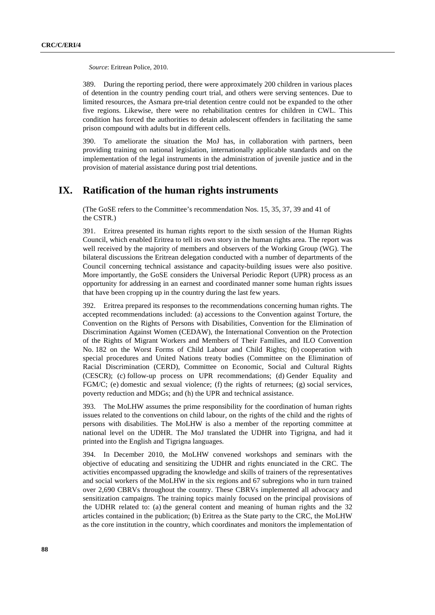*Source*: Eritrean Police, 2010.

389. During the reporting period, there were approximately 200 children in various places of detention in the country pending court trial, and others were serving sentences. Due to limited resources, the Asmara pre-trial detention centre could not be expanded to the other five regions. Likewise, there were no rehabilitation centres for children in CWL. This condition has forced the authorities to detain adolescent offenders in facilitating the same prison compound with adults but in different cells.

390. To ameliorate the situation the MoJ has, in collaboration with partners, been providing training on national legislation, internationally applicable standards and on the implementation of the legal instruments in the administration of juvenile justice and in the provision of material assistance during post trial detentions.

# **IX. Ratification of the human rights instruments**

 (The GoSE refers to the Committee's recommendation Nos. 15, 35, 37, 39 and 41 of the CSTR.)

391. Eritrea presented its human rights report to the sixth session of the Human Rights Council, which enabled Eritrea to tell its own story in the human rights area. The report was well received by the majority of members and observers of the Working Group (WG). The bilateral discussions the Eritrean delegation conducted with a number of departments of the Council concerning technical assistance and capacity-building issues were also positive. More importantly, the GoSE considers the Universal Periodic Report (UPR) process as an opportunity for addressing in an earnest and coordinated manner some human rights issues that have been cropping up in the country during the last few years.

392. Eritrea prepared its responses to the recommendations concerning human rights. The accepted recommendations included: (a) accessions to the Convention against Torture, the Convention on the Rights of Persons with Disabilities, Convention for the Elimination of Discrimination Against Women (CEDAW), the International Convention on the Protection of the Rights of Migrant Workers and Members of Their Families, and ILO Convention No. 182 on the Worst Forms of Child Labour and Child Rights; (b) cooperation with special procedures and United Nations treaty bodies (Committee on the Elimination of Racial Discrimination (CERD), Committee on Economic, Social and Cultural Rights (CESCR); (c) follow-up process on UPR recommendations; (d) Gender Equality and FGM/C; (e) domestic and sexual violence; (f) the rights of returnees; (g) social services, poverty reduction and MDGs; and (h) the UPR and technical assistance.

393. The MoLHW assumes the prime responsibility for the coordination of human rights issues related to the conventions on child labour, on the rights of the child and the rights of persons with disabilities. The MoLHW is also a member of the reporting committee at national level on the UDHR. The MoJ translated the UDHR into Tigrigna, and had it printed into the English and Tigrigna languages.

394. In December 2010, the MoLHW convened workshops and seminars with the objective of educating and sensitizing the UDHR and rights enunciated in the CRC. The activities encompassed upgrading the knowledge and skills of trainers of the representatives and social workers of the MoLHW in the six regions and 67 subregions who in turn trained over 2,690 CBRVs throughout the country. These CBRVs implemented all advocacy and sensitization campaigns. The training topics mainly focused on the principal provisions of the UDHR related to: (a) the general content and meaning of human rights and the 32 articles contained in the publication; (b) Eritrea as the State party to the CRC, the MoLHW as the core institution in the country, which coordinates and monitors the implementation of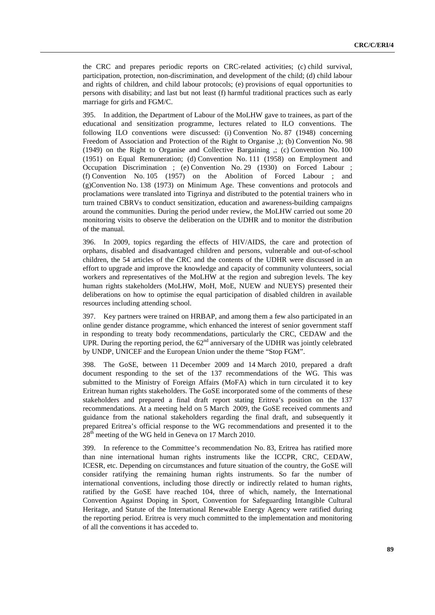the CRC and prepares periodic reports on CRC-related activities; (c) child survival, participation, protection, non-discrimination, and development of the child; (d) child labour and rights of children, and child labour protocols; (e) provisions of equal opportunities to persons with disability; and last but not least (f) harmful traditional practices such as early marriage for girls and FGM/C.

395. In addition, the Department of Labour of the MoLHW gave to trainees, as part of the educational and sensitization programme, lectures related to ILO conventions. The following ILO conventions were discussed: (i) Convention No. 87 (1948) concerning Freedom of Association and Protection of the Right to Organise ,); (b) Convention No. 98 (1949) on the Right to Organise and Collective Bargaining ,; (c) Convention No. 100 (1951) on Equal Remuneration; (d) Convention No. 111 (1958) on Employment and Occupation Discrimination ; (e) Convention No. 29 (1930) on Forced Labour ; (f) Convention No. 105 (1957) on the Abolition of Forced Labour ; and (g)Convention No. 138 (1973) on Minimum Age. These conventions and protocols and proclamations were translated into Tigrinya and distributed to the potential trainers who in turn trained CBRVs to conduct sensitization, education and awareness-building campaigns around the communities. During the period under review, the MoLHW carried out some 20 monitoring visits to observe the deliberation on the UDHR and to monitor the distribution of the manual.

396. In 2009, topics regarding the effects of HIV/AIDS, the care and protection of orphans, disabled and disadvantaged children and persons, vulnerable and out-of-school children, the 54 articles of the CRC and the contents of the UDHR were discussed in an effort to upgrade and improve the knowledge and capacity of community volunteers, social workers and representatives of the MoLHW at the region and subregion levels. The key human rights stakeholders (MoLHW, MoH, MoE, NUEW and NUEYS) presented their deliberations on how to optimise the equal participation of disabled children in available resources including attending school.

397. Key partners were trained on HRBAP, and among them a few also participated in an online gender distance programme, which enhanced the interest of senior government staff in responding to treaty body recommendations, particularly the CRC, CEDAW and the UPR. During the reporting period, the  $62<sup>nd</sup>$  anniversary of the UDHR was jointly celebrated by UNDP, UNICEF and the European Union under the theme "Stop FGM".

398. The GoSE, between 11 December 2009 and 14 March 2010, prepared a draft document responding to the set of the 137 recommendations of the WG. This was submitted to the Ministry of Foreign Affairs (MoFA) which in turn circulated it to key Eritrean human rights stakeholders. The GoSE incorporated some of the comments of these stakeholders and prepared a final draft report stating Eritrea's position on the 137 recommendations. At a meeting held on 5 March 2009, the GoSE received comments and guidance from the national stakeholders regarding the final draft, and subsequently it prepared Eritrea's official response to the WG recommendations and presented it to the 28<sup>th</sup> meeting of the WG held in Geneva on 17 March 2010.

399. In reference to the Committee's recommendation No. 83, Eritrea has ratified more than nine international human rights instruments like the ICCPR, CRC, CEDAW, ICESR, etc. Depending on circumstances and future situation of the country, the GoSE will consider ratifying the remaining human rights instruments. So far the number of international conventions, including those directly or indirectly related to human rights, ratified by the GoSE have reached 104, three of which, namely, the International Convention Against Doping in Sport, Convention for Safeguarding Intangible Cultural Heritage, and Statute of the International Renewable Energy Agency were ratified during the reporting period. Eritrea is very much committed to the implementation and monitoring of all the conventions it has acceded to.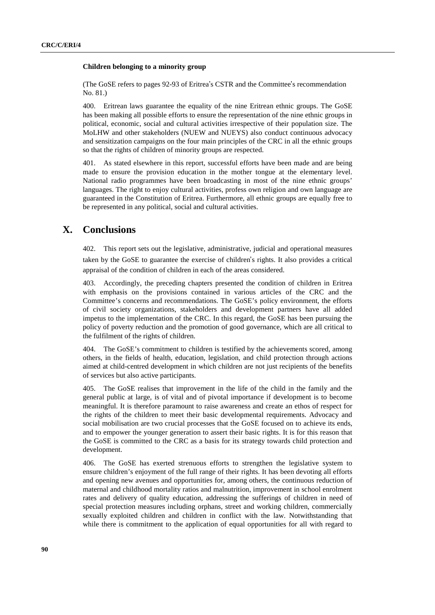#### **Children belonging to a minority group**

(The GoSE refers to pages 92-93 of Eritrea's CSTR and the Committee's recommendation<br>No. 81.)<br>400. Eritrean laws guarantee the equality of the nine Eritrean ethnic groups. The GoS No. 81.)

400. Eritrean laws guarantee the equality of the nine Eritrean ethnic groups. The GoSE has been making all possible efforts to ensure the representation of the nine ethnic groups in political, economic, social and cultural activities irrespective of their population size. The MoLHW and other stakeholders (NUEW and NUEYS) also conduct continuous advocacy and sensitization campaigns on the four main principles of the CRC in all the ethnic groups so that the rights of children of minority groups are respected.

401. As stated elsewhere in this report, successful efforts have been made and are being made to ensure the provision education in the mother tongue at the elementary level. National radio programmes have been broadcasting in most of the nine ethnic groups' languages. The right to enjoy cultural activities, profess own religion and own language are guaranteed in the Constitution of Eritrea. Furthermore, all ethnic groups are equally free to be represented in any political, social and cultural activities.

# **X. Conclusions**

402. This report sets out the legislative, administrative, judicial and operational measures taken by the GoSE to guarantee the exercise of children's rights. It also provides a critical<br>appraisal of the condition of children in each of the areas considered.<br> $\frac{103}{2}$  Accordingly, the preceding chapters presente appraisal of the condition of children in each of the areas considered.

403. Accordingly, the preceding chapters presented the condition of children in Eritrea with emphasis on the provisions contained in various articles of the CRC and the Committee's concerns and recommendations. The GoSE's policy environment, the efforts of civil society organizations, stakeholders and development partners have all added impetus to the implementation of the CRC. In this regard, the GoSE has been pursuing the policy of poverty reduction and the promotion of good governance, which are all critical to the fulfilment of the rights of children.

404. The GoSE's commitment to children is testified by the achievements scored, among others, in the fields of health, education, legislation, and child protection through actions aimed at child-centred development in which children are not just recipients of the benefits of services but also active participants.

405. The GoSE realises that improvement in the life of the child in the family and the general public at large, is of vital and of pivotal importance if development is to become meaningful. It is therefore paramount to raise awareness and create an ethos of respect for the rights of the children to meet their basic developmental requirements. Advocacy and social mobilisation are two crucial processes that the GoSE focused on to achieve its ends, and to empower the younger generation to assert their basic rights. It is for this reason that the GoSE is committed to the CRC as a basis for its strategy towards child protection and development.

406. The GoSE has exerted strenuous efforts to strengthen the legislative system to ensure children's enjoyment of the full range of their rights. It has been devoting all efforts and opening new avenues and opportunities for, among others, the continuous reduction of maternal and childhood mortality ratios and malnutrition, improvement in school enrolment rates and delivery of quality education, addressing the sufferings of children in need of special protection measures including orphans, street and working children, commercially sexually exploited children and children in conflict with the law. Notwithstanding that while there is commitment to the application of equal opportunities for all with regard to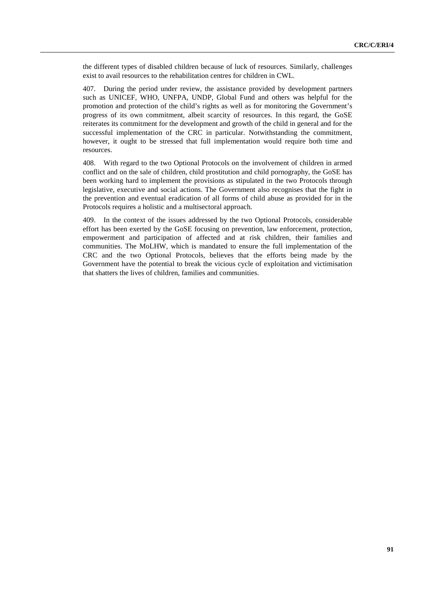the different types of disabled children because of luck of resources. Similarly, challenges exist to avail resources to the rehabilitation centres for children in CWL.

407. During the period under review, the assistance provided by development partners such as UNICEF, WHO, UNFPA, UNDP, Global Fund and others was helpful for the promotion and protection of the child's rights as well as for monitoring the Government's progress of its own commitment, albeit scarcity of resources. In this regard, the GoSE reiterates its commitment for the development and growth of the child in general and for the successful implementation of the CRC in particular. Notwithstanding the commitment, however, it ought to be stressed that full implementation would require both time and resources.

408. With regard to the two Optional Protocols on the involvement of children in armed conflict and on the sale of children, child prostitution and child pornography, the GoSE has been working hard to implement the provisions as stipulated in the two Protocols through legislative, executive and social actions. The Government also recognises that the fight in the prevention and eventual eradication of all forms of child abuse as provided for in the Protocols requires a holistic and a multisectoral approach.

409. In the context of the issues addressed by the two Optional Protocols, considerable effort has been exerted by the GoSE focusing on prevention, law enforcement, protection, empowerment and participation of affected and at risk children, their families and communities. The MoLHW, which is mandated to ensure the full implementation of the CRC and the two Optional Protocols, believes that the efforts being made by the Government have the potential to break the vicious cycle of exploitation and victimisation that shatters the lives of children, families and communities.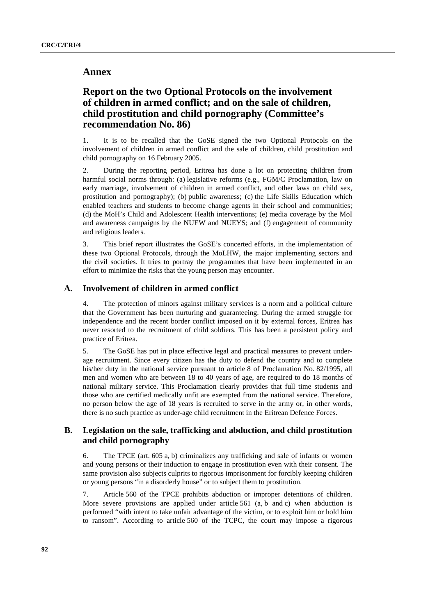# **Annex**

# **Report on the two Optional Protocols on the involvement of children in armed conflict; and on the sale of children, child prostitution and child pornography (Committee's recommendation No. 86)**

1. It is to be recalled that the GoSE signed the two Optional Protocols on the involvement of children in armed conflict and the sale of children, child prostitution and child pornography on 16 February 2005.

2. During the reporting period, Eritrea has done a lot on protecting children from harmful social norms through: (a) legislative reforms (e.g., FGM/C Proclamation, law on early marriage, involvement of children in armed conflict, and other laws on child sex, prostitution and pornography); (b) public awareness; (c) the Life Skills Education which enabled teachers and students to become change agents in their school and communities; (d) the MoH's Child and Adolescent Health interventions; (e) media coverage by the MoI and awareness campaigns by the NUEW and NUEYS; and (f) engagement of community and religious leaders.

3. This brief report illustrates the GoSE's concerted efforts, in the implementation of these two Optional Protocols, through the MoLHW, the major implementing sectors and the civil societies. It tries to portray the programmes that have been implemented in an effort to minimize the risks that the young person may encounter.

# **A. Involvement of children in armed conflict**

4. The protection of minors against military services is a norm and a political culture that the Government has been nurturing and guaranteeing. During the armed struggle for independence and the recent border conflict imposed on it by external forces, Eritrea has never resorted to the recruitment of child soldiers. This has been a persistent policy and practice of Eritrea.

5. The GoSE has put in place effective legal and practical measures to prevent underage recruitment. Since every citizen has the duty to defend the country and to complete his/her duty in the national service pursuant to article 8 of Proclamation No. 82/1995, all men and women who are between 18 to 40 years of age, are required to do 18 months of national military service. This Proclamation clearly provides that full time students and those who are certified medically unfit are exempted from the national service. Therefore, no person below the age of 18 years is recruited to serve in the army or, in other words, there is no such practice as under-age child recruitment in the Eritrean Defence Forces.

# **B. Legislation on the sale, trafficking and abduction, and child prostitution and child pornography**

6. The TPCE (art. 605 a, b) criminalizes any trafficking and sale of infants or women and young persons or their induction to engage in prostitution even with their consent. The same provision also subjects culprits to rigorous imprisonment for forcibly keeping children or young persons "in a disorderly house" or to subject them to prostitution.

7. Article 560 of the TPCE prohibits abduction or improper detentions of children. More severe provisions are applied under article 561 (a, b and c) when abduction is performed "with intent to take unfair advantage of the victim, or to exploit him or hold him to ransom". According to article 560 of the TCPC, the court may impose a rigorous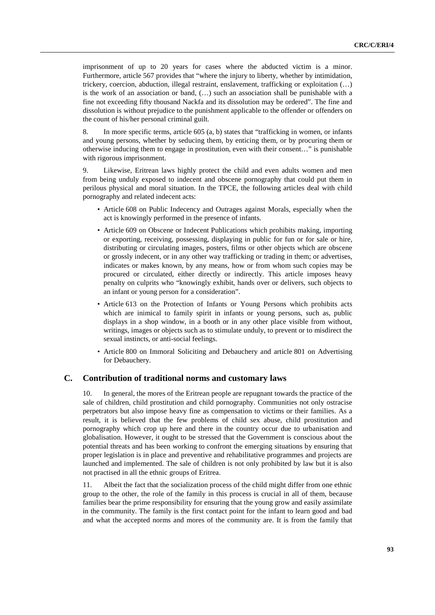imprisonment of up to 20 years for cases where the abducted victim is a minor. Furthermore, article 567 provides that "where the injury to liberty, whether by intimidation, trickery, coercion, abduction, illegal restraint, enslavement, trafficking or exploitation (…) is the work of an association or band, (…) such an association shall be punishable with a fine not exceeding fifty thousand Nackfa and its dissolution may be ordered". The fine and dissolution is without prejudice to the punishment applicable to the offender or offenders on the count of his/her personal criminal guilt.

8. In more specific terms, article 605 (a, b) states that "trafficking in women, or infants and young persons, whether by seducing them, by enticing them, or by procuring them or otherwise inducing them to engage in prostitution, even with their consent…" is punishable with rigorous imprisonment.

9. Likewise, Eritrean laws highly protect the child and even adults women and men from being unduly exposed to indecent and obscene pornography that could put them in perilous physical and moral situation. In the TPCE, the following articles deal with child pornography and related indecent acts:

- Article 608 on Public Indecency and Outrages against Morals, especially when the act is knowingly performed in the presence of infants.
- Article 609 on Obscene or Indecent Publications which prohibits making, importing or exporting, receiving, possessing, displaying in public for fun or for sale or hire, distributing or circulating images, posters, films or other objects which are obscene or grossly indecent, or in any other way trafficking or trading in them; or advertises, indicates or makes known, by any means, how or from whom such copies may be procured or circulated, either directly or indirectly. This article imposes heavy penalty on culprits who "knowingly exhibit, hands over or delivers, such objects to an infant or young person for a consideration".
- Article 613 on the Protection of Infants or Young Persons which prohibits acts which are inimical to family spirit in infants or young persons, such as, public displays in a shop window, in a booth or in any other place visible from without, writings, images or objects such as to stimulate unduly, to prevent or to misdirect the sexual instincts, or anti-social feelings.
- Article 800 on Immoral Soliciting and Debauchery and article 801 on Advertising for Debauchery.

#### **C. Contribution of traditional norms and customary laws**

10. In general, the mores of the Eritrean people are repugnant towards the practice of the sale of children, child prostitution and child pornography. Communities not only ostracise perpetrators but also impose heavy fine as compensation to victims or their families. As a result, it is believed that the few problems of child sex abuse, child prostitution and pornography which crop up here and there in the country occur due to urbanisation and globalisation. However, it ought to be stressed that the Government is conscious about the potential threats and has been working to confront the emerging situations by ensuring that proper legislation is in place and preventive and rehabilitative programmes and projects are launched and implemented. The sale of children is not only prohibited by law but it is also not practised in all the ethnic groups of Eritrea.

11. Albeit the fact that the socialization process of the child might differ from one ethnic group to the other, the role of the family in this process is crucial in all of them, because families bear the prime responsibility for ensuring that the young grow and easily assimilate in the community. The family is the first contact point for the infant to learn good and bad and what the accepted norms and mores of the community are. It is from the family that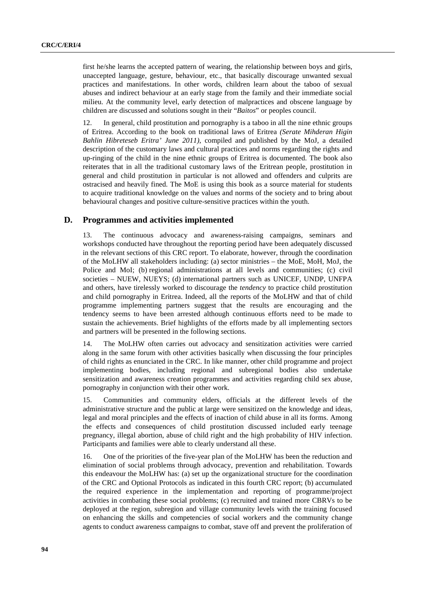first he/she learns the accepted pattern of wearing, the relationship between boys and girls, unaccepted language, gesture, behaviour, etc., that basically discourage unwanted sexual practices and manifestations. In other words, children learn about the taboo of sexual abuses and indirect behaviour at an early stage from the family and their immediate social milieu. At the community level, early detection of malpractices and obscene language by children are discussed and solutions sought in their "*Baitos*" or peoples council.

12. In general, child prostitution and pornography is a taboo in all the nine ethnic groups of Eritrea. According to the book on traditional laws of Eritrea *(Serate Mihderan Higin Bahlin Hibreteseb Eritra' June 2011)*, compiled and published by the MoJ, a detailed description of the customary laws and cultural practices and norms regarding the rights and up-ringing of the child in the nine ethnic groups of Eritrea is documented. The book also reiterates that in all the traditional customary laws of the Eritrean people, prostitution in general and child prostitution in particular is not allowed and offenders and culprits are ostracised and heavily fined. The MoE is using this book as a source material for students to acquire traditional knowledge on the values and norms of the society and to bring about behavioural changes and positive culture-sensitive practices within the youth.

#### **D. Programmes and activities implemented**

13. The continuous advocacy and awareness-raising campaigns, seminars and workshops conducted have throughout the reporting period have been adequately discussed in the relevant sections of this CRC report. To elaborate, however, through the coordination of the MoLHW all stakeholders including: (a) sector ministries – the MoE, MoH, MoJ, the Police and MoI; (b) regional administrations at all levels and communities; (c) civil societies – NUEW, NUEYS; (d) international partners such as UNICEF, UNDP, UNFPA and others, have tirelessly worked to discourage the *tendency* to practice child prostitution and child pornography in Eritrea. Indeed, all the reports of the MoLHW and that of child programme implementing partners suggest that the results are encouraging and the tendency seems to have been arrested although continuous efforts need to be made to sustain the achievements. Brief highlights of the efforts made by all implementing sectors and partners will be presented in the following sections.

14. The MoLHW often carries out advocacy and sensitization activities were carried along in the same forum with other activities basically when discussing the four principles of child rights as enunciated in the CRC. In like manner, other child programme and project implementing bodies, including regional and subregional bodies also undertake sensitization and awareness creation programmes and activities regarding child sex abuse, pornography in conjunction with their other work.

15. Communities and community elders, officials at the different levels of the administrative structure and the public at large were sensitized on the knowledge and ideas, legal and moral principles and the effects of inaction of child abuse in all its forms. Among the effects and consequences of child prostitution discussed included early teenage pregnancy, illegal abortion, abuse of child right and the high probability of HIV infection. Participants and families were able to clearly understand all these.

16. One of the priorities of the five-year plan of the MoLHW has been the reduction and elimination of social problems through advocacy, prevention and rehabilitation. Towards this endeavour the MoLHW has: (a) set up the organizational structure for the coordination of the CRC and Optional Protocols as indicated in this fourth CRC report; (b) accumulated the required experience in the implementation and reporting of programme/project activities in combating these social problems; (c) recruited and trained more CBRVs to be deployed at the region, subregion and village community levels with the training focused on enhancing the skills and competencies of social workers and the community change agents to conduct awareness campaigns to combat, stave off and prevent the proliferation of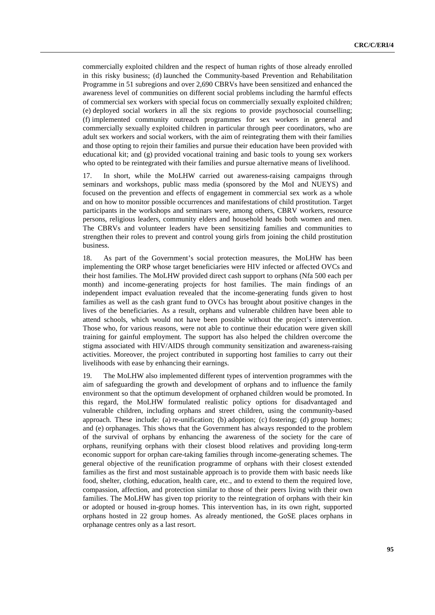commercially exploited children and the respect of human rights of those already enrolled in this risky business; (d) launched the Community-based Prevention and Rehabilitation Programme in 51 subregions and over 2,690 CBRVs have been sensitized and enhanced the awareness level of communities on different social problems including the harmful effects of commercial sex workers with special focus on commercially sexually exploited children; (e) deployed social workers in all the six regions to provide psychosocial counselling; (f) implemented community outreach programmes for sex workers in general and commercially sexually exploited children in particular through peer coordinators, who are adult sex workers and social workers, with the aim of reintegrating them with their families and those opting to rejoin their families and pursue their education have been provided with educational kit; and (g) provided vocational training and basic tools to young sex workers who opted to be reintegrated with their families and pursue alternative means of livelihood.

17. In short, while the MoLHW carried out awareness-raising campaigns through seminars and workshops, public mass media (sponsored by the MoI and NUEYS) and focused on the prevention and effects of engagement in commercial sex work as a whole and on how to monitor possible occurrences and manifestations of child prostitution. Target participants in the workshops and seminars were, among others, CBRV workers, resource persons, religious leaders, community elders and household heads both women and men. The CBRVs and volunteer leaders have been sensitizing families and communities to strengthen their roles to prevent and control young girls from joining the child prostitution business.

18. As part of the Government's social protection measures, the MoLHW has been implementing the ORP whose target beneficiaries were HIV infected or affected OVCs and their host families. The MoLHW provided direct cash support to orphans (Nfa 500 each per month) and income-generating projects for host families. The main findings of an independent impact evaluation revealed that the income-generating funds given to host families as well as the cash grant fund to OVCs has brought about positive changes in the lives of the beneficiaries. As a result, orphans and vulnerable children have been able to attend schools, which would not have been possible without the project's intervention. Those who, for various reasons, were not able to continue their education were given skill training for gainful employment. The support has also helped the children overcome the stigma associated with HIV/AIDS through community sensitization and awareness-raising activities. Moreover, the project contributed in supporting host families to carry out their livelihoods with ease by enhancing their earnings.

19. The MoLHW also implemented different types of intervention programmes with the aim of safeguarding the growth and development of orphans and to influence the family environment so that the optimum development of orphaned children would be promoted. In this regard, the MoLHW formulated realistic policy options for disadvantaged and vulnerable children, including orphans and street children, using the community-based approach. These include: (a) re-unification; (b) adoption; (c) fostering; (d) group homes; and (e) orphanages. This shows that the Government has always responded to the problem of the survival of orphans by enhancing the awareness of the society for the care of orphans, reunifying orphans with their closest blood relatives and providing long-term economic support for orphan care-taking families through income-generating schemes. The general objective of the reunification programme of orphans with their closest extended families as the first and most sustainable approach is to provide them with basic needs like food, shelter, clothing, education, health care, etc., and to extend to them the required love, compassion, affection, and protection similar to those of their peers living with their own families. The MoLHW has given top priority to the reintegration of orphans with their kin or adopted or housed in-group homes. This intervention has, in its own right, supported orphans hosted in 22 group homes. As already mentioned, the GoSE places orphans in orphanage centres only as a last resort.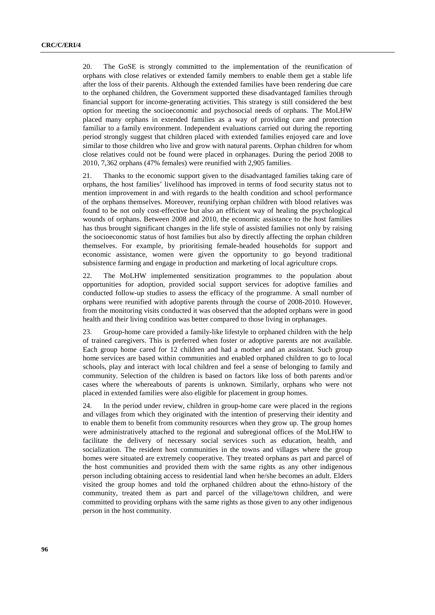20. The GoSE is strongly committed to the implementation of the reunification of orphans with close relatives or extended family members to enable them get a stable life after the loss of their parents. Although the extended families have been rendering due care to the orphaned children, the Government supported these disadvantaged families through financial support for income-generating activities. This strategy is still considered the best option for meeting the socioeconomic and psychosocial needs of orphans. The MoLHW placed many orphans in extended families as a way of providing care and protection familiar to a family environment. Independent evaluations carried out during the reporting period strongly suggest that children placed with extended families enjoyed care and love similar to those children who live and grow with natural parents. Orphan children for whom close relatives could not be found were placed in orphanages. During the period 2008 to 2010, 7,362 orphans (47% females) were reunified with 2,905 families.

21. Thanks to the economic support given to the disadvantaged families taking care of orphans, the host families' livelihood has improved in terms of food security status not to mention improvement in and with regards to the health condition and school performance of the orphans themselves. Moreover, reunifying orphan children with blood relatives was found to be not only cost-effective but also an efficient way of healing the psychological wounds of orphans. Between 2008 and 2010, the economic assistance to the host families has thus brought significant changes in the life style of assisted families not only by raising the socioeconomic status of host families but also by directly affecting the orphan children themselves. For example, by prioritising female-headed households for support and economic assistance, women were given the opportunity to go beyond traditional subsistence farming and engage in production and marketing of local agriculture crops.

22. The MoLHW implemented sensitization programmes to the population about opportunities for adoption, provided social support services for adoptive families and conducted follow-up studies to assess the efficacy of the programme. A small number of orphans were reunified with adoptive parents through the course of 2008-2010. However, from the monitoring visits conducted it was observed that the adopted orphans were in good health and their living condition was better compared to those living in orphanages.

23. Group-home care provided a family-like lifestyle to orphaned children with the help of trained caregivers. This is preferred when foster or adoptive parents are not available. Each group home cared for 12 children and had a mother and an assistant. Such group home services are based within communities and enabled orphaned children to go to local schools, play and interact with local children and feel a sense of belonging to family and community. Selection of the children is based on factors like loss of both parents and/or cases where the whereabouts of parents is unknown. Similarly, orphans who were not placed in extended families were also eligible for placement in group homes.

24. In the period under review, children in group-home care were placed in the regions and villages from which they originated with the intention of preserving their identity and to enable them to benefit from community resources when they grow up. The group homes were administratively attached to the regional and subregional offices of the MoLHW to facilitate the delivery of necessary social services such as education, health, and socialization. The resident host communities in the towns and villages where the group homes were situated are extremely cooperative. They treated orphans as part and parcel of the host communities and provided them with the same rights as any other indigenous person including obtaining access to residential land when he/she becomes an adult. Elders visited the group homes and told the orphaned children about the ethno-history of the community, treated them as part and parcel of the village/town children, and were committed to providing orphans with the same rights as those given to any other indigenous person in the host community.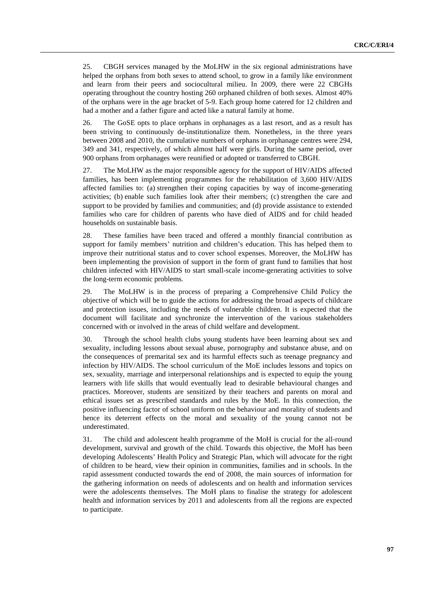25. CBGH services managed by the MoLHW in the six regional administrations have helped the orphans from both sexes to attend school, to grow in a family like environment and learn from their peers and sociocultural milieu. In 2009, there were 22 CBGHs operating throughout the country hosting 260 orphaned children of both sexes. Almost 40% of the orphans were in the age bracket of 5-9. Each group home catered for 12 children and had a mother and a father figure and acted like a natural family at home.

26. The GoSE opts to place orphans in orphanages as a last resort, and as a result has been striving to continuously de-institutionalize them. Nonetheless, in the three years between 2008 and 2010, the cumulative numbers of orphans in orphanage centres were 294, 349 and 341, respectively, of which almost half were girls. During the same period, over 900 orphans from orphanages were reunified or adopted or transferred to CBGH.

27. The MoLHW as the major responsible agency for the support of HIV/AIDS affected families, has been implementing programmes for the rehabilitation of 3,600 HIV/AIDS affected families to: (a) strengthen their coping capacities by way of income-generating activities; (b) enable such families look after their members; (c) strengthen the care and support to be provided by families and communities; and (d) provide assistance to extended families who care for children of parents who have died of AIDS and for child headed households on sustainable basis.

28. These families have been traced and offered a monthly financial contribution as support for family members' nutrition and children's education. This has helped them to improve their nutritional status and to cover school expenses. Moreover, the MoLHW has been implementing the provision of support in the form of grant fund to families that host children infected with HIV/AIDS to start small-scale income-generating activities to solve the long-term economic problems.

29. The MoLHW is in the process of preparing a Comprehensive Child Policy the objective of which will be to guide the actions for addressing the broad aspects of childcare and protection issues, including the needs of vulnerable children. It is expected that the document will facilitate and synchronize the intervention of the various stakeholders concerned with or involved in the areas of child welfare and development.

30. Through the school health clubs young students have been learning about sex and sexuality, including lessons about sexual abuse, pornography and substance abuse, and on the consequences of premarital sex and its harmful effects such as teenage pregnancy and infection by HIV/AIDS. The school curriculum of the MoE includes lessons and topics on sex, sexuality, marriage and interpersonal relationships and is expected to equip the young learners with life skills that would eventually lead to desirable behavioural changes and practices. Moreover, students are sensitized by their teachers and parents on moral and ethical issues set as prescribed standards and rules by the MoE. In this connection, the positive influencing factor of school uniform on the behaviour and morality of students and hence its deterrent effects on the moral and sexuality of the young cannot not be underestimated.

31. The child and adolescent health programme of the MoH is crucial for the all-round development, survival and growth of the child. Towards this objective, the MoH has been developing Adolescents' Health Policy and Strategic Plan, which will advocate for the right of children to be heard, view their opinion in communities, families and in schools. In the rapid assessment conducted towards the end of 2008, the main sources of information for the gathering information on needs of adolescents and on health and information services were the adolescents themselves. The MoH plans to finalise the strategy for adolescent health and information services by 2011 and adolescents from all the regions are expected to participate.